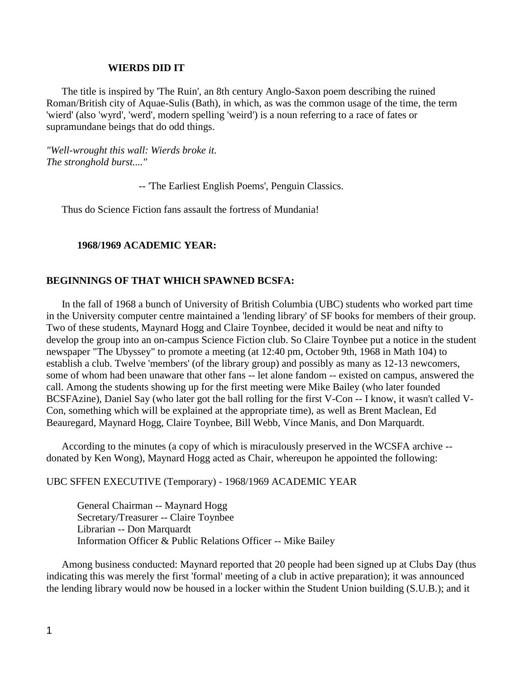#### **WIERDS DID IT**

 The title is inspired by 'The Ruin', an 8th century Anglo-Saxon poem describing the ruined Roman/British city of Aquae-Sulis (Bath), in which, as was the common usage of the time, the term 'wierd' (also 'wyrd', 'werd', modern spelling 'weird') is a noun referring to a race of fates or supramundane beings that do odd things.

*"Well-wrought this wall: Wierds broke it. The stronghold burst...."*

-- 'The Earliest English Poems', Penguin Classics.

Thus do Science Fiction fans assault the fortress of Mundania!

# **1968/1969 ACADEMIC YEAR:**

## **BEGINNINGS OF THAT WHICH SPAWNED BCSFA:**

 In the fall of 1968 a bunch of University of British Columbia (UBC) students who worked part time in the University computer centre maintained a 'lending library' of SF books for members of their group. Two of these students, Maynard Hogg and Claire Toynbee, decided it would be neat and nifty to develop the group into an on-campus Science Fiction club. So Claire Toynbee put a notice in the student newspaper "The Ubyssey" to promote a meeting (at 12:40 pm, October 9th, 1968 in Math 104) to establish a club. Twelve 'members' (of the library group) and possibly as many as 12-13 newcomers, some of whom had been unaware that other fans -- let alone fandom -- existed on campus, answered the call. Among the students showing up for the first meeting were Mike Bailey (who later founded BCSFAzine), Daniel Say (who later got the ball rolling for the first V-Con -- I know, it wasn't called V-Con, something which will be explained at the appropriate time), as well as Brent Maclean, Ed Beauregard, Maynard Hogg, Claire Toynbee, Bill Webb, Vince Manis, and Don Marquardt.

 According to the minutes (a copy of which is miraculously preserved in the WCSFA archive - donated by Ken Wong), Maynard Hogg acted as Chair, whereupon he appointed the following:

UBC SFFEN EXECUTIVE (Temporary) - 1968/1969 ACADEMIC YEAR

General Chairman -- Maynard Hogg Secretary/Treasurer -- Claire Toynbee Librarian -- Don Marquardt Information Officer & Public Relations Officer -- Mike Bailey

 Among business conducted: Maynard reported that 20 people had been signed up at Clubs Day (thus indicating this was merely the first 'formal' meeting of a club in active preparation); it was announced the lending library would now be housed in a locker within the Student Union building (S.U.B.); and it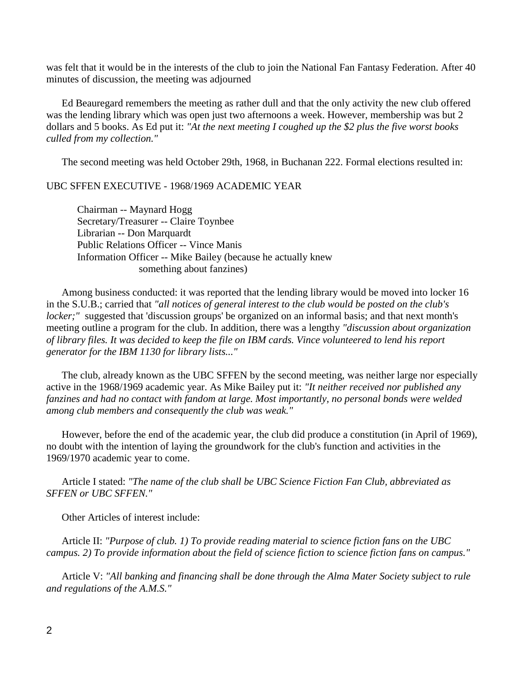was felt that it would be in the interests of the club to join the National Fan Fantasy Federation. After 40 minutes of discussion, the meeting was adjourned

 Ed Beauregard remembers the meeting as rather dull and that the only activity the new club offered was the lending library which was open just two afternoons a week. However, membership was but 2 dollars and 5 books. As Ed put it: *"At the next meeting I coughed up the \$2 plus the five worst books culled from my collection."*

The second meeting was held October 29th, 1968, in Buchanan 222. Formal elections resulted in:

UBC SFFEN EXECUTIVE - 1968/1969 ACADEMIC YEAR

Chairman -- Maynard Hogg Secretary/Treasurer -- Claire Toynbee Librarian -- Don Marquardt Public Relations Officer -- Vince Manis Information Officer -- Mike Bailey (because he actually knew something about fanzines)

 Among business conducted: it was reported that the lending library would be moved into locker 16 in the S.U.B.; carried that *"all notices of general interest to the club would be posted on the club's locker;*" suggested that 'discussion groups' be organized on an informal basis; and that next month's meeting outline a program for the club. In addition, there was a lengthy *"discussion about organization of library files. It was decided to keep the file on IBM cards. Vince volunteered to lend his report generator for the IBM 1130 for library lists..."* 

 The club, already known as the UBC SFFEN by the second meeting, was neither large nor especially active in the 1968/1969 academic year. As Mike Bailey put it: *"It neither received nor published any fanzines and had no contact with fandom at large. Most importantly, no personal bonds were welded among club members and consequently the club was weak."*

 However, before the end of the academic year, the club did produce a constitution (in April of 1969), no doubt with the intention of laying the groundwork for the club's function and activities in the 1969/1970 academic year to come.

 Article I stated: *"The name of the club shall be UBC Science Fiction Fan Club, abbreviated as SFFEN or UBC SFFEN."*

Other Articles of interest include:

 Article II: *"Purpose of club. 1) To provide reading material to science fiction fans on the UBC campus. 2) To provide information about the field of science fiction to science fiction fans on campus."*

 Article V: *"All banking and financing shall be done through the Alma Mater Society subject to rule and regulations of the A.M.S."*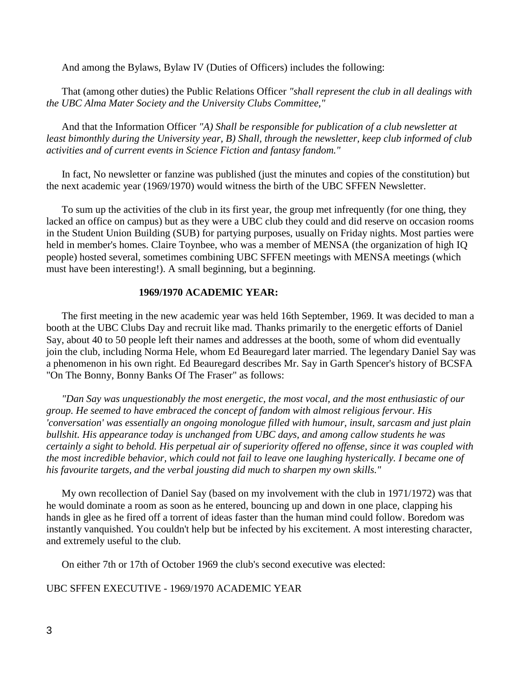And among the Bylaws, Bylaw IV (Duties of Officers) includes the following:

 That (among other duties) the Public Relations Officer *"shall represent the club in all dealings with the UBC Alma Mater Society and the University Clubs Committee,"*

 And that the Information Officer *"A) Shall be responsible for publication of a club newsletter at least bimonthly during the University year, B) Shall, through the newsletter, keep club informed of club activities and of current events in Science Fiction and fantasy fandom."* 

 In fact, No newsletter or fanzine was published (just the minutes and copies of the constitution) but the next academic year (1969/1970) would witness the birth of the UBC SFFEN Newsletter.

 To sum up the activities of the club in its first year, the group met infrequently (for one thing, they lacked an office on campus) but as they were a UBC club they could and did reserve on occasion rooms in the Student Union Building (SUB) for partying purposes, usually on Friday nights. Most parties were held in member's homes. Claire Toynbee, who was a member of MENSA (the organization of high IQ people) hosted several, sometimes combining UBC SFFEN meetings with MENSA meetings (which must have been interesting!). A small beginning, but a beginning.

## **1969/1970 ACADEMIC YEAR:**

 The first meeting in the new academic year was held 16th September, 1969. It was decided to man a booth at the UBC Clubs Day and recruit like mad. Thanks primarily to the energetic efforts of Daniel Say, about 40 to 50 people left their names and addresses at the booth, some of whom did eventually join the club, including Norma Hele, whom Ed Beauregard later married. The legendary Daniel Say was a phenomenon in his own right. Ed Beauregard describes Mr. Say in Garth Spencer's history of BCSFA "On The Bonny, Bonny Banks Of The Fraser" as follows:

 *"Dan Say was unquestionably the most energetic, the most vocal, and the most enthusiastic of our group. He seemed to have embraced the concept of fandom with almost religious fervour. His 'conversation' was essentially an ongoing monologue filled with humour, insult, sarcasm and just plain bullshit. His appearance today is unchanged from UBC days, and among callow students he was certainly a sight to behold. His perpetual air of superiority offered no offense, since it was coupled with the most incredible behavior, which could not fail to leave one laughing hysterically. I became one of his favourite targets, and the verbal jousting did much to sharpen my own skills."* 

 My own recollection of Daniel Say (based on my involvement with the club in 1971/1972) was that he would dominate a room as soon as he entered, bouncing up and down in one place, clapping his hands in glee as he fired off a torrent of ideas faster than the human mind could follow. Boredom was instantly vanquished. You couldn't help but be infected by his excitement. A most interesting character, and extremely useful to the club.

On either 7th or 17th of October 1969 the club's second executive was elected:

UBC SFFEN EXECUTIVE - 1969/1970 ACADEMIC YEAR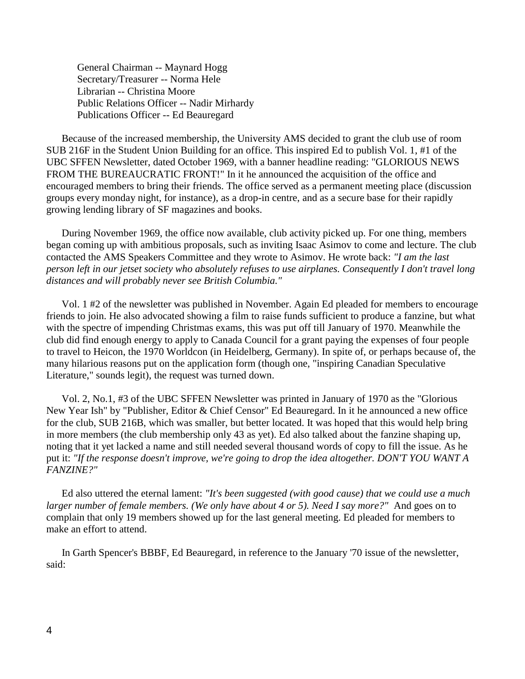General Chairman -- Maynard Hogg Secretary/Treasurer -- Norma Hele Librarian -- Christina Moore Public Relations Officer -- Nadir Mirhardy Publications Officer -- Ed Beauregard

 Because of the increased membership, the University AMS decided to grant the club use of room SUB 216F in the Student Union Building for an office. This inspired Ed to publish Vol. 1, #1 of the UBC SFFEN Newsletter, dated October 1969, with a banner headline reading: "GLORIOUS NEWS FROM THE BUREAUCRATIC FRONT!" In it he announced the acquisition of the office and encouraged members to bring their friends. The office served as a permanent meeting place (discussion groups every monday night, for instance), as a drop-in centre, and as a secure base for their rapidly growing lending library of SF magazines and books.

 During November 1969, the office now available, club activity picked up. For one thing, members began coming up with ambitious proposals, such as inviting Isaac Asimov to come and lecture. The club contacted the AMS Speakers Committee and they wrote to Asimov. He wrote back: *"I am the last person left in our jetset society who absolutely refuses to use airplanes. Consequently I don't travel long distances and will probably never see British Columbia."*

 Vol. 1 #2 of the newsletter was published in November. Again Ed pleaded for members to encourage friends to join. He also advocated showing a film to raise funds sufficient to produce a fanzine, but what with the spectre of impending Christmas exams, this was put off till January of 1970. Meanwhile the club did find enough energy to apply to Canada Council for a grant paying the expenses of four people to travel to Heicon, the 1970 Worldcon (in Heidelberg, Germany). In spite of, or perhaps because of, the many hilarious reasons put on the application form (though one, "inspiring Canadian Speculative Literature," sounds legit), the request was turned down.

 Vol. 2, No.1, #3 of the UBC SFFEN Newsletter was printed in January of 1970 as the "Glorious New Year Ish" by "Publisher, Editor & Chief Censor" Ed Beauregard. In it he announced a new office for the club, SUB 216B, which was smaller, but better located. It was hoped that this would help bring in more members (the club membership only 43 as yet). Ed also talked about the fanzine shaping up, noting that it yet lacked a name and still needed several thousand words of copy to fill the issue. As he put it: *"If the response doesn't improve, we're going to drop the idea altogether. DON'T YOU WANT A FANZINE?"*

 Ed also uttered the eternal lament: *"It's been suggested (with good cause) that we could use a much larger number of female members. (We only have about 4 or 5). Need I say more?"* And goes on to complain that only 19 members showed up for the last general meeting. Ed pleaded for members to make an effort to attend.

 In Garth Spencer's BBBF, Ed Beauregard, in reference to the January '70 issue of the newsletter, said: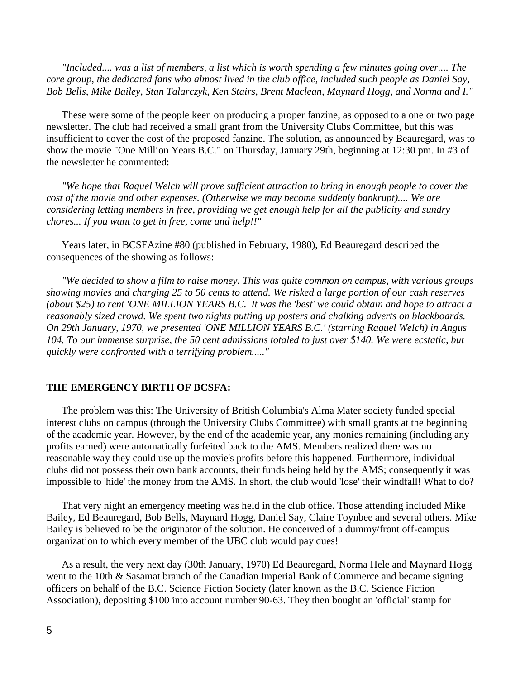*"Included.... was a list of members, a list which is worth spending a few minutes going over.... The core group, the dedicated fans who almost lived in the club office, included such people as Daniel Say, Bob Bells, Mike Bailey, Stan Talarczyk, Ken Stairs, Brent Maclean, Maynard Hogg, and Norma and I."*

 These were some of the people keen on producing a proper fanzine, as opposed to a one or two page newsletter. The club had received a small grant from the University Clubs Committee, but this was insufficient to cover the cost of the proposed fanzine. The solution, as announced by Beauregard, was to show the movie "One Million Years B.C." on Thursday, January 29th, beginning at 12:30 pm. In #3 of the newsletter he commented:

 *"We hope that Raquel Welch will prove sufficient attraction to bring in enough people to cover the cost of the movie and other expenses. (Otherwise we may become suddenly bankrupt).... We are considering letting members in free, providing we get enough help for all the publicity and sundry chores... If you want to get in free, come and help!!"*

 Years later, in BCSFAzine #80 (published in February, 1980), Ed Beauregard described the consequences of the showing as follows:

 *"We decided to show a film to raise money. This was quite common on campus, with various groups showing movies and charging 25 to 50 cents to attend. We risked a large portion of our cash reserves (about \$25) to rent 'ONE MILLION YEARS B.C.' It was the 'best' we could obtain and hope to attract a reasonably sized crowd. We spent two nights putting up posters and chalking adverts on blackboards. On 29th January, 1970, we presented 'ONE MILLION YEARS B.C.' (starring Raquel Welch) in Angus 104. To our immense surprise, the 50 cent admissions totaled to just over \$140. We were ecstatic, but quickly were confronted with a terrifying problem....."*

## **THE EMERGENCY BIRTH OF BCSFA:**

 The problem was this: The University of British Columbia's Alma Mater society funded special interest clubs on campus (through the University Clubs Committee) with small grants at the beginning of the academic year. However, by the end of the academic year, any monies remaining (including any profits earned) were automatically forfeited back to the AMS. Members realized there was no reasonable way they could use up the movie's profits before this happened. Furthermore, individual clubs did not possess their own bank accounts, their funds being held by the AMS; consequently it was impossible to 'hide' the money from the AMS. In short, the club would 'lose' their windfall! What to do?

 That very night an emergency meeting was held in the club office. Those attending included Mike Bailey, Ed Beauregard, Bob Bells, Maynard Hogg, Daniel Say, Claire Toynbee and several others. Mike Bailey is believed to be the originator of the solution. He conceived of a dummy/front off-campus organization to which every member of the UBC club would pay dues!

 As a result, the very next day (30th January, 1970) Ed Beauregard, Norma Hele and Maynard Hogg went to the 10th & Sasamat branch of the Canadian Imperial Bank of Commerce and became signing officers on behalf of the B.C. Science Fiction Society (later known as the B.C. Science Fiction Association), depositing \$100 into account number 90-63. They then bought an 'official' stamp for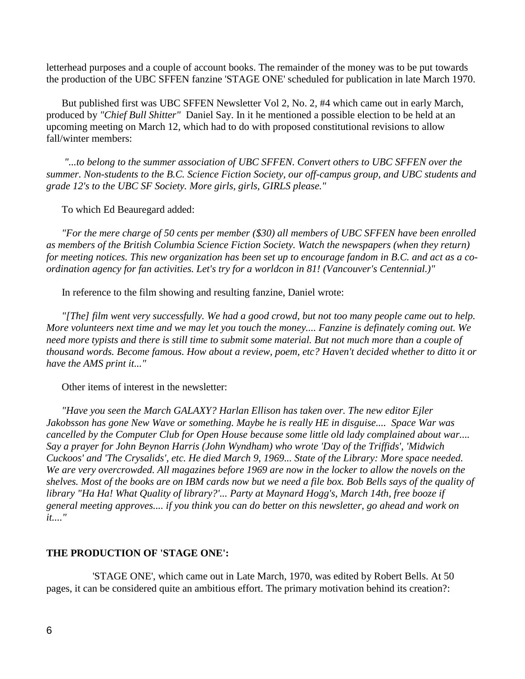letterhead purposes and a couple of account books. The remainder of the money was to be put towards the production of the UBC SFFEN fanzine 'STAGE ONE' scheduled for publication in late March 1970.

 But published first was UBC SFFEN Newsletter Vol 2, No. 2, #4 which came out in early March, produced by *"Chief Bull Shitter"* Daniel Say. In it he mentioned a possible election to be held at an upcoming meeting on March 12, which had to do with proposed constitutional revisions to allow fall/winter members:

 *"...to belong to the summer association of UBC SFFEN. Convert others to UBC SFFEN over the summer. Non-students to the B.C. Science Fiction Society, our off-campus group, and UBC students and grade 12's to the UBC SF Society. More girls, girls, GIRLS please."*

To which Ed Beauregard added:

 *"For the mere charge of 50 cents per member (\$30) all members of UBC SFFEN have been enrolled as members of the British Columbia Science Fiction Society. Watch the newspapers (when they return) for meeting notices. This new organization has been set up to encourage fandom in B.C. and act as a coordination agency for fan activities. Let's try for a worldcon in 81! (Vancouver's Centennial.)"*

In reference to the film showing and resulting fanzine, Daniel wrote:

 *"[The] film went very successfully. We had a good crowd, but not too many people came out to help. More volunteers next time and we may let you touch the money.... Fanzine is definately coming out. We need more typists and there is still time to submit some material. But not much more than a couple of thousand words. Become famous. How about a review, poem, etc? Haven't decided whether to ditto it or have the AMS print it..."*

Other items of interest in the newsletter:

 *"Have you seen the March GALAXY? Harlan Ellison has taken over. The new editor Ejler Jakobsson has gone New Wave or something. Maybe he is really HE in disguise.... Space War was cancelled by the Computer Club for Open House because some little old lady complained about war.... Say a prayer for John Beynon Harris (John Wyndham) who wrote 'Day of the Triffids', 'Midwich Cuckoos' and 'The Crysalids', etc. He died March 9, 1969... State of the Library: More space needed. We are very overcrowded. All magazines before 1969 are now in the locker to allow the novels on the shelves. Most of the books are on IBM cards now but we need a file box. Bob Bells says of the quality of library "Ha Ha! What Quality of library?'... Party at Maynard Hogg's, March 14th, free booze if general meeting approves.... if you think you can do better on this newsletter, go ahead and work on it...."*

# **THE PRODUCTION OF 'STAGE ONE':**

 'STAGE ONE', which came out in Late March, 1970, was edited by Robert Bells. At 50 pages, it can be considered quite an ambitious effort. The primary motivation behind its creation?: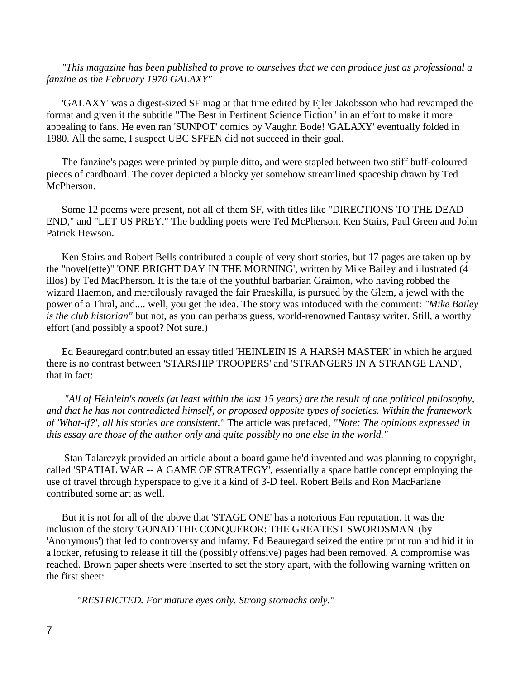*"This magazine has been published to prove to ourselves that we can produce just as professional a fanzine as the February 1970 GALAXY"*

 'GALAXY' was a digest-sized SF mag at that time edited by Ejler Jakobsson who had revamped the format and given it the subtitle "The Best in Pertinent Science Fiction" in an effort to make it more appealing to fans. He even ran 'SUNPOT' comics by Vaughn Bode! 'GALAXY' eventually folded in 1980. All the same, I suspect UBC SFFEN did not succeed in their goal.

 The fanzine's pages were printed by purple ditto, and were stapled between two stiff buff-coloured pieces of cardboard. The cover depicted a blocky yet somehow streamlined spaceship drawn by Ted McPherson.

 Some 12 poems were present, not all of them SF, with titles like "DIRECTIONS TO THE DEAD END," and "LET US PREY." The budding poets were Ted McPherson, Ken Stairs, Paul Green and John Patrick Hewson.

 Ken Stairs and Robert Bells contributed a couple of very short stories, but 17 pages are taken up by the "novel(ette)" 'ONE BRIGHT DAY IN THE MORNING', written by Mike Bailey and illustrated (4 illos) by Ted MacPherson. It is the tale of the youthful barbarian Graimon, who having robbed the wizard Haemon, and mercilously ravaged the fair Praeskilla, is pursued by the Glem, a jewel with the power of a Thral, and.... well, you get the idea. The story was intoduced with the comment: *"Mike Bailey is the club historian"* but not, as you can perhaps guess, world-renowned Fantasy writer. Still, a worthy effort (and possibly a spoof? Not sure.)

 Ed Beauregard contributed an essay titled 'HEINLEIN IS A HARSH MASTER' in which he argued there is no contrast between 'STARSHIP TROOPERS' and 'STRANGERS IN A STRANGE LAND', that in fact:

 *"All of Heinlein's novels (at least within the last 15 years) are the result of one political philosophy, and that he has not contradicted himself, or proposed opposite types of societies. Within the framework of 'What-if?', all his stories are consistent."* The article was prefaced, *"Note: The opinions expressed in this essay are those of the author only and quite possibly no one else in the world."* 

 Stan Talarczyk provided an article about a board game he'd invented and was planning to copyright, called 'SPATIAL WAR -- A GAME OF STRATEGY', essentially a space battle concept employing the use of travel through hyperspace to give it a kind of 3-D feel. Robert Bells and Ron MacFarlane contributed some art as well.

 But it is not for all of the above that 'STAGE ONE' has a notorious Fan reputation. It was the inclusion of the story 'GONAD THE CONQUEROR: THE GREATEST SWORDSMAN' (by 'Anonymous') that led to controversy and infamy. Ed Beauregard seized the entire print run and hid it in a locker, refusing to release it till the (possibly offensive) pages had been removed. A compromise was reached. Brown paper sheets were inserted to set the story apart, with the following warning written on the first sheet:

*"RESTRICTED. For mature eyes only. Strong stomachs only."*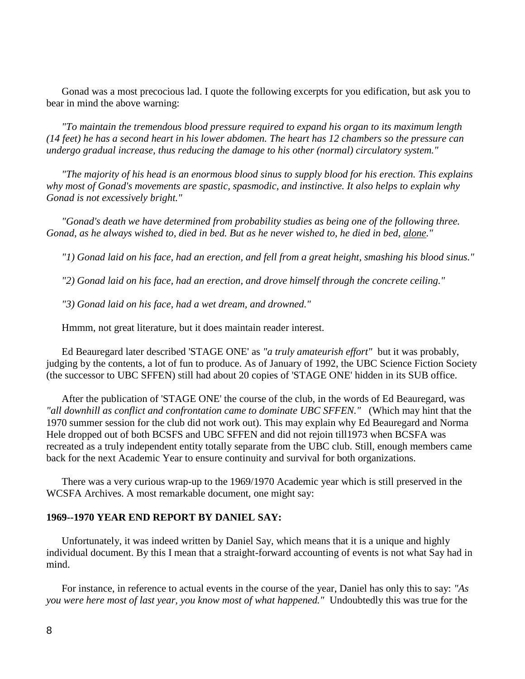Gonad was a most precocious lad. I quote the following excerpts for you edification, but ask you to bear in mind the above warning:

 *"To maintain the tremendous blood pressure required to expand his organ to its maximum length (14 feet) he has a second heart in his lower abdomen. The heart has 12 chambers so the pressure can undergo gradual increase, thus reducing the damage to his other (normal) circulatory system."*

 *"The majority of his head is an enormous blood sinus to supply blood for his erection. This explains why most of Gonad's movements are spastic, spasmodic, and instinctive. It also helps to explain why Gonad is not excessively bright."*

 *"Gonad's death we have determined from probability studies as being one of the following three. Gonad, as he always wished to, died in bed. But as he never wished to, he died in bed, alone."*

 *"1) Gonad laid on his face, had an erection, and fell from a great height, smashing his blood sinus."*

 *"2) Gonad laid on his face, had an erection, and drove himself through the concrete ceiling."*

 *"3) Gonad laid on his face, had a wet dream, and drowned."* 

**Hmmm, not great literature, but it does maintain reader interest.** 

 Ed Beauregard later described 'STAGE ONE' as *"a truly amateurish effort"* but it was probably, judging by the contents, a lot of fun to produce. As of January of 1992, the UBC Science Fiction Society (the successor to UBC SFFEN) still had about 20 copies of 'STAGE ONE' hidden in its SUB office.

 After the publication of 'STAGE ONE' the course of the club, in the words of Ed Beauregard, was *"all downhill as conflict and confrontation came to dominate UBC SFFEN."* (Which may hint that the 1970 summer session for the club did not work out). This may explain why Ed Beauregard and Norma Hele dropped out of both BCSFS and UBC SFFEN and did not rejoin till1973 when BCSFA was recreated as a truly independent entity totally separate from the UBC club. Still, enough members came back for the next Academic Year to ensure continuity and survival for both organizations.

 There was a very curious wrap-up to the 1969/1970 Academic year which is still preserved in the WCSFA Archives. A most remarkable document, one might say:

#### **1969--1970 YEAR END REPORT BY DANIEL SAY:**

 Unfortunately, it was indeed written by Daniel Say, which means that it is a unique and highly individual document. By this I mean that a straight-forward accounting of events is not what Say had in mind.

 For instance, in reference to actual events in the course of the year, Daniel has only this to say: *"As you were here most of last year, you know most of what happened."* Undoubtedly this was true for the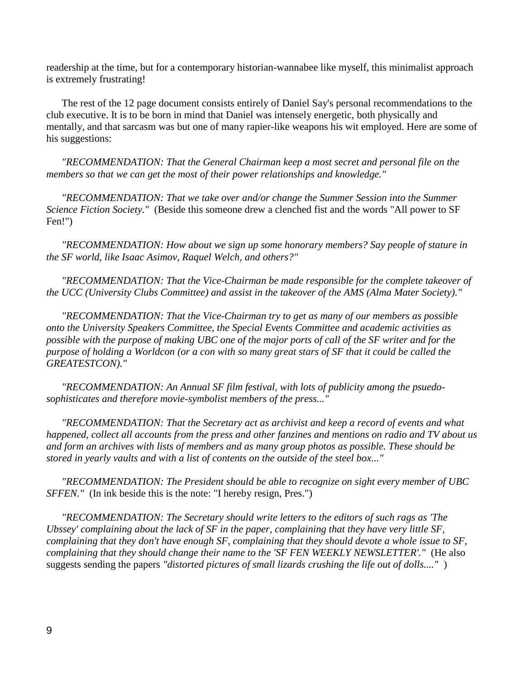readership at the time, but for a contemporary historian-wannabee like myself, this minimalist approach is extremely frustrating!

 The rest of the 12 page document consists entirely of Daniel Say's personal recommendations to the club executive. It is to be born in mind that Daniel was intensely energetic, both physically and mentally, and that sarcasm was but one of many rapier-like weapons his wit employed. Here are some of his suggestions:

 *"RECOMMENDATION: That the General Chairman keep a most secret and personal file on the members so that we can get the most of their power relationships and knowledge."*

 *"RECOMMENDATION: That we take over and/or change the Summer Session into the Summer Science Fiction Society."* (Beside this someone drew a clenched fist and the words "All power to SF Fen!")

 *"RECOMMENDATION: How about we sign up some honorary members? Say people of stature in the SF world, like Isaac Asimov, Raquel Welch, and others?"*

 *"RECOMMENDATION: That the Vice-Chairman be made responsible for the complete takeover of the UCC (University Clubs Committee) and assist in the takeover of the AMS (Alma Mater Society)."*

 *"RECOMMENDATION: That the Vice-Chairman try to get as many of our members as possible onto the University Speakers Committee, the Special Events Committee and academic activities as possible with the purpose of making UBC one of the major ports of call of the SF writer and for the purpose of holding a Worldcon (or a con with so many great stars of SF that it could be called the GREATESTCON)."*

 *"RECOMMENDATION: An Annual SF film festival, with lots of publicity among the psuedosophisticates and therefore movie-symbolist members of the press..."*

 *"RECOMMENDATION: That the Secretary act as archivist and keep a record of events and what happened, collect all accounts from the press and other fanzines and mentions on radio and TV about us and form an archives with lists of members and as many group photos as possible. These should be stored in yearly vaults and with a list of contents on the outside of the steel box..."*

 *"RECOMMENDATION: The President should be able to recognize on sight every member of UBC SFFEN."* (In ink beside this is the note: "I hereby resign, Pres.")

 *"RECOMMENDATION: The Secretary should write letters to the editors of such rags as 'The Ubssey' complaining about the lack of SF in the paper, complaining that they have very little SF, complaining that they don't have enough SF, complaining that they should devote a whole issue to SF, complaining that they should change their name to the 'SF FEN WEEKLY NEWSLETTER'."* (He also suggests sending the papers *"distorted pictures of small lizards crushing the life out of dolls...."* )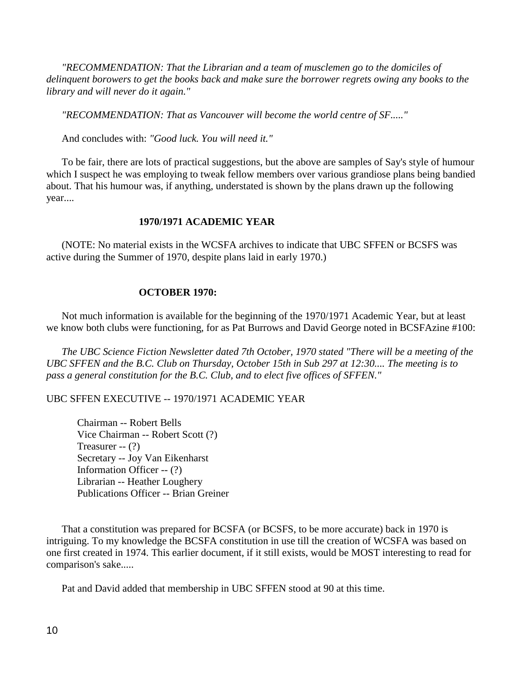*"RECOMMENDATION: That the Librarian and a team of musclemen go to the domiciles of delinquent borowers to get the books back and make sure the borrower regrets owing any books to the library and will never do it again."*

*"RECOMMENDATION: That as Vancouver will become the world centre of SF....."*

And concludes with: *"Good luck. You will need it."*

 To be fair, there are lots of practical suggestions, but the above are samples of Say's style of humour which I suspect he was employing to tweak fellow members over various grandiose plans being bandied about. That his humour was, if anything, understated is shown by the plans drawn up the following year....

# **1970/1971 ACADEMIC YEAR**

 (NOTE: No material exists in the WCSFA archives to indicate that UBC SFFEN or BCSFS was active during the Summer of 1970, despite plans laid in early 1970.)

# **OCTOBER 1970:**

 Not much information is available for the beginning of the 1970/1971 Academic Year, but at least we know both clubs were functioning, for as Pat Burrows and David George noted in BCSFAzine #100:

 *The UBC Science Fiction Newsletter dated 7th October, 1970 stated "There will be a meeting of the UBC SFFEN and the B.C. Club on Thursday, October 15th in Sub 297 at 12:30.... The meeting is to pass a general constitution for the B.C. Club, and to elect five offices of SFFEN."* 

UBC SFFEN EXECUTIVE -- 1970/1971 ACADEMIC YEAR

Chairman -- Robert Bells Vice Chairman -- Robert Scott (?) Treasurer -- (?) Secretary -- Joy Van Eikenharst Information Officer -- (?) Librarian -- Heather Loughery Publications Officer -- Brian Greiner

 That a constitution was prepared for BCSFA (or BCSFS, to be more accurate) back in 1970 is intriguing. To my knowledge the BCSFA constitution in use till the creation of WCSFA was based on one first created in 1974. This earlier document, if it still exists, would be MOST interesting to read for comparison's sake.....

Pat and David added that membership in UBC SFFEN stood at 90 at this time.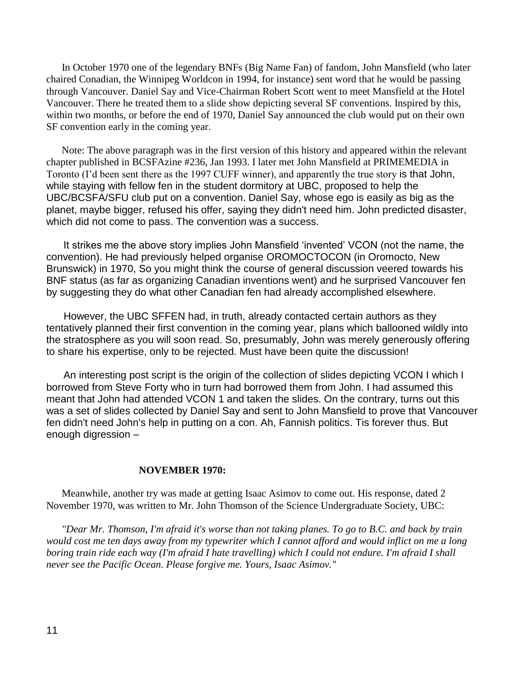In October 1970 one of the legendary BNFs (Big Name Fan) of fandom, John Mansfield (who later chaired Conadian, the Winnipeg Worldcon in 1994, for instance) sent word that he would be passing through Vancouver. Daniel Say and Vice-Chairman Robert Scott went to meet Mansfield at the Hotel Vancouver. There he treated them to a slide show depicting several SF conventions. Inspired by this, within two months, or before the end of 1970, Daniel Say announced the club would put on their own SF convention early in the coming year.

 Note: The above paragraph was in the first version of this history and appeared within the relevant chapter published in BCSFAzine #236, Jan 1993. I later met John Mansfield at PRIMEMEDIA in Toronto (I'd been sent there as the 1997 CUFF winner), and apparently the true story is that John, while staying with fellow fen in the student dormitory at UBC, proposed to help the UBC/BCSFA/SFU club put on a convention. Daniel Say, whose ego is easily as big as the planet, maybe bigger, refused his offer, saying they didn't need him. John predicted disaster, which did not come to pass. The convention was a success.

 It strikes me the above story implies John Mansfield 'invented' VCON (not the name, the convention). He had previously helped organise OROMOCTOCON (in Oromocto, New Brunswick) in 1970, So you might think the course of general discussion veered towards his BNF status (as far as organizing Canadian inventions went) and he surprised Vancouver fen by suggesting they do what other Canadian fen had already accomplished elsewhere.

 However, the UBC SFFEN had, in truth, already contacted certain authors as they tentatively planned their first convention in the coming year, plans which ballooned wildly into the stratosphere as you will soon read. So, presumably, John was merely generously offering to share his expertise, only to be rejected. Must have been quite the discussion!

 An interesting post script is the origin of the collection of slides depicting VCON I which I borrowed from Steve Forty who in turn had borrowed them from John. I had assumed this meant that John had attended VCON 1 and taken the slides. On the contrary, turns out this was a set of slides collected by Daniel Say and sent to John Mansfield to prove that Vancouver fen didn't need John's help in putting on a con. Ah, Fannish politics. Tis forever thus. But enough digression –

#### **NOVEMBER 1970:**

 Meanwhile, another try was made at getting Isaac Asimov to come out. His response, dated 2 November 1970, was written to Mr. John Thomson of the Science Undergraduate Society, UBC:

 *"Dear Mr. Thomson, I'm afraid it's worse than not taking planes. To go to B.C. and back by train would cost me ten days away from my typewriter which I cannot afford and would inflict on me a long boring train ride each way (I'm afraid I hate travelling) which I could not endure. I'm afraid I shall never see the Pacific Ocean. Please forgive me. Yours, Isaac Asimov."*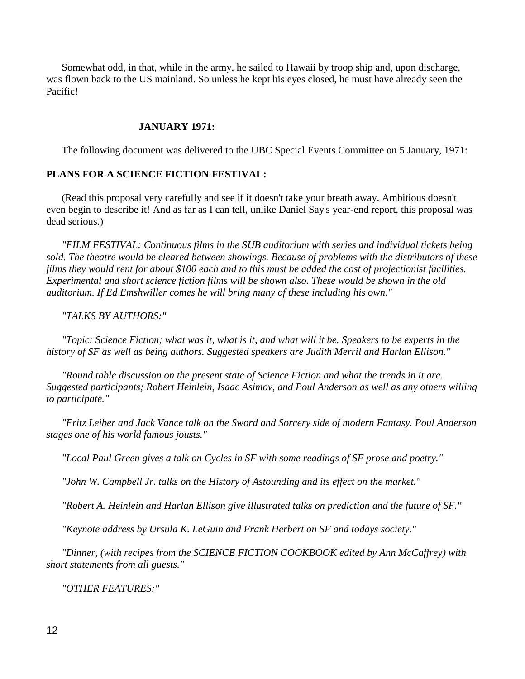Somewhat odd, in that, while in the army, he sailed to Hawaii by troop ship and, upon discharge, was flown back to the US mainland. So unless he kept his eyes closed, he must have already seen the Pacific!

## **JANUARY 1971:**

The following document was delivered to the UBC Special Events Committee on 5 January, 1971:

## **PLANS FOR A SCIENCE FICTION FESTIVAL:**

 (Read this proposal very carefully and see if it doesn't take your breath away. Ambitious doesn't even begin to describe it! And as far as I can tell, unlike Daniel Say's year-end report, this proposal was dead serious.)

 *"FILM FESTIVAL: Continuous films in the SUB auditorium with series and individual tickets being sold. The theatre would be cleared between showings. Because of problems with the distributors of these films they would rent for about \$100 each and to this must be added the cost of projectionist facilities. Experimental and short science fiction films will be shown also. These would be shown in the old auditorium. If Ed Emshwiller comes he will bring many of these including his own."*

*"TALKS BY AUTHORS:"*

 *"Topic: Science Fiction; what was it, what is it, and what will it be. Speakers to be experts in the history of SF as well as being authors. Suggested speakers are Judith Merril and Harlan Ellison."*

 *"Round table discussion on the present state of Science Fiction and what the trends in it are. Suggested participants; Robert Heinlein, Isaac Asimov, and Poul Anderson as well as any others willing to participate."*

 *"Fritz Leiber and Jack Vance talk on the Sword and Sorcery side of modern Fantasy. Poul Anderson stages one of his world famous jousts."*

*"Local Paul Green gives a talk on Cycles in SF with some readings of SF prose and poetry."*

*"John W. Campbell Jr. talks on the History of Astounding and its effect on the market."*

 *"Robert A. Heinlein and Harlan Ellison give illustrated talks on prediction and the future of SF."*

*"Keynote address by Ursula K. LeGuin and Frank Herbert on SF and todays society."*

 *"Dinner, (with recipes from the SCIENCE FICTION COOKBOOK edited by Ann McCaffrey) with short statements from all guests."*

*"OTHER FEATURES:"*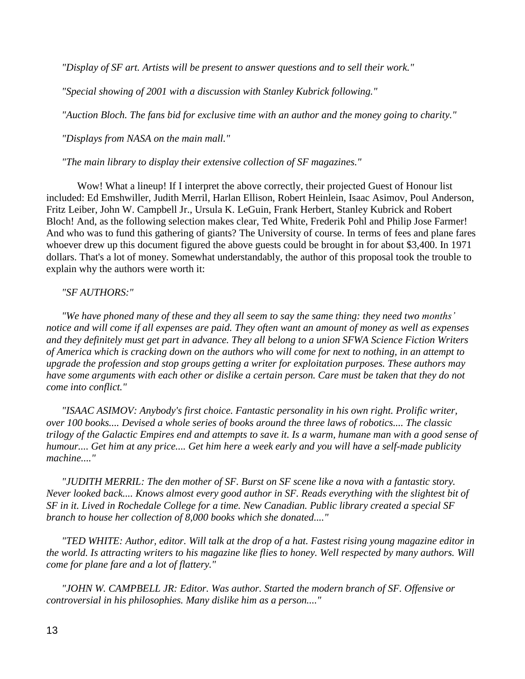*"Display of SF art. Artists will be present to answer questions and to sell their work."*

*"Special showing of 2001 with a discussion with Stanley Kubrick following."*

*"Auction Bloch. The fans bid for exclusive time with an author and the money going to charity."*

*"Displays from NASA on the main mall."*

*"The main library to display their extensive collection of SF magazines."*

Wow! What a lineup! If I interpret the above correctly, their projected Guest of Honour list included: Ed Emshwiller, Judith Merril, Harlan Ellison, Robert Heinlein, Isaac Asimov, Poul Anderson, Fritz Leiber, John W. Campbell Jr., Ursula K. LeGuin, Frank Herbert, Stanley Kubrick and Robert Bloch! And, as the following selection makes clear, Ted White, Frederik Pohl and Philip Jose Farmer! And who was to fund this gathering of giants? The University of course. In terms of fees and plane fares whoever drew up this document figured the above guests could be brought in for about \$3,400. In 1971 dollars. That's a lot of money. Somewhat understandably, the author of this proposal took the trouble to explain why the authors were worth it:

# *"SF AUTHORS:"*

 *"We have phoned many of these and they all seem to say the same thing: they need two months' notice and will come if all expenses are paid. They often want an amount of money as well as expenses and they definitely must get part in advance. They all belong to a union SFWA Science Fiction Writers of America which is cracking down on the authors who will come for next to nothing, in an attempt to upgrade the profession and stop groups getting a writer for exploitation purposes. These authors may have some arguments with each other or dislike a certain person. Care must be taken that they do not come into conflict."*

 *"ISAAC ASIMOV: Anybody's first choice. Fantastic personality in his own right. Prolific writer, over 100 books.... Devised a whole series of books around the three laws of robotics.... The classic trilogy of the Galactic Empires end and attempts to save it. Is a warm, humane man with a good sense of humour.... Get him at any price.... Get him here a week early and you will have a self-made publicity machine...."*

 *"JUDITH MERRIL: The den mother of SF. Burst on SF scene like a nova with a fantastic story. Never looked back.... Knows almost every good author in SF. Reads everything with the slightest bit of SF in it. Lived in Rochedale College for a time. New Canadian. Public library created a special SF branch to house her collection of 8,000 books which she donated...."*

 *"TED WHITE: Author, editor. Will talk at the drop of a hat. Fastest rising young magazine editor in the world. Is attracting writers to his magazine like flies to honey. Well respected by many authors. Will come for plane fare and a lot of flattery."*

 *"JOHN W. CAMPBELL JR: Editor. Was author. Started the modern branch of SF. Offensive or controversial in his philosophies. Many dislike him as a person...."*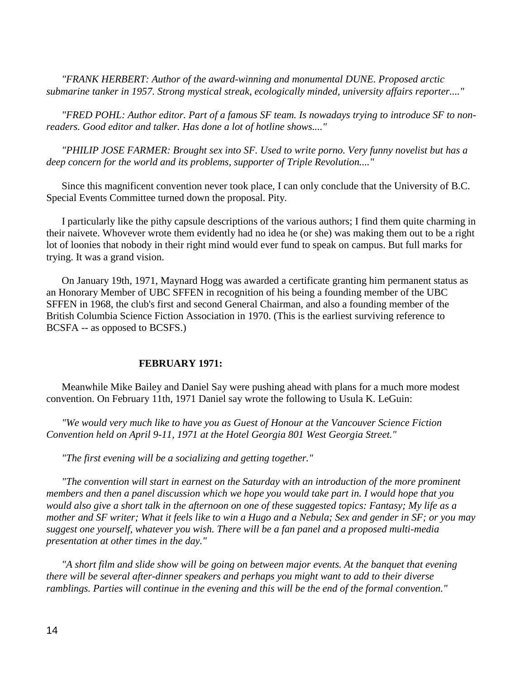*"FRANK HERBERT: Author of the award-winning and monumental DUNE. Proposed arctic submarine tanker in 1957. Strong mystical streak, ecologically minded, university affairs reporter...."*

 *"FRED POHL: Author editor. Part of a famous SF team. Is nowadays trying to introduce SF to nonreaders. Good editor and talker. Has done a lot of hotline shows...."*

 *"PHILIP JOSE FARMER: Brought sex into SF. Used to write porno. Very funny novelist but has a deep concern for the world and its problems, supporter of Triple Revolution...."*

 Since this magnificent convention never took place, I can only conclude that the University of B.C. Special Events Committee turned down the proposal. Pity.

 I particularly like the pithy capsule descriptions of the various authors; I find them quite charming in their naivete. Whovever wrote them evidently had no idea he (or she) was making them out to be a right lot of loonies that nobody in their right mind would ever fund to speak on campus. But full marks for trying. It was a grand vision.

 On January 19th, 1971, Maynard Hogg was awarded a certificate granting him permanent status as an Honorary Member of UBC SFFEN in recognition of his being a founding member of the UBC SFFEN in 1968, the club's first and second General Chairman, and also a founding member of the British Columbia Science Fiction Association in 1970. (This is the earliest surviving reference to BCSFA -- as opposed to BCSFS.)

#### **FEBRUARY 1971:**

 Meanwhile Mike Bailey and Daniel Say were pushing ahead with plans for a much more modest convention. On February 11th, 1971 Daniel say wrote the following to Usula K. LeGuin:

 *"We would very much like to have you as Guest of Honour at the Vancouver Science Fiction Convention held on April 9-11, 1971 at the Hotel Georgia 801 West Georgia Street."*

*"The first evening will be a socializing and getting together."*

 *"The convention will start in earnest on the Saturday with an introduction of the more prominent members and then a panel discussion which we hope you would take part in. I would hope that you would also give a short talk in the afternoon on one of these suggested topics: Fantasy; My life as a mother and SF writer; What it feels like to win a Hugo and a Nebula; Sex and gender in SF; or you may suggest one yourself, whatever you wish. There will be a fan panel and a proposed multi-media presentation at other times in the day."*

 *"A short film and slide show will be going on between major events. At the banquet that evening there will be several after-dinner speakers and perhaps you might want to add to their diverse ramblings. Parties will continue in the evening and this will be the end of the formal convention."*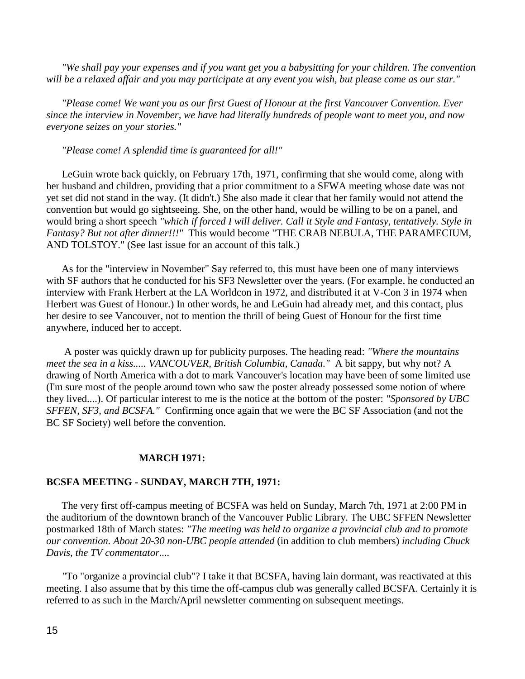*"We shall pay your expenses and if you want get you a babysitting for your children. The convention will be a relaxed affair and you may participate at any event you wish, but please come as our star."*

 *"Please come! We want you as our first Guest of Honour at the first Vancouver Convention. Ever since the interview in November, we have had literally hundreds of people want to meet you, and now everyone seizes on your stories."*

*"Please come! A splendid time is guaranteed for all!"*

 LeGuin wrote back quickly, on February 17th, 1971, confirming that she would come, along with her husband and children, providing that a prior commitment to a SFWA meeting whose date was not yet set did not stand in the way. (It didn't.) She also made it clear that her family would not attend the convention but would go sightseeing. She, on the other hand, would be willing to be on a panel, and would bring a short speech *"which if forced I will deliver. Call it Style and Fantasy, tentatively. Style in Fantasy? But not after dinner!!!"* This would become "THE CRAB NEBULA, THE PARAMECIUM, AND TOLSTOY." (See last issue for an account of this talk.)

 As for the "interview in November" Say referred to, this must have been one of many interviews with SF authors that he conducted for his SF3 Newsletter over the years. (For example, he conducted an interview with Frank Herbert at the LA Worldcon in 1972, and distributed it at V-Con 3 in 1974 when Herbert was Guest of Honour.) In other words, he and LeGuin had already met, and this contact, plus her desire to see Vancouver, not to mention the thrill of being Guest of Honour for the first time anywhere, induced her to accept.

 A poster was quickly drawn up for publicity purposes. The heading read: *"Where the mountains meet the sea in a kiss..... VANCOUVER, British Columbia, Canada."* A bit sappy, but why not? A drawing of North America with a dot to mark Vancouver's location may have been of some limited use (I'm sure most of the people around town who saw the poster already possessed some notion of where they lived....). Of particular interest to me is the notice at the bottom of the poster: *"Sponsored by UBC SFFEN, SF3, and BCSFA."* Confirming once again that we were the BC SF Association (and not the BC SF Society) well before the convention.

#### **MARCH 1971:**

#### **BCSFA MEETING - SUNDAY, MARCH 7TH, 1971:**

 The very first off-campus meeting of BCSFA was held on Sunday, March 7th, 1971 at 2:00 PM in the auditorium of the downtown branch of the Vancouver Public Library. The UBC SFFEN Newsletter postmarked 18th of March states: *"The meeting was held to organize a provincial club and to promote our convention. About 20-30 non-UBC people attended* (in addition to club members) *including Chuck Davis, the TV commentator....*

 *"*To "organize a provincial club"? I take it that BCSFA, having lain dormant, was reactivated at this meeting. I also assume that by this time the off-campus club was generally called BCSFA. Certainly it is referred to as such in the March/April newsletter commenting on subsequent meetings.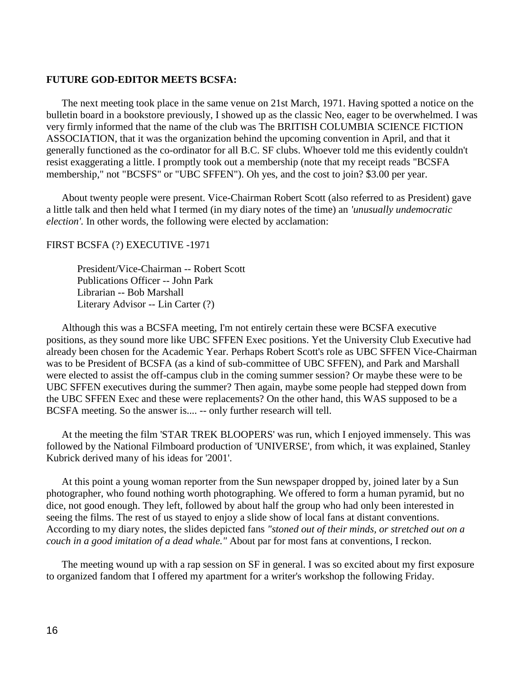## **FUTURE GOD-EDITOR MEETS BCSFA:**

 The next meeting took place in the same venue on 21st March, 1971. Having spotted a notice on the bulletin board in a bookstore previously, I showed up as the classic Neo, eager to be overwhelmed. I was very firmly informed that the name of the club was The BRITISH COLUMBIA SCIENCE FICTION ASSOCIATION, that it was the organization behind the upcoming convention in April, and that it generally functioned as the co-ordinator for all B.C. SF clubs. Whoever told me this evidently couldn't resist exaggerating a little. I promptly took out a membership (note that my receipt reads "BCSFA membership," not "BCSFS" or "UBC SFFEN"). Oh yes, and the cost to join? \$3.00 per year.

 About twenty people were present. Vice-Chairman Robert Scott (also referred to as President) gave a little talk and then held what I termed (in my diary notes of the time) an *'unusually undemocratic election'.* In other words, the following were elected by acclamation:

## FIRST BCSFA (?) EXECUTIVE -1971

President/Vice-Chairman -- Robert Scott Publications Officer -- John Park Librarian -- Bob Marshall Literary Advisor -- Lin Carter (?)

 Although this was a BCSFA meeting, I'm not entirely certain these were BCSFA executive positions, as they sound more like UBC SFFEN Exec positions. Yet the University Club Executive had already been chosen for the Academic Year. Perhaps Robert Scott's role as UBC SFFEN Vice-Chairman was to be President of BCSFA (as a kind of sub-committee of UBC SFFEN), and Park and Marshall were elected to assist the off-campus club in the coming summer session? Or maybe these were to be UBC SFFEN executives during the summer? Then again, maybe some people had stepped down from the UBC SFFEN Exec and these were replacements? On the other hand, this WAS supposed to be a BCSFA meeting. So the answer is.... -- only further research will tell.

 At the meeting the film 'STAR TREK BLOOPERS' was run, which I enjoyed immensely. This was followed by the National Filmboard production of 'UNIVERSE', from which, it was explained, Stanley Kubrick derived many of his ideas for '2001'.

 At this point a young woman reporter from the Sun newspaper dropped by, joined later by a Sun photographer, who found nothing worth photographing. We offered to form a human pyramid, but no dice, not good enough. They left, followed by about half the group who had only been interested in seeing the films. The rest of us stayed to enjoy a slide show of local fans at distant conventions. According to my diary notes, the slides depicted fans *"stoned out of their minds, or stretched out on a couch in a good imitation of a dead whale."* About par for most fans at conventions, I reckon.

 The meeting wound up with a rap session on SF in general. I was so excited about my first exposure to organized fandom that I offered my apartment for a writer's workshop the following Friday.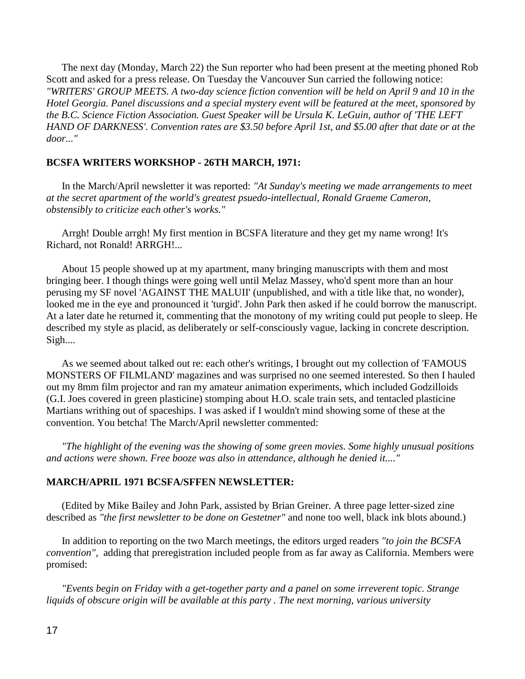The next day (Monday, March 22) the Sun reporter who had been present at the meeting phoned Rob Scott and asked for a press release. On Tuesday the Vancouver Sun carried the following notice: *"WRITERS' GROUP MEETS. A two-day science fiction convention will be held on April 9 and 10 in the Hotel Georgia. Panel discussions and a special mystery event will be featured at the meet, sponsored by the B.C. Science Fiction Association. Guest Speaker will be Ursula K. LeGuin, author of 'THE LEFT HAND OF DARKNESS'. Convention rates are \$3.50 before April 1st, and \$5.00 after that date or at the door..."* 

## **BCSFA WRITERS WORKSHOP - 26TH MARCH, 1971:**

 In the March/April newsletter it was reported: *"At Sunday's meeting we made arrangements to meet at the secret apartment of the world's greatest psuedo-intellectual, Ronald Graeme Cameron, obstensibly to criticize each other's works."*

 Arrgh! Double arrgh! My first mention in BCSFA literature and they get my name wrong! It's Richard, not Ronald! ARRGH!...

 About 15 people showed up at my apartment, many bringing manuscripts with them and most bringing beer. I though things were going well until Melaz Massey, who'd spent more than an hour perusing my SF novel 'AGAINST THE MALUII' (unpublished, and with a title like that, no wonder), looked me in the eye and pronounced it 'turgid'. John Park then asked if he could borrow the manuscript. At a later date he returned it, commenting that the monotony of my writing could put people to sleep. He described my style as placid, as deliberately or self-consciously vague, lacking in concrete description. Sigh....

 As we seemed about talked out re: each other's writings, I brought out my collection of 'FAMOUS MONSTERS OF FILMLAND' magazines and was surprised no one seemed interested. So then I hauled out my 8mm film projector and ran my amateur animation experiments, which included Godzilloids (G.I. Joes covered in green plasticine) stomping about H.O. scale train sets, and tentacled plasticine Martians writhing out of spaceships. I was asked if I wouldn't mind showing some of these at the convention. You betcha! The March/April newsletter commented:

 *"The highlight of the evening was the showing of some green movies. Some highly unusual positions and actions were shown. Free booze was also in attendance, although he denied it...."*

## **MARCH/APRIL 1971 BCSFA/SFFEN NEWSLETTER:**

 (Edited by Mike Bailey and John Park, assisted by Brian Greiner. A three page letter-sized zine described as *"the first newsletter to be done on Gestetner"* and none too well, black ink blots abound.)

 In addition to reporting on the two March meetings, the editors urged readers *"to join the BCSFA convention",* adding that preregistration included people from as far away as California. Members were promised:

 *"Events begin on Friday with a get-together party and a panel on some irreverent topic. Strange liquids of obscure origin will be available at this party . The next morning, various university*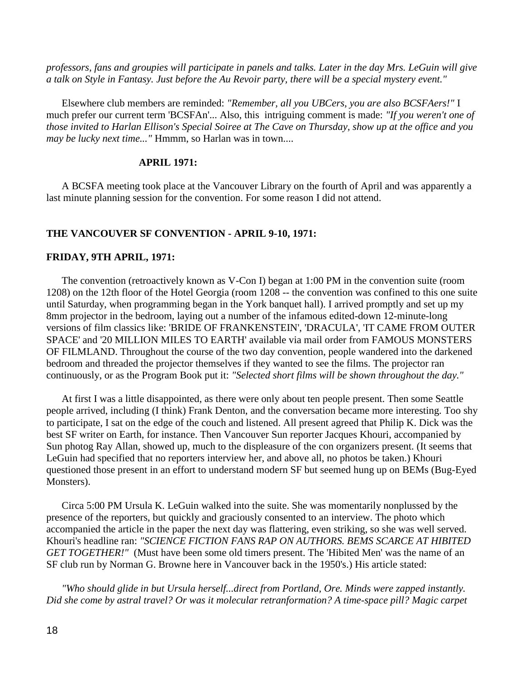*professors, fans and groupies will participate in panels and talks. Later in the day Mrs. LeGuin will give a talk on Style in Fantasy. Just before the Au Revoir party, there will be a special mystery event."* 

 Elsewhere club members are reminded: *"Remember, all you UBCers, you are also BCSFAers!"* I much prefer our current term 'BCSFAn'... Also, this intriguing comment is made: *"If you weren't one of those invited to Harlan Ellison's Special Soiree at The Cave on Thursday, show up at the office and you may be lucky next time..."* Hmmm, so Harlan was in town....

# **APRIL 1971:**

 A BCSFA meeting took place at the Vancouver Library on the fourth of April and was apparently a last minute planning session for the convention. For some reason I did not attend.

## **THE VANCOUVER SF CONVENTION - APRIL 9-10, 1971:**

## **FRIDAY, 9TH APRIL, 1971:**

 The convention (retroactively known as V-Con I) began at 1:00 PM in the convention suite (room 1208) on the 12th floor of the Hotel Georgia (room 1208 -- the convention was confined to this one suite until Saturday, when programming began in the York banquet hall). I arrived promptly and set up my 8mm projector in the bedroom, laying out a number of the infamous edited-down 12-minute-long versions of film classics like: 'BRIDE OF FRANKENSTEIN', 'DRACULA', 'IT CAME FROM OUTER SPACE' and '20 MILLION MILES TO EARTH' available via mail order from FAMOUS MONSTERS OF FILMLAND. Throughout the course of the two day convention, people wandered into the darkened bedroom and threaded the projector themselves if they wanted to see the films. The projector ran continuously, or as the Program Book put it: *"Selected short films will be shown throughout the day."*

 At first I was a little disappointed, as there were only about ten people present. Then some Seattle people arrived, including (I think) Frank Denton, and the conversation became more interesting. Too shy to participate, I sat on the edge of the couch and listened. All present agreed that Philip K. Dick was the best SF writer on Earth, for instance. Then Vancouver Sun reporter Jacques Khouri, accompanied by Sun photog Ray Allan, showed up, much to the displeasure of the con organizers present. (It seems that LeGuin had specified that no reporters interview her, and above all, no photos be taken.) Khouri questioned those present in an effort to understand modern SF but seemed hung up on BEMs (Bug-Eyed Monsters).

 Circa 5:00 PM Ursula K. LeGuin walked into the suite. She was momentarily nonplussed by the presence of the reporters, but quickly and graciously consented to an interview. The photo which accompanied the article in the paper the next day was flattering, even striking, so she was well served. Khouri's headline ran: *"SCIENCE FICTION FANS RAP ON AUTHORS. BEMS SCARCE AT HIBITED GET TOGETHER!"* (Must have been some old timers present. The 'Hibited Men' was the name of an SF club run by Norman G. Browne here in Vancouver back in the 1950's.) His article stated:

 *"Who should glide in but Ursula herself...direct from Portland, Ore. Minds were zapped instantly. Did she come by astral travel? Or was it molecular retranformation? A time-space pill? Magic carpet*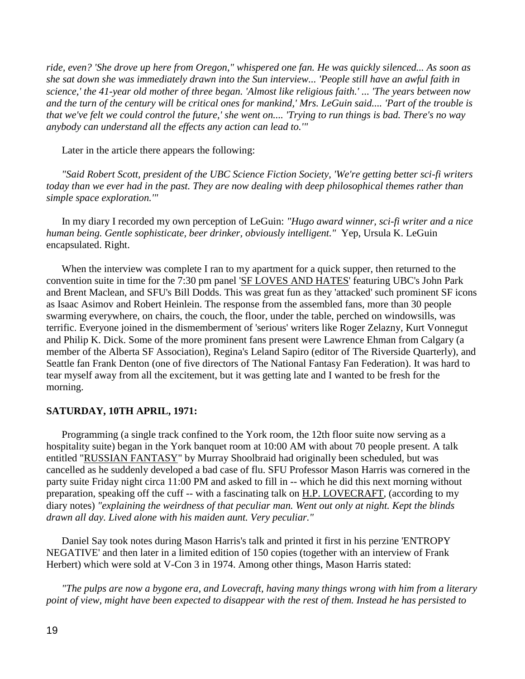*ride, even? 'She drove up here from Oregon," whispered one fan. He was quickly silenced... As soon as she sat down she was immediately drawn into the Sun interview... 'People still have an awful faith in science,' the 41-year old mother of three began. 'Almost like religious faith.' ... 'The years between now and the turn of the century will be critical ones for mankind,' Mrs. LeGuin said.... 'Part of the trouble is that we've felt we could control the future,' she went on.... 'Trying to run things is bad. There's no way anybody can understand all the effects any action can lead to.'"* 

Later in the article there appears the following:

 *"Said Robert Scott, president of the UBC Science Fiction Society, 'We're getting better sci-fi writers today than we ever had in the past. They are now dealing with deep philosophical themes rather than simple space exploration.'"*

 In my diary I recorded my own perception of LeGuin: *"Hugo award winner, sci-fi writer and a nice human being. Gentle sophisticate, beer drinker, obviously intelligent."* Yep, Ursula K. LeGuin encapsulated. Right.

When the interview was complete I ran to my apartment for a quick supper, then returned to the convention suite in time for the 7:30 pm panel 'SF LOVES AND HATES' featuring UBC's John Park and Brent Maclean, and SFU's Bill Dodds. This was great fun as they 'attacked' such prominent SF icons as Isaac Asimov and Robert Heinlein. The response from the assembled fans, more than 30 people swarming everywhere, on chairs, the couch, the floor, under the table, perched on windowsills, was terrific. Everyone joined in the dismemberment of 'serious' writers like Roger Zelazny, Kurt Vonnegut and Philip K. Dick. Some of the more prominent fans present were Lawrence Ehman from Calgary (a member of the Alberta SF Association), Regina's Leland Sapiro (editor of The Riverside Quarterly), and Seattle fan Frank Denton (one of five directors of The National Fantasy Fan Federation). It was hard to tear myself away from all the excitement, but it was getting late and I wanted to be fresh for the morning.

# **SATURDAY, 10TH APRIL, 1971:**

 Programming (a single track confined to the York room, the 12th floor suite now serving as a hospitality suite) began in the York banquet room at 10:00 AM with about 70 people present. A talk entitled "RUSSIAN FANTASY" by Murray Shoolbraid had originally been scheduled, but was cancelled as he suddenly developed a bad case of flu. SFU Professor Mason Harris was cornered in the party suite Friday night circa 11:00 PM and asked to fill in -- which he did this next morning without preparation, speaking off the cuff -- with a fascinating talk on H.P. LOVECRAFT, (according to my diary notes) *"explaining the weirdness of that peculiar man. Went out only at night. Kept the blinds drawn all day. Lived alone with his maiden aunt. Very peculiar."*

 Daniel Say took notes during Mason Harris's talk and printed it first in his perzine 'ENTROPY NEGATIVE' and then later in a limited edition of 150 copies (together with an interview of Frank Herbert) which were sold at V-Con 3 in 1974. Among other things, Mason Harris stated:

 *"The pulps are now a bygone era, and Lovecraft, having many things wrong with him from a literary point of view, might have been expected to disappear with the rest of them. Instead he has persisted to*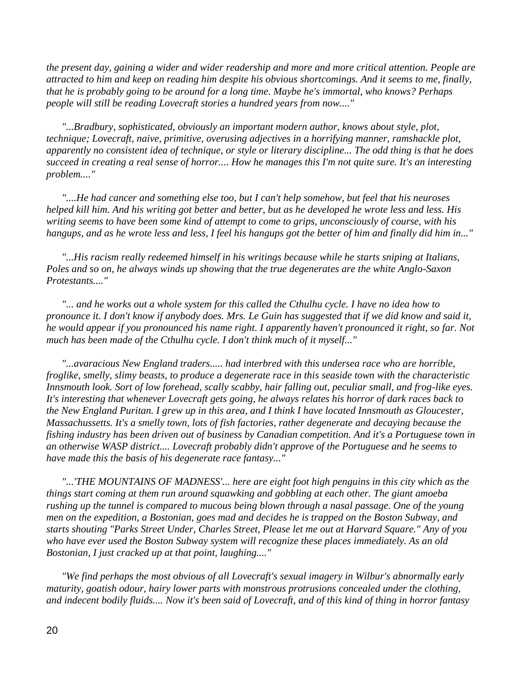*the present day, gaining a wider and wider readership and more and more critical attention. People are attracted to him and keep on reading him despite his obvious shortcomings. And it seems to me, finally, that he is probably going to be around for a long time. Maybe he's immortal, who knows? Perhaps people will still be reading Lovecraft stories a hundred years from now...."*

 *"...Bradbury, sophisticated, obviously an important modern author, knows about style, plot, technique; Lovecraft, naive, primitive, overusing adjectives in a horrifying manner, ramshackle plot, apparently no consistent idea of technique, or style or literary discipline... The odd thing is that he does succeed in creating a real sense of horror.... How he manages this I'm not quite sure. It's an interesting problem...."*

 *"....He had cancer and something else too, but I can't help somehow, but feel that his neuroses helped kill him. And his writing got better and better, but as he developed he wrote less and less. His writing seems to have been some kind of attempt to come to grips, unconsciously of course, with his hangups, and as he wrote less and less, I feel his hangups got the better of him and finally did him in..."*

 *"...His racism really redeemed himself in his writings because while he starts sniping at Italians, Poles and so on, he always winds up showing that the true degenerates are the white Anglo-Saxon Protestants...."*

 *"... and he works out a whole system for this called the Cthulhu cycle. I have no idea how to pronounce it. I don't know if anybody does. Mrs. Le Guin has suggested that if we did know and said it, he would appear if you pronounced his name right. I apparently haven't pronounced it right, so far. Not much has been made of the Cthulhu cycle. I don't think much of it myself..."*

 *"...avaracious New England traders..... had interbred with this undersea race who are horrible, froglike, smelly, slimy beasts, to produce a degenerate race in this seaside town with the characteristic Innsmouth look. Sort of low forehead, scally scabby, hair falling out, peculiar small, and frog-like eyes. It's interesting that whenever Lovecraft gets going, he always relates his horror of dark races back to the New England Puritan. I grew up in this area, and I think I have located Innsmouth as Gloucester, Massachussetts. It's a smelly town, lots of fish factories, rather degenerate and decaying because the fishing industry has been driven out of business by Canadian competition. And it's a Portuguese town in an otherwise WASP district.... Lovecraft probably didn't approve of the Portuguese and he seems to have made this the basis of his degenerate race fantasy..."*

 *"...'THE MOUNTAINS OF MADNESS'... here are eight foot high penguins in this city which as the things start coming at them run around squawking and gobbling at each other. The giant amoeba rushing up the tunnel is compared to mucous being blown through a nasal passage. One of the young men on the expedition, a Bostonian, goes mad and decides he is trapped on the Boston Subway, and starts shouting "Parks Street Under, Charles Street, Please let me out at Harvard Square." Any of you who have ever used the Boston Subway system will recognize these places immediately. As an old Bostonian, I just cracked up at that point, laughing...."*

 *"We find perhaps the most obvious of all Lovecraft's sexual imagery in Wilbur's abnormally early maturity, goatish odour, hairy lower parts with monstrous protrusions concealed under the clothing, and indecent bodily fluids.... Now it's been said of Lovecraft, and of this kind of thing in horror fantasy*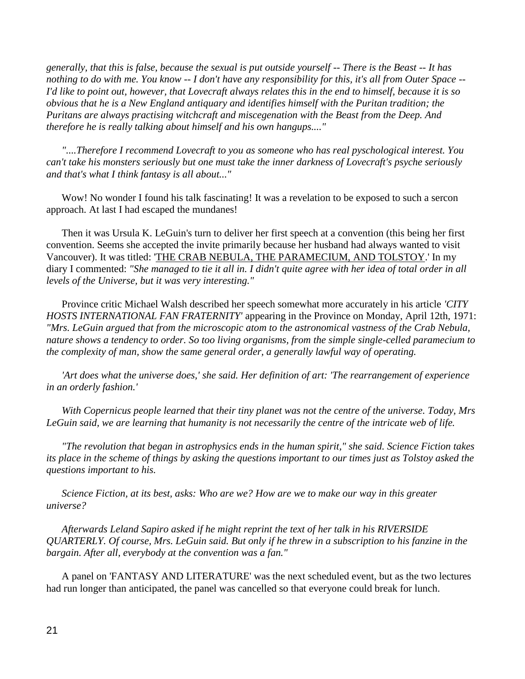*generally, that this is false, because the sexual is put outside yourself -- There is the Beast -- It has nothing to do with me. You know -- I don't have any responsibility for this, it's all from Outer Space -- I'd like to point out, however, that Lovecraft always relates this in the end to himself, because it is so obvious that he is a New England antiquary and identifies himself with the Puritan tradition; the Puritans are always practising witchcraft and miscegenation with the Beast from the Deep. And therefore he is really talking about himself and his own hangups...."*

 *"....Therefore I recommend Lovecraft to you as someone who has real pyschological interest. You can't take his monsters seriously but one must take the inner darkness of Lovecraft's psyche seriously and that's what I think fantasy is all about..."*

Wow! No wonder I found his talk fascinating! It was a revelation to be exposed to such a sercon approach. At last I had escaped the mundanes!

 Then it was Ursula K. LeGuin's turn to deliver her first speech at a convention (this being her first convention. Seems she accepted the invite primarily because her husband had always wanted to visit Vancouver). It was titled: 'THE CRAB NEBULA, THE PARAMECIUM, AND TOLSTOY.' In my diary I commented: *"She managed to tie it all in. I didn't quite agree with her idea of total order in all levels of the Universe, but it was very interesting."*

 Province critic Michael Walsh described her speech somewhat more accurately in his article *'CITY HOSTS INTERNATIONAL FAN FRATERNITY'* appearing in the Province on Monday, April 12th, 1971: *"Mrs. LeGuin argued that from the microscopic atom to the astronomical vastness of the Crab Nebula, nature shows a tendency to order. So too living organisms, from the simple single-celled paramecium to the complexity of man, show the same general order, a generally lawful way of operating.* 

 *'Art does what the universe does,' she said. Her definition of art: 'The rearrangement of experience in an orderly fashion.'* 

 *With Copernicus people learned that their tiny planet was not the centre of the universe. Today, Mrs LeGuin said, we are learning that humanity is not necessarily the centre of the intricate web of life.*

 *"The revolution that began in astrophysics ends in the human spirit," she said. Science Fiction takes its place in the scheme of things by asking the questions important to our times just as Tolstoy asked the questions important to his.*

 *Science Fiction, at its best, asks: Who are we? How are we to make our way in this greater universe?*

 *Afterwards Leland Sapiro asked if he might reprint the text of her talk in his RIVERSIDE QUARTERLY. Of course, Mrs. LeGuin said. But only if he threw in a subscription to his fanzine in the bargain. After all, everybody at the convention was a fan."*

 A panel on 'FANTASY AND LITERATURE' was the next scheduled event, but as the two lectures had run longer than anticipated, the panel was cancelled so that everyone could break for lunch.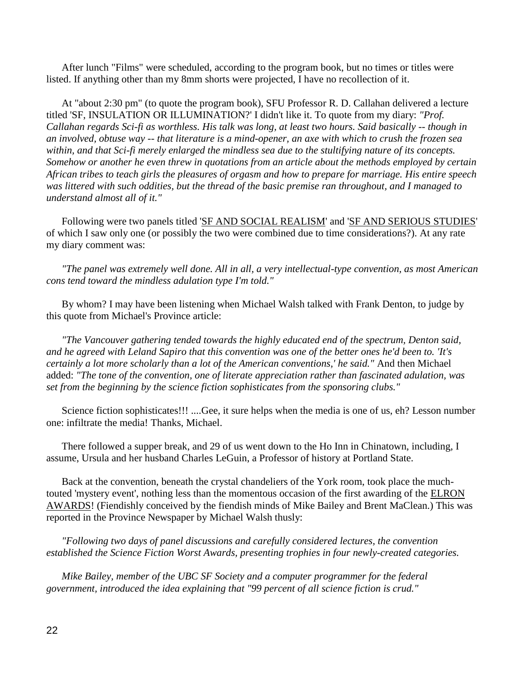After lunch "Films" were scheduled, according to the program book, but no times or titles were listed. If anything other than my 8mm shorts were projected, I have no recollection of it.

 At "about 2:30 pm" (to quote the program book), SFU Professor R. D. Callahan delivered a lecture titled 'SF, INSULATION OR ILLUMINATION?' I didn't like it. To quote from my diary: *"Prof. Callahan regards Sci-fi as worthless. His talk was long, at least two hours. Said basically -- though in an involved, obtuse way -- that literature is a mind-opener, an axe with which to crush the frozen sea within, and that Sci-fi merely enlarged the mindless sea due to the stultifying nature of its concepts. Somehow or another he even threw in quotations from an article about the methods employed by certain African tribes to teach girls the pleasures of orgasm and how to prepare for marriage. His entire speech was littered with such oddities, but the thread of the basic premise ran throughout, and I managed to understand almost all of it."*

 Following were two panels titled 'SF AND SOCIAL REALISM' and 'SF AND SERIOUS STUDIES' of which I saw only one (or possibly the two were combined due to time considerations?). At any rate my diary comment was:

 *"The panel was extremely well done. All in all, a very intellectual-type convention, as most American cons tend toward the mindless adulation type I'm told."*

 By whom? I may have been listening when Michael Walsh talked with Frank Denton, to judge by this quote from Michael's Province article:

 *"The Vancouver gathering tended towards the highly educated end of the spectrum, Denton said, and he agreed with Leland Sapiro that this convention was one of the better ones he'd been to. 'It's certainly a lot more scholarly than a lot of the American conventions,' he said."* And then Michael added: *"The tone of the convention, one of literate appreciation rather than fascinated adulation, was set from the beginning by the science fiction sophisticates from the sponsoring clubs."*

 Science fiction sophisticates!!! ....Gee, it sure helps when the media is one of us, eh? Lesson number one: infiltrate the media! Thanks, Michael.

 There followed a supper break, and 29 of us went down to the Ho Inn in Chinatown, including, I assume, Ursula and her husband Charles LeGuin, a Professor of history at Portland State.

 Back at the convention, beneath the crystal chandeliers of the York room, took place the muchtouted 'mystery event', nothing less than the momentous occasion of the first awarding of the ELRON AWARDS! (Fiendishly conceived by the fiendish minds of Mike Bailey and Brent MaClean.) This was reported in the Province Newspaper by Michael Walsh thusly:

 *"Following two days of panel discussions and carefully considered lectures, the convention established the Science Fiction Worst Awards, presenting trophies in four newly-created categories.*

 *Mike Bailey, member of the UBC SF Society and a computer programmer for the federal government, introduced the idea explaining that "99 percent of all science fiction is crud."*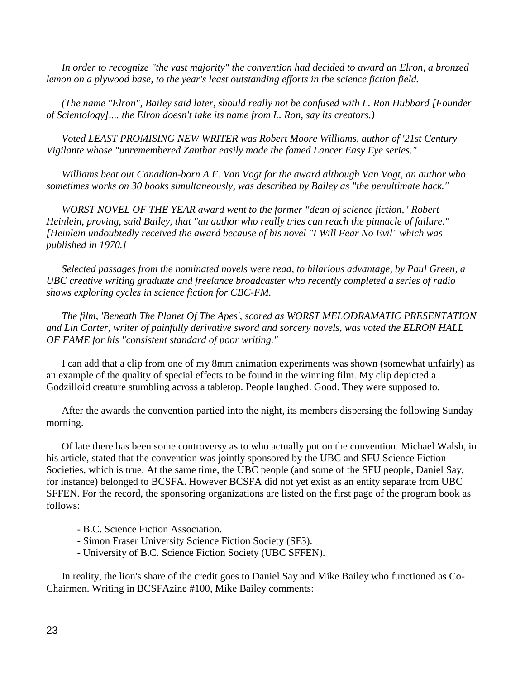*In order to recognize "the vast majority" the convention had decided to award an Elron, a bronzed lemon on a plywood base, to the year's least outstanding efforts in the science fiction field.*

 *(The name "Elron", Bailey said later, should really not be confused with L. Ron Hubbard [Founder of Scientology].... the Elron doesn't take its name from L. Ron, say its creators.)*

 *Voted LEAST PROMISING NEW WRITER was Robert Moore Williams, author of '21st Century Vigilante whose "unremembered Zanthar easily made the famed Lancer Easy Eye series."*

 *Williams beat out Canadian-born A.E. Van Vogt for the award although Van Vogt, an author who sometimes works on 30 books simultaneously, was described by Bailey as "the penultimate hack."*

 *WORST NOVEL OF THE YEAR award went to the former "dean of science fiction," Robert Heinlein, proving, said Bailey, that "an author who really tries can reach the pinnacle of failure." [Heinlein undoubtedly received the award because of his novel "I Will Fear No Evil" which was published in 1970.]*

 *Selected passages from the nominated novels were read, to hilarious advantage, by Paul Green, a UBC creative writing graduate and freelance broadcaster who recently completed a series of radio shows exploring cycles in science fiction for CBC-FM.*

 *The film, 'Beneath The Planet Of The Apes', scored as WORST MELODRAMATIC PRESENTATION and Lin Carter, writer of painfully derivative sword and sorcery novels, was voted the ELRON HALL OF FAME for his "consistent standard of poor writing."*

 I can add that a clip from one of my 8mm animation experiments was shown (somewhat unfairly) as an example of the quality of special effects to be found in the winning film. My clip depicted a Godzilloid creature stumbling across a tabletop. People laughed. Good. They were supposed to.

 After the awards the convention partied into the night, its members dispersing the following Sunday morning.

 Of late there has been some controversy as to who actually put on the convention. Michael Walsh, in his article, stated that the convention was jointly sponsored by the UBC and SFU Science Fiction Societies, which is true. At the same time, the UBC people (and some of the SFU people, Daniel Say, for instance) belonged to BCSFA. However BCSFA did not yet exist as an entity separate from UBC SFFEN. For the record, the sponsoring organizations are listed on the first page of the program book as follows:

- B.C. Science Fiction Association.

- Simon Fraser University Science Fiction Society (SF3).
- University of B.C. Science Fiction Society (UBC SFFEN).

 In reality, the lion's share of the credit goes to Daniel Say and Mike Bailey who functioned as Co-Chairmen. Writing in BCSFAzine #100, Mike Bailey comments: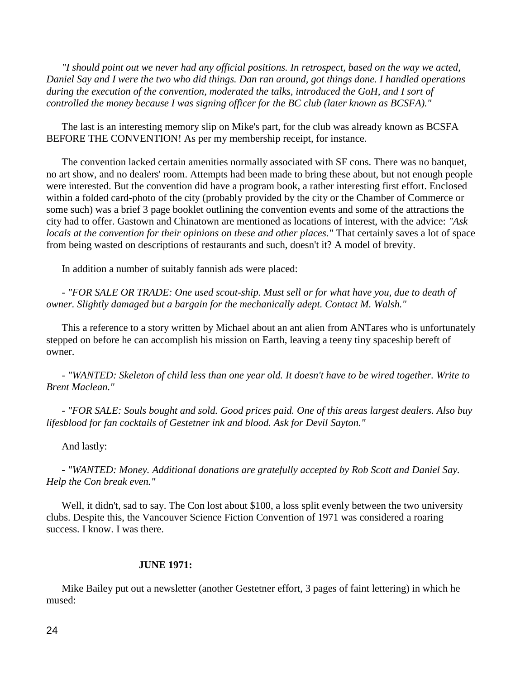*"I should point out we never had any official positions. In retrospect, based on the way we acted, Daniel Say and I were the two who did things. Dan ran around, got things done. I handled operations during the execution of the convention, moderated the talks, introduced the GoH, and I sort of controlled the money because I was signing officer for the BC club (later known as BCSFA)."*

 The last is an interesting memory slip on Mike's part, for the club was already known as BCSFA BEFORE THE CONVENTION! As per my membership receipt, for instance.

 The convention lacked certain amenities normally associated with SF cons. There was no banquet, no art show, and no dealers' room. Attempts had been made to bring these about, but not enough people were interested. But the convention did have a program book, a rather interesting first effort. Enclosed within a folded card-photo of the city (probably provided by the city or the Chamber of Commerce or some such) was a brief 3 page booklet outlining the convention events and some of the attractions the city had to offer. Gastown and Chinatown are mentioned as locations of interest, with the advice: *"Ask locals at the convention for their opinions on these and other places."* That certainly saves a lot of space from being wasted on descriptions of restaurants and such, doesn't it? A model of brevity.

In addition a number of suitably fannish ads were placed:

 - *"FOR SALE OR TRADE: One used scout-ship. Must sell or for what have you, due to death of owner. Slightly damaged but a bargain for the mechanically adept. Contact M. Walsh."*

 This a reference to a story written by Michael about an ant alien from ANTares who is unfortunately stepped on before he can accomplish his mission on Earth, leaving a teeny tiny spaceship bereft of owner.

 - *"WANTED: Skeleton of child less than one year old. It doesn't have to be wired together. Write to Brent Maclean."*

 - *"FOR SALE: Souls bought and sold. Good prices paid. One of this areas largest dealers. Also buy lifesblood for fan cocktails of Gestetner ink and blood. Ask for Devil Sayton."*

And lastly:

 - *"WANTED: Money. Additional donations are gratefully accepted by Rob Scott and Daniel Say. Help the Con break even."*

Well, it didn't, sad to say. The Con lost about \$100, a loss split evenly between the two university clubs. Despite this, the Vancouver Science Fiction Convention of 1971 was considered a roaring success. I know. I was there.

## **JUNE 1971:**

 Mike Bailey put out a newsletter (another Gestetner effort, 3 pages of faint lettering) in which he mused: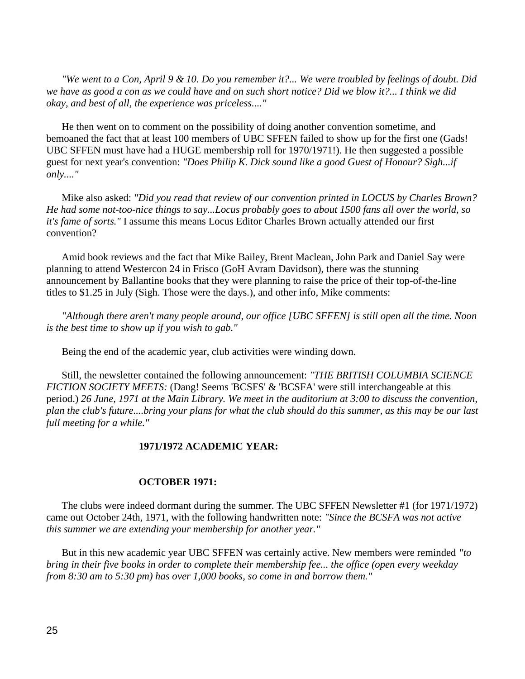*"We went to a Con, April 9 & 10. Do you remember it?... We were troubled by feelings of doubt. Did we have as good a con as we could have and on such short notice? Did we blow it?... I think we did okay, and best of all, the experience was priceless...."*

 He then went on to comment on the possibility of doing another convention sometime, and bemoaned the fact that at least 100 members of UBC SFFEN failed to show up for the first one (Gads! UBC SFFEN must have had a HUGE membership roll for 1970/1971!). He then suggested a possible guest for next year's convention: *"Does Philip K. Dick sound like a good Guest of Honour? Sigh...if only...."*

 Mike also asked: *"Did you read that review of our convention printed in LOCUS by Charles Brown? He had some not-too-nice things to say...Locus probably goes to about 1500 fans all over the world, so it's fame of sorts."* I assume this means Locus Editor Charles Brown actually attended our first convention?

 Amid book reviews and the fact that Mike Bailey, Brent Maclean, John Park and Daniel Say were planning to attend Westercon 24 in Frisco (GoH Avram Davidson), there was the stunning announcement by Ballantine books that they were planning to raise the price of their top-of-the-line titles to \$1.25 in July (Sigh. Those were the days.), and other info, Mike comments:

 *"Although there aren't many people around, our office [UBC SFFEN] is still open all the time. Noon is the best time to show up if you wish to gab."*

Being the end of the academic year, club activities were winding down.

 Still, the newsletter contained the following announcement: *"THE BRITISH COLUMBIA SCIENCE FICTION SOCIETY MEETS:* (Dang! Seems 'BCSFS' & 'BCSFA' were still interchangeable at this period.) *26 June, 1971 at the Main Library. We meet in the auditorium at 3:00 to discuss the convention, plan the club's future....bring your plans for what the club should do this summer, as this may be our last full meeting for a while."*

# **1971/1972 ACADEMIC YEAR:**

## **OCTOBER 1971:**

 The clubs were indeed dormant during the summer. The UBC SFFEN Newsletter #1 (for 1971/1972) came out October 24th, 1971, with the following handwritten note: *"Since the BCSFA was not active this summer we are extending your membership for another year."*

 But in this new academic year UBC SFFEN was certainly active. New members were reminded *"to bring in their five books in order to complete their membership fee... the office (open every weekday from 8:30 am to 5:30 pm) has over 1,000 books, so come in and borrow them."*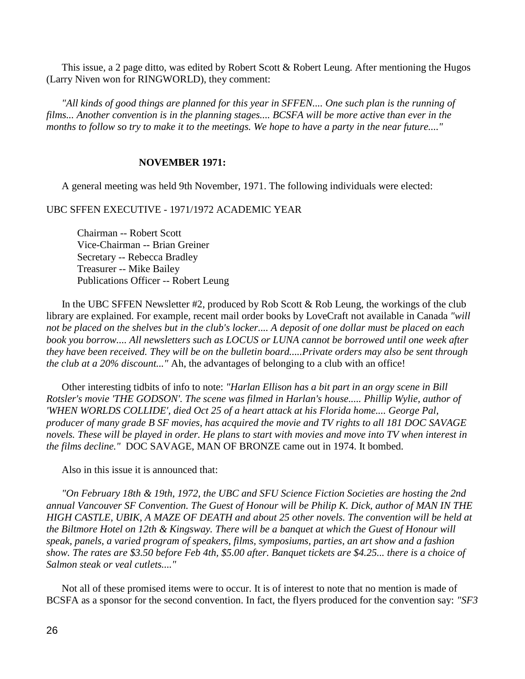This issue, a 2 page ditto, was edited by Robert Scott & Robert Leung. After mentioning the Hugos (Larry Niven won for RINGWORLD), they comment:

 *"All kinds of good things are planned for this year in SFFEN.... One such plan is the running of films... Another convention is in the planning stages.... BCSFA will be more active than ever in the months to follow so try to make it to the meetings. We hope to have a party in the near future...."*

## **NOVEMBER 1971:**

A general meeting was held 9th November, 1971. The following individuals were elected:

UBC SFFEN EXECUTIVE - 1971/1972 ACADEMIC YEAR

Chairman -- Robert Scott Vice-Chairman -- Brian Greiner Secretary -- Rebecca Bradley Treasurer -- Mike Bailey Publications Officer -- Robert Leung

In the UBC SFFEN Newsletter  $#2$ , produced by Rob Scott  $\&$  Rob Leung, the workings of the club library are explained. For example, recent mail order books by LoveCraft not available in Canada *"will not be placed on the shelves but in the club's locker.... A deposit of one dollar must be placed on each book you borrow.... All newsletters such as LOCUS or LUNA cannot be borrowed until one week after they have been received. They will be on the bulletin board.....Private orders may also be sent through the club at a 20% discount..."* Ah, the advantages of belonging to a club with an office!

 Other interesting tidbits of info to note: *"Harlan Ellison has a bit part in an orgy scene in Bill Rotsler's movie 'THE GODSON'. The scene was filmed in Harlan's house..... Phillip Wylie, author of 'WHEN WORLDS COLLIDE', died Oct 25 of a heart attack at his Florida home.... George Pal, producer of many grade B SF movies, has acquired the movie and TV rights to all 181 DOC SAVAGE novels. These will be played in order. He plans to start with movies and move into TV when interest in the films decline."* DOC SAVAGE, MAN OF BRONZE came out in 1974. It bombed.

Also in this issue it is announced that:

 *"On February 18th & 19th, 1972, the UBC and SFU Science Fiction Societies are hosting the 2nd annual Vancouver SF Convention. The Guest of Honour will be Philip K. Dick, author of MAN IN THE HIGH CASTLE, UBIK, A MAZE OF DEATH and about 25 other novels. The convention will be held at the Biltmore Hotel on 12th & Kingsway. There will be a banquet at which the Guest of Honour will speak, panels, a varied program of speakers, films, symposiums, parties, an art show and a fashion show. The rates are \$3.50 before Feb 4th, \$5.00 after. Banquet tickets are \$4.25... there is a choice of Salmon steak or veal cutlets...."*

 Not all of these promised items were to occur. It is of interest to note that no mention is made of BCSFA as a sponsor for the second convention. In fact, the flyers produced for the convention say: *"SF3*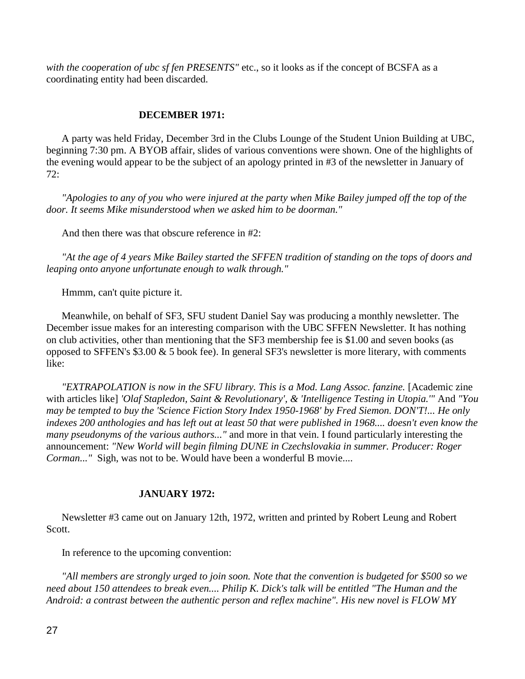*with the cooperation of ubc sf fen PRESENTS"* etc., so it looks as if the concept of BCSFA as a coordinating entity had been discarded.

# **DECEMBER 1971:**

 A party was held Friday, December 3rd in the Clubs Lounge of the Student Union Building at UBC, beginning 7:30 pm. A BYOB affair, slides of various conventions were shown. One of the highlights of the evening would appear to be the subject of an apology printed in #3 of the newsletter in January of 72:

*"Apologies to any of you who were injured at the party when Mike Bailey jumped off the top of the door. It seems Mike misunderstood when we asked him to be doorman."*

And then there was that obscure reference in #2:

 *"At the age of 4 years Mike Bailey started the SFFEN tradition of standing on the tops of doors and leaping onto anyone unfortunate enough to walk through."*

Hmmm, can't quite picture it.

 Meanwhile, on behalf of SF3, SFU student Daniel Say was producing a monthly newsletter. The December issue makes for an interesting comparison with the UBC SFFEN Newsletter. It has nothing on club activities, other than mentioning that the SF3 membership fee is \$1.00 and seven books (as opposed to SFFEN's \$3.00 & 5 book fee). In general SF3's newsletter is more literary, with comments like:

"EXTRAPOLATION is now in the SFU library. This is a Mod. Lang Assoc. fanzine. [Academic zine with articles like] *'Olaf Stapledon, Saint & Revolutionary', & 'Intelligence Testing in Utopia.'"* And *"You may be tempted to buy the 'Science Fiction Story Index 1950-1968' by Fred Siemon. DON'T!... He only indexes 200 anthologies and has left out at least 50 that were published in 1968.... doesn't even know the many pseudonyms of the various authors..."* and more in that vein. I found particularly interesting the announcement: *"New World will begin filming DUNE in Czechslovakia in summer. Producer: Roger Corman..."* Sigh, was not to be. Would have been a wonderful B movie....

# **JANUARY 1972:**

 Newsletter #3 came out on January 12th, 1972, written and printed by Robert Leung and Robert Scott.

In reference to the upcoming convention:

 *"All members are strongly urged to join soon. Note that the convention is budgeted for \$500 so we need about 150 attendees to break even.... Philip K. Dick's talk will be entitled "The Human and the Android: a contrast between the authentic person and reflex machine". His new novel is FLOW MY*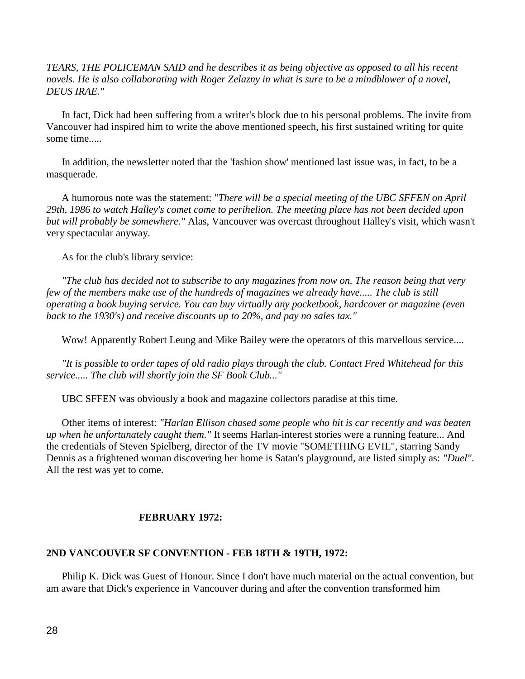*TEARS, THE POLICEMAN SAID and he describes it as being objective as opposed to all his recent novels. He is also collaborating with Roger Zelazny in what is sure to be a mindblower of a novel, DEUS IRAE."*

 In fact, Dick had been suffering from a writer's block due to his personal problems. The invite from Vancouver had inspired him to write the above mentioned speech, his first sustained writing for quite some time.....

 In addition, the newsletter noted that the 'fashion show' mentioned last issue was, in fact, to be a masquerade.

 A humorous note was the statement: "*There will be a special meeting of the UBC SFFEN on April 29th, 1986 to watch Halley's comet come to perihelion. The meeting place has not been decided upon but will probably be somewhere."* Alas, Vancouver was overcast throughout Halley's visit, which wasn't very spectacular anyway.

As for the club's library service:

 *"The club has decided not to subscribe to any magazines from now on. The reason being that very few of the members make use of the hundreds of magazines we already have..... The club is still operating a book buying service. You can buy virtually any pocketbook, hardcover or magazine (even back to the 1930's) and receive discounts up to 20%, and pay no sales tax."*

Wow! Apparently Robert Leung and Mike Bailey were the operators of this marvellous service....

 *"It is possible to order tapes of old radio plays through the club. Contact Fred Whitehead for this service..... The club will shortly join the SF Book Club..."* 

UBC SFFEN was obviously a book and magazine collectors paradise at this time.

 Other items of interest: *"Harlan Ellison chased some people who hit is car recently and was beaten up when he unfortunately caught them."* It seems Harlan-interest stories were a running feature... And the credentials of Steven Spielberg, director of the TV movie "SOMETHING EVIL", starring Sandy Dennis as a frightened woman discovering her home is Satan's playground, are listed simply as: *"Duel"*. All the rest was yet to come.

# **FEBRUARY 1972:**

# **2ND VANCOUVER SF CONVENTION - FEB 18TH & 19TH, 1972:**

 Philip K. Dick was Guest of Honour. Since I don't have much material on the actual convention, but am aware that Dick's experience in Vancouver during and after the convention transformed him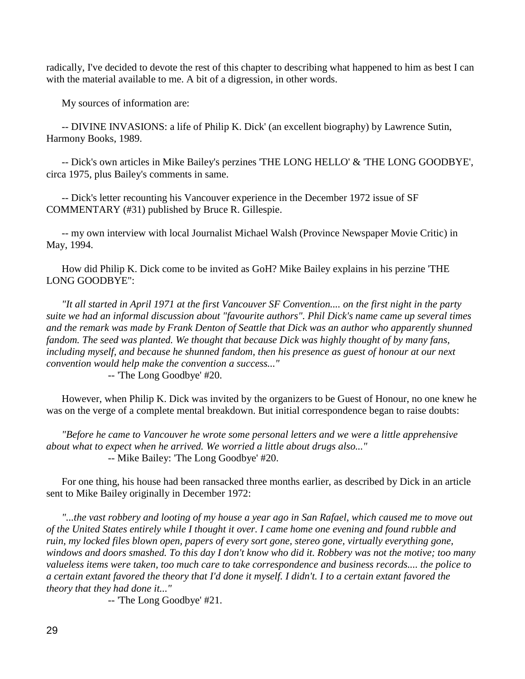radically, I've decided to devote the rest of this chapter to describing what happened to him as best I can with the material available to me. A bit of a digression, in other words.

My sources of information are:

 -- DIVINE INVASIONS: a life of Philip K. Dick' (an excellent biography) by Lawrence Sutin, Harmony Books, 1989.

 -- Dick's own articles in Mike Bailey's perzines 'THE LONG HELLO' & 'THE LONG GOODBYE', circa 1975, plus Bailey's comments in same.

 -- Dick's letter recounting his Vancouver experience in the December 1972 issue of SF COMMENTARY (#31) published by Bruce R. Gillespie.

 -- my own interview with local Journalist Michael Walsh (Province Newspaper Movie Critic) in May, 1994.

 How did Philip K. Dick come to be invited as GoH? Mike Bailey explains in his perzine 'THE LONG GOODBYE":

 *"It all started in April 1971 at the first Vancouver SF Convention.... on the first night in the party suite we had an informal discussion about "favourite authors". Phil Dick's name came up several times and the remark was made by Frank Denton of Seattle that Dick was an author who apparently shunned fandom. The seed was planted. We thought that because Dick was highly thought of by many fans,*  including myself, and because he shunned fandom, then his presence as guest of honour at our next *convention would help make the convention a success..."*

-- 'The Long Goodbye' #20.

 However, when Philip K. Dick was invited by the organizers to be Guest of Honour, no one knew he was on the verge of a complete mental breakdown. But initial correspondence began to raise doubts:

 *"Before he came to Vancouver he wrote some personal letters and we were a little apprehensive about what to expect when he arrived. We worried a little about drugs also..."* -- Mike Bailey: 'The Long Goodbye' #20.

 For one thing, his house had been ransacked three months earlier, as described by Dick in an article sent to Mike Bailey originally in December 1972:

 *"...the vast robbery and looting of my house a year ago in San Rafael, which caused me to move out of the United States entirely while I thought it over. I came home one evening and found rubble and ruin, my locked files blown open, papers of every sort gone, stereo gone, virtually everything gone, windows and doors smashed. To this day I don't know who did it. Robbery was not the motive; too many valueless items were taken, too much care to take correspondence and business records.... the police to a certain extant favored the theory that I'd done it myself. I didn't. I to a certain extant favored the theory that they had done it..."*

-- 'The Long Goodbye' #21.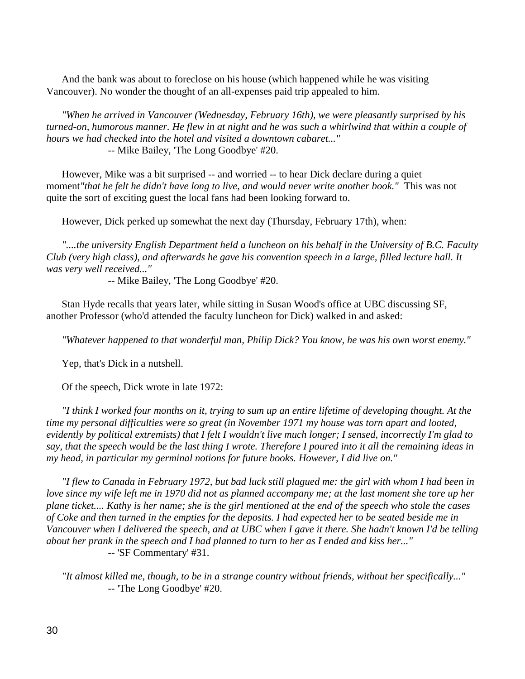And the bank was about to foreclose on his house (which happened while he was visiting Vancouver). No wonder the thought of an all-expenses paid trip appealed to him.

 *"When he arrived in Vancouver (Wednesday, February 16th), we were pleasantly surprised by his turned-on, humorous manner. He flew in at night and he was such a whirlwind that within a couple of hours we had checked into the hotel and visited a downtown cabaret..."* -- Mike Bailey, 'The Long Goodbye' #20.

 However, Mike was a bit surprised -- and worried -- to hear Dick declare during a quiet moment*"that he felt he didn't have long to live, and would never write another book."* This was not quite the sort of exciting guest the local fans had been looking forward to.

However, Dick perked up somewhat the next day (Thursday, February 17th), when:

 *"....the university English Department held a luncheon on his behalf in the University of B.C. Faculty Club (very high class), and afterwards he gave his convention speech in a large, filled lecture hall. It was very well received..."* 

-- Mike Bailey, 'The Long Goodbye' #20.

 Stan Hyde recalls that years later, while sitting in Susan Wood's office at UBC discussing SF, another Professor (who'd attended the faculty luncheon for Dick) walked in and asked:

*"Whatever happened to that wonderful man, Philip Dick? You know, he was his own worst enemy."* 

Yep, that's Dick in a nutshell.

Of the speech, Dick wrote in late 1972:

 *"I think I worked four months on it, trying to sum up an entire lifetime of developing thought. At the time my personal difficulties were so great (in November 1971 my house was torn apart and looted, evidently by political extremists) that I felt I wouldn't live much longer; I sensed, incorrectly I'm glad to say, that the speech would be the last thing I wrote. Therefore I poured into it all the remaining ideas in my head, in particular my germinal notions for future books. However, I did live on."*

 *"I flew to Canada in February 1972, but bad luck still plagued me: the girl with whom I had been in love since my wife left me in 1970 did not as planned accompany me; at the last moment she tore up her plane ticket.... Kathy is her name; she is the girl mentioned at the end of the speech who stole the cases of Coke and then turned in the empties for the deposits. I had expected her to be seated beside me in Vancouver when I delivered the speech, and at UBC when I gave it there. She hadn't known I'd be telling about her prank in the speech and I had planned to turn to her as I ended and kiss her..."* -- 'SF Commentary' #31.

 *"It almost killed me, though, to be in a strange country without friends, without her specifically..."* -- 'The Long Goodbye' #20.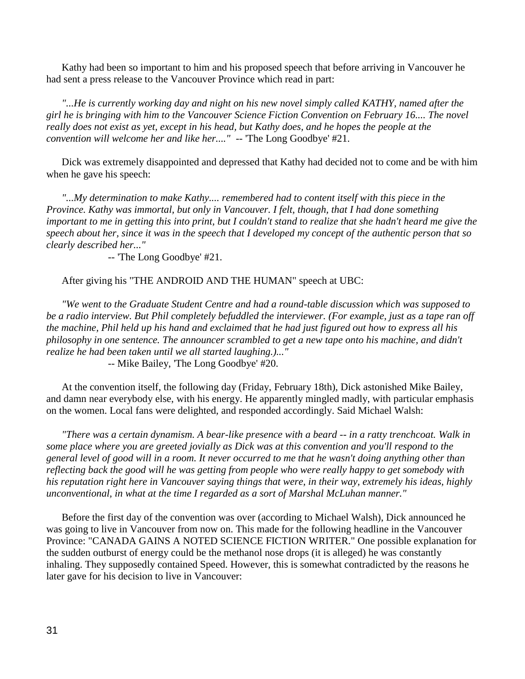Kathy had been so important to him and his proposed speech that before arriving in Vancouver he had sent a press release to the Vancouver Province which read in part:

 *"...He is currently working day and night on his new novel simply called KATHY, named after the girl he is bringing with him to the Vancouver Science Fiction Convention on February 16.... The novel really does not exist as yet, except in his head, but Kathy does, and he hopes the people at the convention will welcome her and like her...."* -- 'The Long Goodbye' #21.

 Dick was extremely disappointed and depressed that Kathy had decided not to come and be with him when he gave his speech:

 *"...My determination to make Kathy.... remembered had to content itself with this piece in the Province. Kathy was immortal, but only in Vancouver. I felt, though, that I had done something important to me in getting this into print, but I couldn't stand to realize that she hadn't heard me give the speech about her, since it was in the speech that I developed my concept of the authentic person that so clearly described her..."*

-- 'The Long Goodbye' #21.

After giving his "THE ANDROID AND THE HUMAN" speech at UBC:

 *"We went to the Graduate Student Centre and had a round-table discussion which was supposed to be a radio interview. But Phil completely befuddled the interviewer. (For example, just as a tape ran off the machine, Phil held up his hand and exclaimed that he had just figured out how to express all his philosophy in one sentence. The announcer scrambled to get a new tape onto his machine, and didn't realize he had been taken until we all started laughing.)..."*

-- Mike Bailey, 'The Long Goodbye' #20.

 At the convention itself, the following day (Friday, February 18th), Dick astonished Mike Bailey, and damn near everybody else, with his energy. He apparently mingled madly, with particular emphasis on the women. Local fans were delighted, and responded accordingly. Said Michael Walsh:

 *"There was a certain dynamism. A bear-like presence with a beard -- in a ratty trenchcoat. Walk in some place where you are greeted jovially as Dick was at this convention and you'll respond to the general level of good will in a room. It never occurred to me that he wasn't doing anything other than reflecting back the good will he was getting from people who were really happy to get somebody with his reputation right here in Vancouver saying things that were, in their way, extremely his ideas, highly unconventional, in what at the time I regarded as a sort of Marshal McLuhan manner."*

 Before the first day of the convention was over (according to Michael Walsh), Dick announced he was going to live in Vancouver from now on. This made for the following headline in the Vancouver Province: "CANADA GAINS A NOTED SCIENCE FICTION WRITER." One possible explanation for the sudden outburst of energy could be the methanol nose drops (it is alleged) he was constantly inhaling. They supposedly contained Speed. However, this is somewhat contradicted by the reasons he later gave for his decision to live in Vancouver: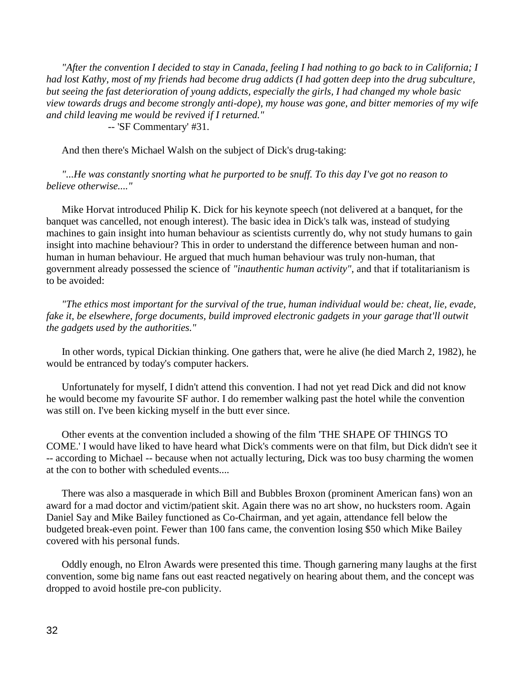*"After the convention I decided to stay in Canada, feeling I had nothing to go back to in California; I had lost Kathy, most of my friends had become drug addicts (I had gotten deep into the drug subculture, but seeing the fast deterioration of young addicts, especially the girls, I had changed my whole basic view towards drugs and become strongly anti-dope), my house was gone, and bitter memories of my wife and child leaving me would be revived if I returned."* -- 'SF Commentary' #31.

And then there's Michael Walsh on the subject of Dick's drug-taking:

 *"...He was constantly snorting what he purported to be snuff. To this day I've got no reason to believe otherwise...."*

 Mike Horvat introduced Philip K. Dick for his keynote speech (not delivered at a banquet, for the banquet was cancelled, not enough interest). The basic idea in Dick's talk was, instead of studying machines to gain insight into human behaviour as scientists currently do, why not study humans to gain insight into machine behaviour? This in order to understand the difference between human and nonhuman in human behaviour. He argued that much human behaviour was truly non-human, that government already possessed the science of *"inauthentic human activity"*, and that if totalitarianism is to be avoided:

 *"The ethics most important for the survival of the true, human individual would be: cheat, lie, evade, fake it, be elsewhere, forge documents, build improved electronic gadgets in your garage that'll outwit the gadgets used by the authorities."*

 In other words, typical Dickian thinking. One gathers that, were he alive (he died March 2, 1982), he would be entranced by today's computer hackers.

 Unfortunately for myself, I didn't attend this convention. I had not yet read Dick and did not know he would become my favourite SF author. I do remember walking past the hotel while the convention was still on. I've been kicking myself in the butt ever since.

 Other events at the convention included a showing of the film 'THE SHAPE OF THINGS TO COME.' I would have liked to have heard what Dick's comments were on that film, but Dick didn't see it -- according to Michael -- because when not actually lecturing, Dick was too busy charming the women at the con to bother with scheduled events....

 There was also a masquerade in which Bill and Bubbles Broxon (prominent American fans) won an award for a mad doctor and victim/patient skit. Again there was no art show, no hucksters room. Again Daniel Say and Mike Bailey functioned as Co-Chairman, and yet again, attendance fell below the budgeted break-even point. Fewer than 100 fans came, the convention losing \$50 which Mike Bailey covered with his personal funds.

 Oddly enough, no Elron Awards were presented this time. Though garnering many laughs at the first convention, some big name fans out east reacted negatively on hearing about them, and the concept was dropped to avoid hostile pre-con publicity.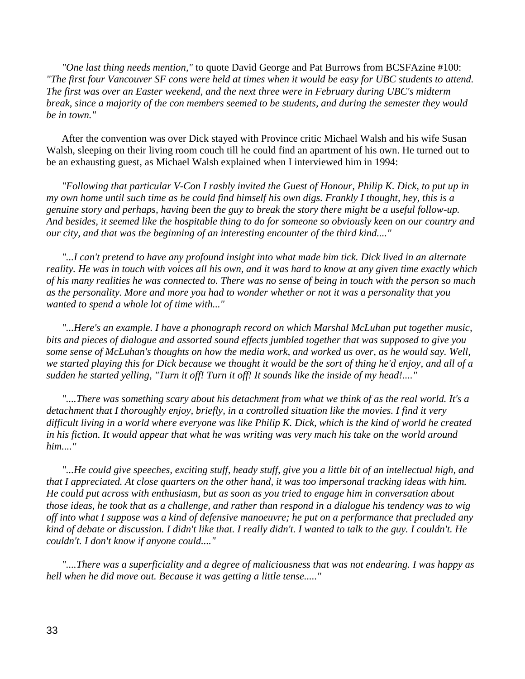*"One last thing needs mention,"* to quote David George and Pat Burrows from BCSFAzine #100: *"The first four Vancouver SF cons were held at times when it would be easy for UBC students to attend. The first was over an Easter weekend, and the next three were in February during UBC's midterm break, since a majority of the con members seemed to be students, and during the semester they would be in town."*

 After the convention was over Dick stayed with Province critic Michael Walsh and his wife Susan Walsh, sleeping on their living room couch till he could find an apartment of his own. He turned out to be an exhausting guest, as Michael Walsh explained when I interviewed him in 1994:

 *"Following that particular V-Con I rashly invited the Guest of Honour, Philip K. Dick, to put up in my own home until such time as he could find himself his own digs. Frankly I thought, hey, this is a genuine story and perhaps, having been the guy to break the story there might be a useful follow-up. And besides, it seemed like the hospitable thing to do for someone so obviously keen on our country and our city, and that was the beginning of an interesting encounter of the third kind...."*

 *"...I can't pretend to have any profound insight into what made him tick. Dick lived in an alternate reality. He was in touch with voices all his own, and it was hard to know at any given time exactly which of his many realities he was connected to. There was no sense of being in touch with the person so much as the personality. More and more you had to wonder whether or not it was a personality that you wanted to spend a whole lot of time with..."*

 *"...Here's an example. I have a phonograph record on which Marshal McLuhan put together music, bits and pieces of dialogue and assorted sound effects jumbled together that was supposed to give you some sense of McLuhan's thoughts on how the media work, and worked us over, as he would say. Well, we started playing this for Dick because we thought it would be the sort of thing he'd enjoy, and all of a sudden he started yelling, "Turn it off! Turn it off! It sounds like the inside of my head!...."*

 *"....There was something scary about his detachment from what we think of as the real world. It's a detachment that I thoroughly enjoy, briefly, in a controlled situation like the movies. I find it very difficult living in a world where everyone was like Philip K. Dick, which is the kind of world he created in his fiction. It would appear that what he was writing was very much his take on the world around him...."*

 *"...He could give speeches, exciting stuff, heady stuff, give you a little bit of an intellectual high, and that I appreciated. At close quarters on the other hand, it was too impersonal tracking ideas with him. He could put across with enthusiasm, but as soon as you tried to engage him in conversation about those ideas, he took that as a challenge, and rather than respond in a dialogue his tendency was to wig off into what I suppose was a kind of defensive manoeuvre; he put on a performance that precluded any kind of debate or discussion. I didn't like that. I really didn't. I wanted to talk to the guy. I couldn't. He couldn't. I don't know if anyone could...."*

 *"....There was a superficiality and a degree of maliciousness that was not endearing. I was happy as hell when he did move out. Because it was getting a little tense....."*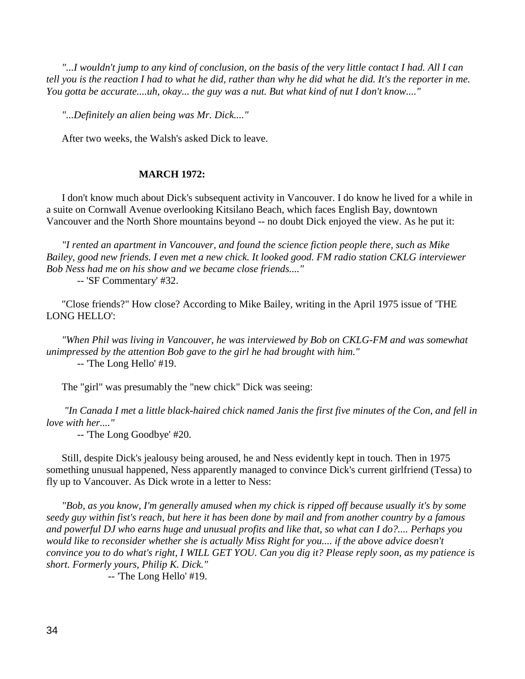*"...I wouldn't jump to any kind of conclusion, on the basis of the very little contact I had. All I can tell you is the reaction I had to what he did, rather than why he did what he did. It's the reporter in me. You gotta be accurate....uh, okay... the guy was a nut. But what kind of nut I don't know...."* 

 *"...Definitely an alien being was Mr. Dick...."* 

After two weeks, the Walsh's asked Dick to leave.

#### **MARCH 1972:**

 I don't know much about Dick's subsequent activity in Vancouver. I do know he lived for a while in a suite on Cornwall Avenue overlooking Kitsilano Beach, which faces English Bay, downtown Vancouver and the North Shore mountains beyond -- no doubt Dick enjoyed the view. As he put it:

 *"I rented an apartment in Vancouver, and found the science fiction people there, such as Mike Bailey, good new friends. I even met a new chick. It looked good. FM radio station CKLG interviewer Bob Ness had me on his show and we became close friends...."*

-- 'SF Commentary' #32.

 "Close friends?" How close? According to Mike Bailey, writing in the April 1975 issue of 'THE LONG HELLO':

 *"When Phil was living in Vancouver, he was interviewed by Bob on CKLG-FM and was somewhat unimpressed by the attention Bob gave to the girl he had brought with him."* -- 'The Long Hello' #19.

The "girl" was presumably the "new chick" Dick was seeing:

 *"In Canada I met a little black-haired chick named Janis the first five minutes of the Con, and fell in love with her...."*

-- 'The Long Goodbye' #20.

 Still, despite Dick's jealousy being aroused, he and Ness evidently kept in touch. Then in 1975 something unusual happened, Ness apparently managed to convince Dick's current girlfriend (Tessa) to fly up to Vancouver. As Dick wrote in a letter to Ness:

 *"Bob, as you know, I'm generally amused when my chick is ripped off because usually it's by some seedy guy within fist's reach, but here it has been done by mail and from another country by a famous and powerful DJ who earns huge and unusual profits and like that, so what can I do?.... Perhaps you would like to reconsider whether she is actually Miss Right for you.... if the above advice doesn't convince you to do what's right, I WILL GET YOU. Can you dig it? Please reply soon, as my patience is short. Formerly yours, Philip K. Dick."*

-- 'The Long Hello' #19.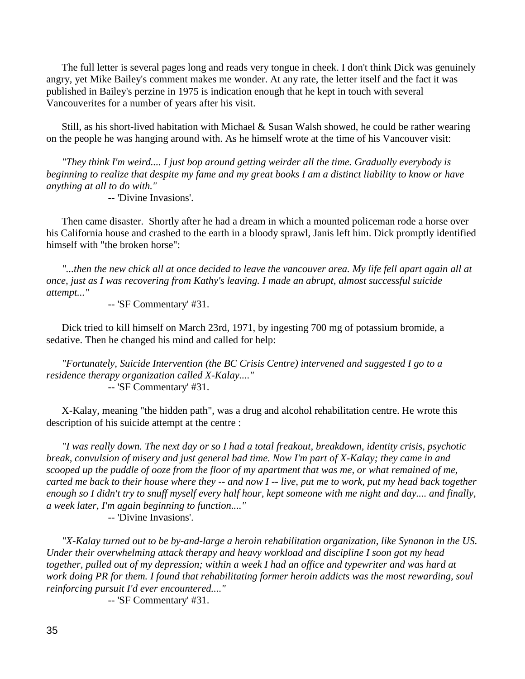The full letter is several pages long and reads very tongue in cheek. I don't think Dick was genuinely angry, yet Mike Bailey's comment makes me wonder. At any rate, the letter itself and the fact it was published in Bailey's perzine in 1975 is indication enough that he kept in touch with several Vancouverites for a number of years after his visit.

 Still, as his short-lived habitation with Michael & Susan Walsh showed, he could be rather wearing on the people he was hanging around with. As he himself wrote at the time of his Vancouver visit:

 *"They think I'm weird.... I just bop around getting weirder all the time. Gradually everybody is beginning to realize that despite my fame and my great books I am a distinct liability to know or have anything at all to do with."*

-- 'Divine Invasions'.

 Then came disaster. Shortly after he had a dream in which a mounted policeman rode a horse over his California house and crashed to the earth in a bloody sprawl, Janis left him. Dick promptly identified himself with "the broken horse":

 *"...then the new chick all at once decided to leave the vancouver area. My life fell apart again all at once, just as I was recovering from Kathy's leaving. I made an abrupt, almost successful suicide attempt..."*

-- 'SF Commentary' #31.

 Dick tried to kill himself on March 23rd, 1971, by ingesting 700 mg of potassium bromide, a sedative. Then he changed his mind and called for help:

 *"Fortunately, Suicide Intervention (the BC Crisis Centre) intervened and suggested I go to a residence therapy organization called X-Kalay...."* -- 'SF Commentary' #31.

 X-Kalay, meaning "the hidden path", was a drug and alcohol rehabilitation centre. He wrote this description of his suicide attempt at the centre :

 *"I was really down. The next day or so I had a total freakout, breakdown, identity crisis, psychotic break, convulsion of misery and just general bad time. Now I'm part of X-Kalay; they came in and scooped up the puddle of ooze from the floor of my apartment that was me, or what remained of me, carted me back to their house where they -- and now I -- live, put me to work, put my head back together enough so I didn't try to snuff myself every half hour, kept someone with me night and day.... and finally, a week later, I'm again beginning to function...."*

-- 'Divine Invasions'.

 *"X-Kalay turned out to be by-and-large a heroin rehabilitation organization, like Synanon in the US. Under their overwhelming attack therapy and heavy workload and discipline I soon got my head together, pulled out of my depression; within a week I had an office and typewriter and was hard at work doing PR for them. I found that rehabilitating former heroin addicts was the most rewarding, soul reinforcing pursuit I'd ever encountered...."*

-- 'SF Commentary' #31.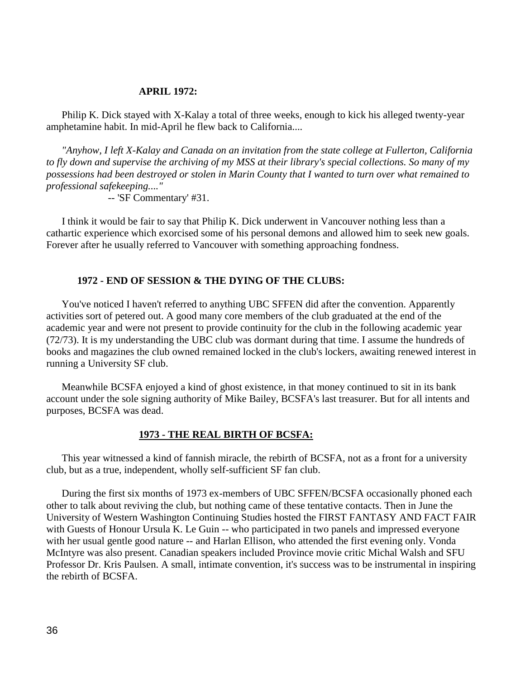#### **APRIL 1972:**

 Philip K. Dick stayed with X-Kalay a total of three weeks, enough to kick his alleged twenty-year amphetamine habit. In mid-April he flew back to California....

 *"Anyhow, I left X-Kalay and Canada on an invitation from the state college at Fullerton, California to fly down and supervise the archiving of my MSS at their library's special collections. So many of my possessions had been destroyed or stolen in Marin County that I wanted to turn over what remained to professional safekeeping...."*

-- 'SF Commentary' #31.

 I think it would be fair to say that Philip K. Dick underwent in Vancouver nothing less than a cathartic experience which exorcised some of his personal demons and allowed him to seek new goals. Forever after he usually referred to Vancouver with something approaching fondness.

#### **1972 - END OF SESSION & THE DYING OF THE CLUBS:**

 You've noticed I haven't referred to anything UBC SFFEN did after the convention. Apparently activities sort of petered out. A good many core members of the club graduated at the end of the academic year and were not present to provide continuity for the club in the following academic year (72/73). It is my understanding the UBC club was dormant during that time. I assume the hundreds of books and magazines the club owned remained locked in the club's lockers, awaiting renewed interest in running a University SF club.

 Meanwhile BCSFA enjoyed a kind of ghost existence, in that money continued to sit in its bank account under the sole signing authority of Mike Bailey, BCSFA's last treasurer. But for all intents and purposes, BCSFA was dead.

#### **1973 - THE REAL BIRTH OF BCSFA:**

 This year witnessed a kind of fannish miracle, the rebirth of BCSFA, not as a front for a university club, but as a true, independent, wholly self-sufficient SF fan club.

 During the first six months of 1973 ex-members of UBC SFFEN/BCSFA occasionally phoned each other to talk about reviving the club, but nothing came of these tentative contacts. Then in June the University of Western Washington Continuing Studies hosted the FIRST FANTASY AND FACT FAIR with Guests of Honour Ursula K. Le Guin -- who participated in two panels and impressed everyone with her usual gentle good nature -- and Harlan Ellison, who attended the first evening only. Vonda McIntyre was also present. Canadian speakers included Province movie critic Michal Walsh and SFU Professor Dr. Kris Paulsen. A small, intimate convention, it's success was to be instrumental in inspiring the rebirth of BCSFA.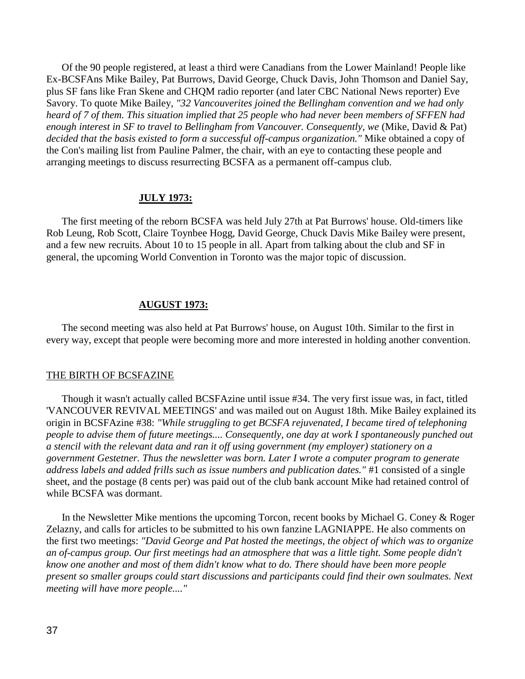Of the 90 people registered, at least a third were Canadians from the Lower Mainland! People like Ex-BCSFAns Mike Bailey, Pat Burrows, David George, Chuck Davis, John Thomson and Daniel Say, plus SF fans like Fran Skene and CHQM radio reporter (and later CBC National News reporter) Eve Savory. To quote Mike Bailey, *"32 Vancouverites joined the Bellingham convention and we had only heard of 7 of them. This situation implied that 25 people who had never been members of SFFEN had enough interest in SF to travel to Bellingham from Vancouver. Consequently, we* (Mike, David & Pat) *decided that the basis existed to form a successful off-campus organization."* Mike obtained a copy of the Con's mailing list from Pauline Palmer, the chair, with an eye to contacting these people and arranging meetings to discuss resurrecting BCSFA as a permanent off-campus club.

### **JULY 1973:**

 The first meeting of the reborn BCSFA was held July 27th at Pat Burrows' house. Old-timers like Rob Leung, Rob Scott, Claire Toynbee Hogg, David George, Chuck Davis Mike Bailey were present, and a few new recruits. About 10 to 15 people in all. Apart from talking about the club and SF in general, the upcoming World Convention in Toronto was the major topic of discussion.

### **AUGUST 1973:**

 The second meeting was also held at Pat Burrows' house, on August 10th. Similar to the first in every way, except that people were becoming more and more interested in holding another convention.

#### THE BIRTH OF BCSFAZINE

 Though it wasn't actually called BCSFAzine until issue #34. The very first issue was, in fact, titled 'VANCOUVER REVIVAL MEETINGS' and was mailed out on August 18th. Mike Bailey explained its origin in BCSFAzine #38: *"While struggling to get BCSFA rejuvenated, I became tired of telephoning people to advise them of future meetings.... Consequently, one day at work I spontaneously punched out a stencil with the relevant data and ran it off using government (my employer) stationery on a government Gestetner. Thus the newsletter was born. Later I wrote a computer program to generate address labels and added frills such as issue numbers and publication dates."* #1 consisted of a single sheet, and the postage (8 cents per) was paid out of the club bank account Mike had retained control of while BCSFA was dormant.

In the Newsletter Mike mentions the upcoming Torcon, recent books by Michael G. Coney & Roger Zelazny, and calls for articles to be submitted to his own fanzine LAGNIAPPE. He also comments on the first two meetings: *"David George and Pat hosted the meetings, the object of which was to organize an of-campus group. Our first meetings had an atmosphere that was a little tight. Some people didn't know one another and most of them didn't know what to do. There should have been more people present so smaller groups could start discussions and participants could find their own soulmates. Next meeting will have more people...."*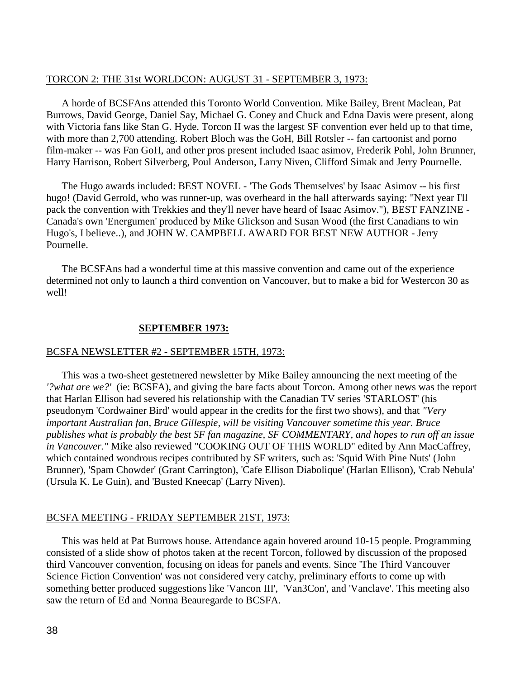### TORCON 2: THE 31st WORLDCON: AUGUST 31 - SEPTEMBER 3, 1973:

 A horde of BCSFAns attended this Toronto World Convention. Mike Bailey, Brent Maclean, Pat Burrows, David George, Daniel Say, Michael G. Coney and Chuck and Edna Davis were present, along with Victoria fans like Stan G. Hyde. Torcon II was the largest SF convention ever held up to that time, with more than 2,700 attending. Robert Bloch was the GoH, Bill Rotsler -- fan cartoonist and porno film-maker -- was Fan GoH, and other pros present included Isaac asimov, Frederik Pohl, John Brunner, Harry Harrison, Robert Silverberg, Poul Anderson, Larry Niven, Clifford Simak and Jerry Pournelle.

 The Hugo awards included: BEST NOVEL - 'The Gods Themselves' by Isaac Asimov -- his first hugo! (David Gerrold, who was runner-up, was overheard in the hall afterwards saying: "Next year I'll pack the convention with Trekkies and they'll never have heard of Isaac Asimov."), BEST FANZINE - Canada's own 'Energumen' produced by Mike Glickson and Susan Wood (the first Canadians to win Hugo's, I believe..), and JOHN W. CAMPBELL AWARD FOR BEST NEW AUTHOR - Jerry Pournelle.

 The BCSFAns had a wonderful time at this massive convention and came out of the experience determined not only to launch a third convention on Vancouver, but to make a bid for Westercon 30 as well!

### **SEPTEMBER 1973:**

### BCSFA NEWSLETTER #2 - SEPTEMBER 15TH, 1973:

 This was a two-sheet gestetnered newsletter by Mike Bailey announcing the next meeting of the *'?what are we?'* (ie: BCSFA), and giving the bare facts about Torcon. Among other news was the report that Harlan Ellison had severed his relationship with the Canadian TV series 'STARLOST' (his pseudonym 'Cordwainer Bird' would appear in the credits for the first two shows), and that *"Very important Australian fan, Bruce Gillespie, will be visiting Vancouver sometime this year. Bruce publishes what is probably the best SF fan magazine, SF COMMENTARY, and hopes to run off an issue in Vancouver."* Mike also reviewed "COOKING OUT OF THIS WORLD" edited by Ann MacCaffrey, which contained wondrous recipes contributed by SF writers, such as: 'Squid With Pine Nuts' (John Brunner), 'Spam Chowder' (Grant Carrington), 'Cafe Ellison Diabolique' (Harlan Ellison), 'Crab Nebula' (Ursula K. Le Guin), and 'Busted Kneecap' (Larry Niven).

#### BCSFA MEETING - FRIDAY SEPTEMBER 21ST, 1973:

 This was held at Pat Burrows house. Attendance again hovered around 10-15 people. Programming consisted of a slide show of photos taken at the recent Torcon, followed by discussion of the proposed third Vancouver convention, focusing on ideas for panels and events. Since 'The Third Vancouver Science Fiction Convention' was not considered very catchy, preliminary efforts to come up with something better produced suggestions like 'Vancon III', 'Van3Con', and 'Vanclave'. This meeting also saw the return of Ed and Norma Beauregarde to BCSFA.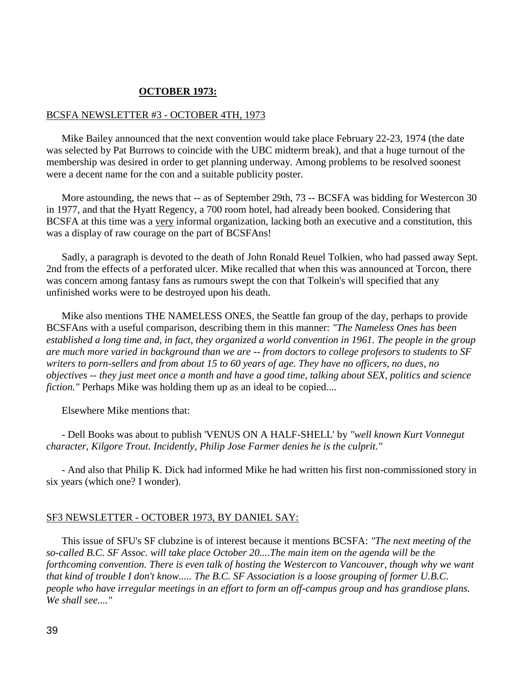## **OCTOBER 1973:**

## BCSFA NEWSLETTER #3 - OCTOBER 4TH, 1973

 Mike Bailey announced that the next convention would take place February 22-23, 1974 (the date was selected by Pat Burrows to coincide with the UBC midterm break), and that a huge turnout of the membership was desired in order to get planning underway. Among problems to be resolved soonest were a decent name for the con and a suitable publicity poster.

More astounding, the news that -- as of September 29th, 73 -- BCSFA was bidding for Westercon 30 in 1977, and that the Hyatt Regency, a 700 room hotel, had already been booked. Considering that BCSFA at this time was a very informal organization, lacking both an executive and a constitution, this was a display of raw courage on the part of BCSFAns!

 Sadly, a paragraph is devoted to the death of John Ronald Reuel Tolkien, who had passed away Sept. 2nd from the effects of a perforated ulcer. Mike recalled that when this was announced at Torcon, there was concern among fantasy fans as rumours swept the con that Tolkein's will specified that any unfinished works were to be destroyed upon his death.

 Mike also mentions THE NAMELESS ONES, the Seattle fan group of the day, perhaps to provide BCSFAns with a useful comparison, describing them in this manner: *"The Nameless Ones has been established a long time and, in fact, they organized a world convention in 1961. The people in the group are much more varied in background than we are -- from doctors to college profesors to students to SF writers to porn-sellers and from about 15 to 60 years of age. They have no officers, no dues, no objectives -- they just meet once a month and have a good time, talking about SEX, politics and science fiction.*" Perhaps Mike was holding them up as an ideal to be copied....

Elsewhere Mike mentions that:

 - Dell Books was about to publish 'VENUS ON A HALF-SHELL' by *"well known Kurt Vonnegut character, Kilgore Trout. Incidently, Philip Jose Farmer denies he is the culprit."*

 - And also that Philip K. Dick had informed Mike he had written his first non-commissioned story in six years (which one? I wonder).

### SF3 NEWSLETTER - OCTOBER 1973, BY DANIEL SAY:

 This issue of SFU's SF clubzine is of interest because it mentions BCSFA: *"The next meeting of the so-called B.C. SF Assoc. will take place October 20....The main item on the agenda will be the forthcoming convention. There is even talk of hosting the Westercon to Vancouver, though why we want that kind of trouble I don't know..... The B.C. SF Association is a loose grouping of former U.B.C. people who have irregular meetings in an effort to form an off-campus group and has grandiose plans. We shall see...."*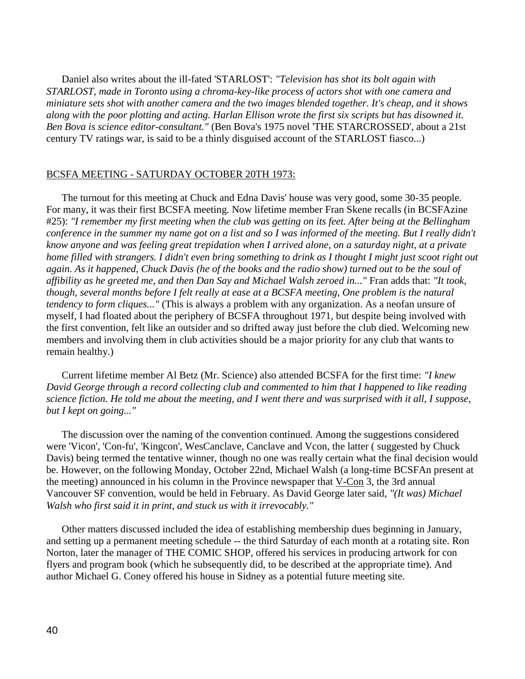Daniel also writes about the ill-fated 'STARLOST': *"Television has shot its bolt again with STARLOST, made in Toronto using a chroma-key-like process of actors shot with one camera and miniature sets shot with another camera and the two images blended together. It's cheap, and it shows along with the poor plotting and acting. Harlan Ellison wrote the first six scripts but has disowned it. Ben Bova is science editor-consultant."* (Ben Bova's 1975 novel 'THE STARCROSSED', about a 21st century TV ratings war, is said to be a thinly disguised account of the STARLOST fiasco...)

## BCSFA MEETING - SATURDAY OCTOBER 20TH 1973:

 The turnout for this meeting at Chuck and Edna Davis' house was very good, some 30-35 people. For many, it was their first BCSFA meeting. Now lifetime member Fran Skene recalls (in BCSFAzine #25): *"I remember my first meeting when the club was getting on its feet. After being at the Bellingham conference in the summer my name got on a list and so I was informed of the meeting. But I really didn't know anyone and was feeling great trepidation when I arrived alone, on a saturday night, at a private home filled with strangers. I didn't even bring something to drink as I thought I might just scoot right out again. As it happened, Chuck Davis (he of the books and the radio show) turned out to be the soul of affibility as he greeted me, and then Dan Say and Michael Walsh zeroed in..."* Fran adds that: *"It took, though, several months before I felt really at ease at a BCSFA meeting, One problem is the natural tendency to form cliques..."* (This is always a problem with any organization. As a neofan unsure of myself, I had floated about the periphery of BCSFA throughout 1971, but despite being involved with the first convention, felt like an outsider and so drifted away just before the club died. Welcoming new members and involving them in club activities should be a major priority for any club that wants to remain healthy.)

 Current lifetime member Al Betz (Mr. Science) also attended BCSFA for the first time: *"I knew David George through a record collecting club and commented to him that I happened to like reading science fiction. He told me about the meeting, and I went there and was surprised with it all, I suppose, but I kept on going..."*

 The discussion over the naming of the convention continued. Among the suggestions considered were 'Vicon', 'Con-fu', 'Kingcon', WesCanclave, Canclave and Vcon, the latter ( suggested by Chuck Davis) being termed the tentative winner, though no one was really certain what the final decision would be. However, on the following Monday, October 22nd, Michael Walsh (a long-time BCSFAn present at the meeting) announced in his column in the Province newspaper that V-Con 3, the 3rd annual Vancouver SF convention, would be held in February. As David George later said, *"(It was) Michael Walsh who first said it in print, and stuck us with it irrevocably."*

 Other matters discussed included the idea of establishing membership dues beginning in January, and setting up a permanent meeting schedule -- the third Saturday of each month at a rotating site. Ron Norton, later the manager of THE COMIC SHOP, offered his services in producing artwork for con flyers and program book (which he subsequently did, to be described at the appropriate time). And author Michael G. Coney offered his house in Sidney as a potential future meeting site.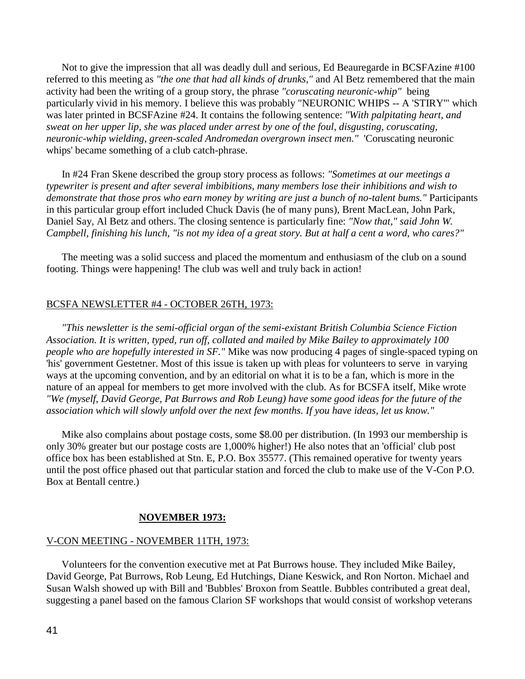Not to give the impression that all was deadly dull and serious, Ed Beauregarde in BCSFAzine #100 referred to this meeting as *"the one that had all kinds of drunks,"* and Al Betz remembered that the main activity had been the writing of a group story, the phrase *"coruscating neuronic-whip"* being particularly vivid in his memory. I believe this was probably "NEURONIC WHIPS -- A 'STIRY'" which was later printed in BCSFAzine #24. It contains the following sentence: *"With palpitating heart, and sweat on her upper lip, she was placed under arrest by one of the foul, disgusting, coruscating, neuronic-whip wielding, green-scaled Andromedan overgrown insect men."* 'Coruscating neuronic whips' became something of a club catch-phrase.

 In #24 Fran Skene described the group story process as follows: *"Sometimes at our meetings a typewriter is present and after several imbibitions, many members lose their inhibitions and wish to demonstrate that those pros who earn money by writing are just a bunch of no-talent bums."* Participants in this particular group effort included Chuck Davis (he of many puns), Brent MacLean, John Park, Daniel Say, Al Betz and others. The closing sentence is particularly fine: *"Now that," said John W. Campbell, finishing his lunch, "is not my idea of a great story. But at half a cent a word, who cares?"*

 The meeting was a solid success and placed the momentum and enthusiasm of the club on a sound footing. Things were happening! The club was well and truly back in action!

### BCSFA NEWSLETTER #4 - OCTOBER 26TH, 1973:

 *"This newsletter is the semi-official organ of the semi-existant British Columbia Science Fiction Association. It is written, typed, run off, collated and mailed by Mike Bailey to approximately 100 people who are hopefully interested in SF."* Mike was now producing 4 pages of single-spaced typing on 'his' government Gestetner. Most of this issue is taken up with pleas for volunteers to serve in varying ways at the upcoming convention, and by an editorial on what it is to be a fan, which is more in the nature of an appeal for members to get more involved with the club. As for BCSFA itself, Mike wrote *"We (myself, David George, Pat Burrows and Rob Leung) have some good ideas for the future of the association which will slowly unfold over the next few months. If you have ideas, let us know."*

 Mike also complains about postage costs, some \$8.00 per distribution. (In 1993 our membership is only 30% greater but our postage costs are 1,000% higher!) He also notes that an 'official' club post office box has been established at Stn. E, P.O. Box 35577. (This remained operative for twenty years until the post office phased out that particular station and forced the club to make use of the V-Con P.O. Box at Bentall centre.)

#### **NOVEMBER 1973:**

#### V-CON MEETING - NOVEMBER 11TH, 1973:

 Volunteers for the convention executive met at Pat Burrows house. They included Mike Bailey, David George, Pat Burrows, Rob Leung, Ed Hutchings, Diane Keswick, and Ron Norton. Michael and Susan Walsh showed up with Bill and 'Bubbles' Broxon from Seattle. Bubbles contributed a great deal, suggesting a panel based on the famous Clarion SF workshops that would consist of workshop veterans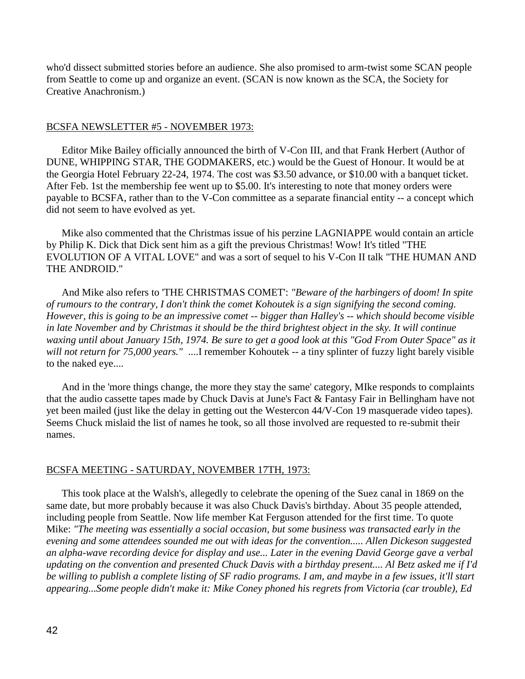who'd dissect submitted stories before an audience. She also promised to arm-twist some SCAN people from Seattle to come up and organize an event. (SCAN is now known as the SCA, the Society for Creative Anachronism.)

## BCSFA NEWSLETTER #5 - NOVEMBER 1973:

 Editor Mike Bailey officially announced the birth of V-Con III, and that Frank Herbert (Author of DUNE, WHIPPING STAR, THE GODMAKERS, etc.) would be the Guest of Honour. It would be at the Georgia Hotel February 22-24, 1974. The cost was \$3.50 advance, or \$10.00 with a banquet ticket. After Feb. 1st the membership fee went up to \$5.00. It's interesting to note that money orders were payable to BCSFA, rather than to the V-Con committee as a separate financial entity -- a concept which did not seem to have evolved as yet.

 Mike also commented that the Christmas issue of his perzine LAGNIAPPE would contain an article by Philip K. Dick that Dick sent him as a gift the previous Christmas! Wow! It's titled "THE EVOLUTION OF A VITAL LOVE" and was a sort of sequel to his V-Con II talk "THE HUMAN AND THE ANDROID."

 And Mike also refers to 'THE CHRISTMAS COMET': *"Beware of the harbingers of doom! In spite of rumours to the contrary, I don't think the comet Kohoutek is a sign signifying the second coming. However, this is going to be an impressive comet -- bigger than Halley's -- which should become visible in late November and by Christmas it should be the third brightest object in the sky. It will continue waxing until about January 15th, 1974. Be sure to get a good look at this "God From Outer Space" as it will not return for 75,000 years."* ....I remember Kohoutek -- a tiny splinter of fuzzy light barely visible to the naked eye....

 And in the 'more things change, the more they stay the same' category, MIke responds to complaints that the audio cassette tapes made by Chuck Davis at June's Fact & Fantasy Fair in Bellingham have not yet been mailed (just like the delay in getting out the Westercon 44/V-Con 19 masquerade video tapes). Seems Chuck mislaid the list of names he took, so all those involved are requested to re-submit their names.

## BCSFA MEETING - SATURDAY, NOVEMBER 17TH, 1973:

 This took place at the Walsh's, allegedly to celebrate the opening of the Suez canal in 1869 on the same date, but more probably because it was also Chuck Davis's birthday. About 35 people attended, including people from Seattle. Now life member Kat Ferguson attended for the first time. To quote Mike: *"The meeting was essentially a social occasion, but some business was transacted early in the evening and some attendees sounded me out with ideas for the convention..... Allen Dickeson suggested an alpha-wave recording device for display and use... Later in the evening David George gave a verbal updating on the convention and presented Chuck Davis with a birthday present.... Al Betz asked me if I'd be willing to publish a complete listing of SF radio programs. I am, and maybe in a few issues, it'll start appearing...Some people didn't make it: Mike Coney phoned his regrets from Victoria (car trouble), Ed*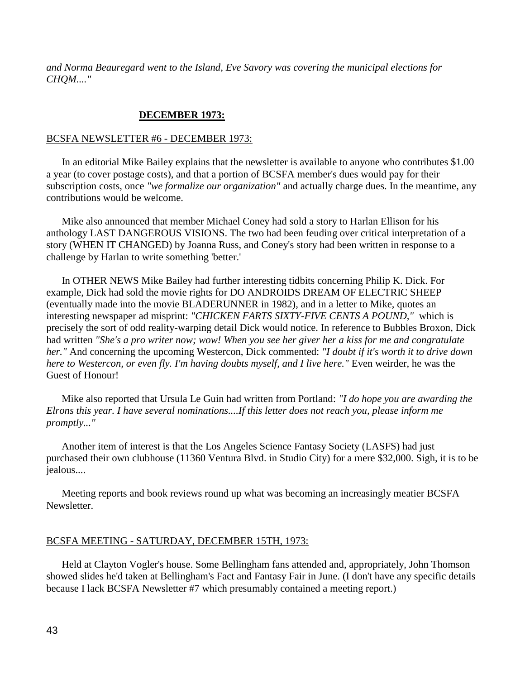*and Norma Beauregard went to the Island, Eve Savory was covering the municipal elections for CHQM...."*

# **DECEMBER 1973:**

## BCSFA NEWSLETTER #6 - DECEMBER 1973:

 In an editorial Mike Bailey explains that the newsletter is available to anyone who contributes \$1.00 a year (to cover postage costs), and that a portion of BCSFA member's dues would pay for their subscription costs, once *"we formalize our organization"* and actually charge dues. In the meantime, any contributions would be welcome.

 Mike also announced that member Michael Coney had sold a story to Harlan Ellison for his anthology LAST DANGEROUS VISIONS. The two had been feuding over critical interpretation of a story (WHEN IT CHANGED) by Joanna Russ, and Coney's story had been written in response to a challenge by Harlan to write something 'better.'

 In OTHER NEWS Mike Bailey had further interesting tidbits concerning Philip K. Dick. For example, Dick had sold the movie rights for DO ANDROIDS DREAM OF ELECTRIC SHEEP (eventually made into the movie BLADERUNNER in 1982), and in a letter to Mike, quotes an interesting newspaper ad misprint: *"CHICKEN FARTS SIXTY-FIVE CENTS A POUND,"* which is precisely the sort of odd reality-warping detail Dick would notice. In reference to Bubbles Broxon, Dick had written *"She's a pro writer now; wow! When you see her giver her a kiss for me and congratulate her."* And concerning the upcoming Westercon, Dick commented: *"I doubt if it's worth it to drive down here to Westercon, or even fly. I'm having doubts myself, and I live here."* Even weirder, he was the Guest of Honour!

 Mike also reported that Ursula Le Guin had written from Portland: *"I do hope you are awarding the Elrons this year. I have several nominations....If this letter does not reach you, please inform me promptly..."*

 Another item of interest is that the Los Angeles Science Fantasy Society (LASFS) had just purchased their own clubhouse (11360 Ventura Blvd. in Studio City) for a mere \$32,000. Sigh, it is to be jealous....

 Meeting reports and book reviews round up what was becoming an increasingly meatier BCSFA Newsletter.

### BCSFA MEETING - SATURDAY, DECEMBER 15TH, 1973:

 Held at Clayton Vogler's house. Some Bellingham fans attended and, appropriately, John Thomson showed slides he'd taken at Bellingham's Fact and Fantasy Fair in June. (I don't have any specific details because I lack BCSFA Newsletter #7 which presumably contained a meeting report.)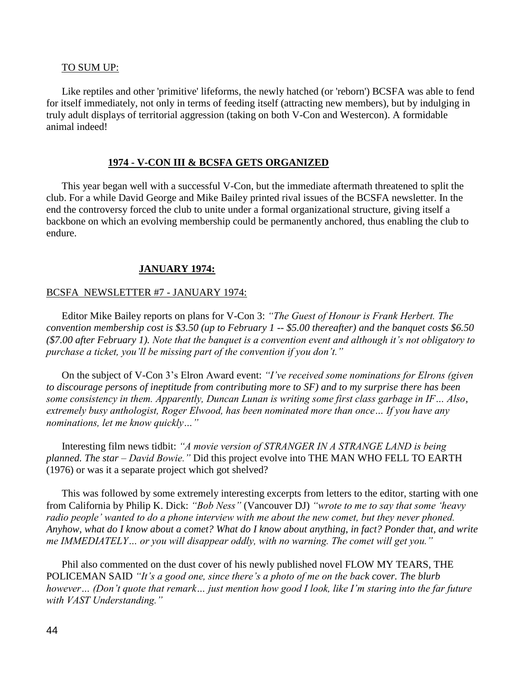### TO SUM UP:

 Like reptiles and other 'primitive' lifeforms, the newly hatched (or 'reborn') BCSFA was able to fend for itself immediately, not only in terms of feeding itself (attracting new members), but by indulging in truly adult displays of territorial aggression (taking on both V-Con and Westercon). A formidable animal indeed!

### **1974 - V-CON III & BCSFA GETS ORGANIZED**

 This year began well with a successful V-Con, but the immediate aftermath threatened to split the club. For a while David George and Mike Bailey printed rival issues of the BCSFA newsletter. In the end the controversy forced the club to unite under a formal organizational structure, giving itself a backbone on which an evolving membership could be permanently anchored, thus enabling the club to endure.

### **JANUARY 1974:**

### BCSFA NEWSLETTER #7 - JANUARY 1974:

 Editor Mike Bailey reports on plans for V-Con 3: *"The Guest of Honour is Frank Herbert. The convention membership cost is \$3.50 (up to February 1 -- \$5.00 thereafter) and the banquet costs \$6.50 (\$7.00 after February 1). Note that the banquet is a convention event and although it's not obligatory to purchase a ticket, you'll be missing part of the convention if you don't."*

 On the subject of V-Con 3's Elron Award event: *"I've received some nominations for Elrons (given to discourage persons of ineptitude from contributing more to SF) and to my surprise there has been some consistency in them. Apparently, Duncan Lunan is writing some first class garbage in IF… Also, extremely busy anthologist, Roger Elwood, has been nominated more than once… If you have any nominations, let me know quickly…"*

 Interesting film news tidbit: *"A movie version of STRANGER IN A STRANGE LAND is being planned. The star – David Bowie."* Did this project evolve into THE MAN WHO FELL TO EARTH (1976) or was it a separate project which got shelved?

 This was followed by some extremely interesting excerpts from letters to the editor, starting with one from California by Philip K. Dick: *"Bob Ness"* (Vancouver DJ) *"wrote to me to say that some 'heavy radio people' wanted to do a phone interview with me about the new comet, but they never phoned. Anyhow, what do I know about a comet? What do I know about anything, in fact? Ponder that, and write me IMMEDIATELY… or you will disappear oddly, with no warning. The comet will get you."*

 Phil also commented on the dust cover of his newly published novel FLOW MY TEARS, THE POLICEMAN SAID *"It's a good one, since there's a photo of me on the back cover. The blurb however… (Don't quote that remark… just mention how good I look, like I'm staring into the far future with VAST Understanding."*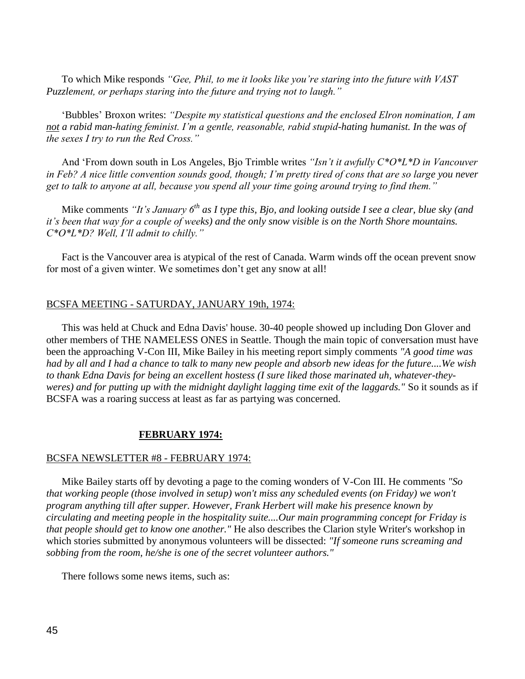To which Mike responds *"Gee, Phil, to me it looks like you're staring into the future with VAST Puzzlement, or perhaps staring into the future and trying not to laugh."*

 'Bubbles' Broxon writes: *"Despite my statistical questions and the enclosed Elron nomination, I am not a rabid man-hating feminist. I'm a gentle, reasonable, rabid stupid-hating humanist. In the was of the sexes I try to run the Red Cross."*

 And 'From down south in Los Angeles, Bjo Trimble writes *"Isn't it awfully C\*O\*L\*D in Vancouver in Feb? A nice little convention sounds good, though; I'm pretty tired of cons that are so large you never get to talk to anyone at all, because you spend all your time going around trying to find them."*

 Mike comments *"It's January 6th as I type this, Bjo, and looking outside I see a clear, blue sky (and it's been that way for a couple of weeks) and the only snow visible is on the North Shore mountains. C\*O\*L\*D? Well, I'll admit to chilly."*

 Fact is the Vancouver area is atypical of the rest of Canada. Warm winds off the ocean prevent snow for most of a given winter. We sometimes don't get any snow at all!

## BCSFA MEETING - SATURDAY, JANUARY 19th, 1974:

 This was held at Chuck and Edna Davis' house. 30-40 people showed up including Don Glover and other members of THE NAMELESS ONES in Seattle. Though the main topic of conversation must have been the approaching V-Con III, Mike Bailey in his meeting report simply comments *"A good time was had by all and I had a chance to talk to many new people and absorb new ideas for the future....We wish to thank Edna Davis for being an excellent hostess (I sure liked those marinated uh, whatever-theyweres) and for putting up with the midnight daylight lagging time exit of the laggards."* So it sounds as if BCSFA was a roaring success at least as far as partying was concerned.

## **FEBRUARY 1974:**

## BCSFA NEWSLETTER #8 - FEBRUARY 1974:

 Mike Bailey starts off by devoting a page to the coming wonders of V-Con III. He comments *"So that working people (those involved in setup) won't miss any scheduled events (on Friday) we won't program anything till after supper. However, Frank Herbert will make his presence known by circulating and meeting people in the hospitality suite....Our main programming concept for Friday is that people should get to know one another."* He also describes the Clarion style Writer's workshop in which stories submitted by anonymous volunteers will be dissected: *"If someone runs screaming and sobbing from the room, he/she is one of the secret volunteer authors."*

There follows some news items, such as: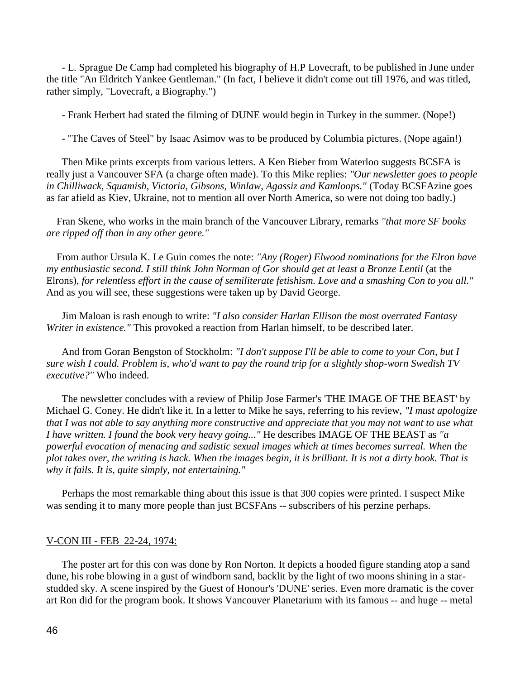- L. Sprague De Camp had completed his biography of H.P Lovecraft, to be published in June under the title "An Eldritch Yankee Gentleman." (In fact, I believe it didn't come out till 1976, and was titled, rather simply, "Lovecraft, a Biography.")

- Frank Herbert had stated the filming of DUNE would begin in Turkey in the summer. (Nope!)

- "The Caves of Steel" by Isaac Asimov was to be produced by Columbia pictures. (Nope again!)

 Then Mike prints excerpts from various letters. A Ken Bieber from Waterloo suggests BCSFA is really just a Vancouver SFA (a charge often made). To this Mike replies: *"Our newsletter goes to people in Chilliwack, Squamish, Victoria, Gibsons, Winlaw, Agassiz and Kamloops."* (Today BCSFAzine goes as far afield as Kiev, Ukraine, not to mention all over North America, so were not doing too badly.)

 Fran Skene, who works in the main branch of the Vancouver Library, remarks *"that more SF books are ripped off than in any other genre."*

 From author Ursula K. Le Guin comes the note: *"Any (Roger) Elwood nominations for the Elron have my enthusiastic second. I still think John Norman of Gor should get at least a Bronze Lentil* (at the Elrons), *for relentless effort in the cause of semiliterate fetishism. Love and a smashing Con to you all."* And as you will see, these suggestions were taken up by David George.

 Jim Maloan is rash enough to write: *"I also consider Harlan Ellison the most overrated Fantasy Writer in existence."* This provoked a reaction from Harlan himself, to be described later.

 And from Goran Bengston of Stockholm: *"I don't suppose I'll be able to come to your Con, but I sure wish I could. Problem is, who'd want to pay the round trip for a slightly shop-worn Swedish TV executive?"* Who indeed.

 The newsletter concludes with a review of Philip Jose Farmer's 'THE IMAGE OF THE BEAST' by Michael G. Coney. He didn't like it. In a letter to Mike he says, referring to his review, *"I must apologize that I was not able to say anything more constructive and appreciate that you may not want to use what I have written. I found the book very heavy going..."* He describes IMAGE OF THE BEAST as *"a powerful evocation of menacing and sadistic sexual images which at times becomes surreal. When the* plot takes over, the writing is hack. When the images begin, it is brilliant. It is not a dirty book. That is *why it fails. It is, quite simply, not entertaining."*

 Perhaps the most remarkable thing about this issue is that 300 copies were printed. I suspect Mike was sending it to many more people than just BCSFAns -- subscribers of his perzine perhaps.

#### V-CON III - FEB 22-24, 1974:

 The poster art for this con was done by Ron Norton. It depicts a hooded figure standing atop a sand dune, his robe blowing in a gust of windborn sand, backlit by the light of two moons shining in a starstudded sky. A scene inspired by the Guest of Honour's 'DUNE' series. Even more dramatic is the cover art Ron did for the program book. It shows Vancouver Planetarium with its famous -- and huge -- metal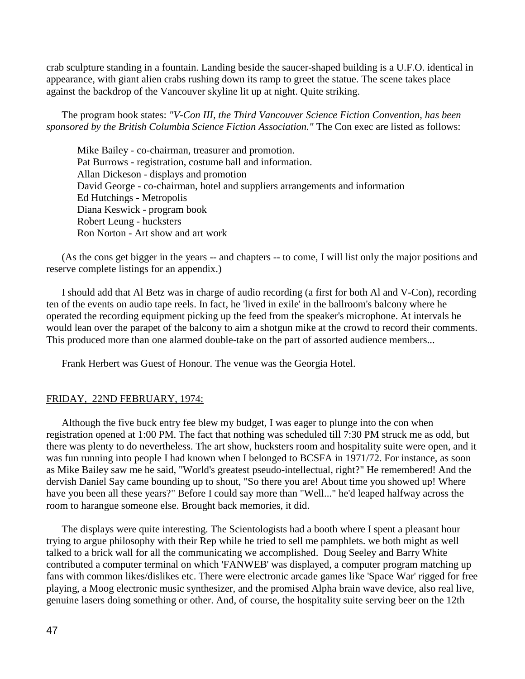crab sculpture standing in a fountain. Landing beside the saucer-shaped building is a U.F.O. identical in appearance, with giant alien crabs rushing down its ramp to greet the statue. The scene takes place against the backdrop of the Vancouver skyline lit up at night. Quite striking.

 The program book states: *"V-Con III, the Third Vancouver Science Fiction Convention, has been sponsored by the British Columbia Science Fiction Association."* The Con exec are listed as follows:

Mike Bailey - co-chairman, treasurer and promotion. Pat Burrows - registration, costume ball and information. Allan Dickeson - displays and promotion David George - co-chairman, hotel and suppliers arrangements and information Ed Hutchings - Metropolis Diana Keswick - program book Robert Leung - hucksters Ron Norton - Art show and art work

 (As the cons get bigger in the years -- and chapters -- to come, I will list only the major positions and reserve complete listings for an appendix.)

 I should add that Al Betz was in charge of audio recording (a first for both Al and V-Con), recording ten of the events on audio tape reels. In fact, he 'lived in exile' in the ballroom's balcony where he operated the recording equipment picking up the feed from the speaker's microphone. At intervals he would lean over the parapet of the balcony to aim a shotgun mike at the crowd to record their comments. This produced more than one alarmed double-take on the part of assorted audience members...

Frank Herbert was Guest of Honour. The venue was the Georgia Hotel.

#### FRIDAY, 22ND FEBRUARY, 1974:

 Although the five buck entry fee blew my budget, I was eager to plunge into the con when registration opened at 1:00 PM. The fact that nothing was scheduled till 7:30 PM struck me as odd, but there was plenty to do nevertheless. The art show, hucksters room and hospitality suite were open, and it was fun running into people I had known when I belonged to BCSFA in 1971/72. For instance, as soon as Mike Bailey saw me he said, "World's greatest pseudo-intellectual, right?" He remembered! And the dervish Daniel Say came bounding up to shout, "So there you are! About time you showed up! Where have you been all these years?" Before I could say more than "Well..." he'd leaped halfway across the room to harangue someone else. Brought back memories, it did.

 The displays were quite interesting. The Scientologists had a booth where I spent a pleasant hour trying to argue philosophy with their Rep while he tried to sell me pamphlets. we both might as well talked to a brick wall for all the communicating we accomplished. Doug Seeley and Barry White contributed a computer terminal on which 'FANWEB' was displayed, a computer program matching up fans with common likes/dislikes etc. There were electronic arcade games like 'Space War' rigged for free playing, a Moog electronic music synthesizer, and the promised Alpha brain wave device, also real live, genuine lasers doing something or other. And, of course, the hospitality suite serving beer on the 12th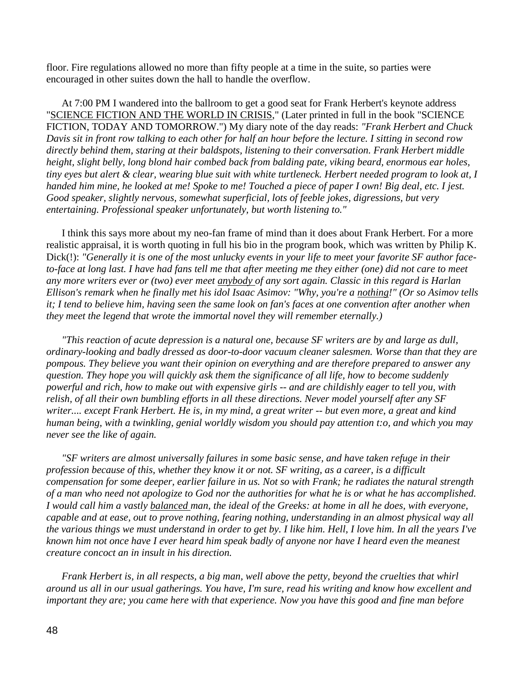floor. Fire regulations allowed no more than fifty people at a time in the suite, so parties were encouraged in other suites down the hall to handle the overflow.

 At 7:00 PM I wandered into the ballroom to get a good seat for Frank Herbert's keynote address "SCIENCE FICTION AND THE WORLD IN CRISIS," (Later printed in full in the book "SCIENCE FICTION, TODAY AND TOMORROW.") My diary note of the day reads: *"Frank Herbert and Chuck Davis sit in front row talking to each other for half an hour before the lecture. I sitting in second row directly behind them, staring at their baldspots, listening to their conversation. Frank Herbert middle height, slight belly, long blond hair combed back from balding pate, viking beard, enormous ear holes, tiny eyes but alert & clear, wearing blue suit with white turtleneck. Herbert needed program to look at, I handed him mine, he looked at me! Spoke to me! Touched a piece of paper I own! Big deal, etc. I jest. Good speaker, slightly nervous, somewhat superficial, lots of feeble jokes, digressions, but very entertaining. Professional speaker unfortunately, but worth listening to."*

 I think this says more about my neo-fan frame of mind than it does about Frank Herbert. For a more realistic appraisal, it is worth quoting in full his bio in the program book, which was written by Philip K. Dick(!): "Generally it is one of the most unlucky events in your life to meet your favorite SF author face*to-face at long last. I have had fans tell me that after meeting me they either (one) did not care to meet any more writers ever or (two) ever meet anybody of any sort again. Classic in this regard is Harlan Ellison's remark when he finally met his idol Isaac Asimov: "Why, you're a nothing!" (Or so Asimov tells it; I tend to believe him, having seen the same look on fan's faces at one convention after another when they meet the legend that wrote the immortal novel they will remember eternally.)*

 *"This reaction of acute depression is a natural one, because SF writers are by and large as dull, ordinary-looking and badly dressed as door-to-door vacuum cleaner salesmen. Worse than that they are pompous. They believe you want their opinion on everything and are therefore prepared to answer any question. They hope you will quickly ask them the significance of all life, how to become suddenly powerful and rich, how to make out with expensive girls -- and are childishly eager to tell you, with relish, of all their own bumbling efforts in all these directions. Never model yourself after any SF writer.... except Frank Herbert. He is, in my mind, a great writer -- but even more, a great and kind human being, with a twinkling, genial worldly wisdom you should pay attention t:o, and which you may never see the like of again.* 

 *"SF writers are almost universally failures in some basic sense, and have taken refuge in their profession because of this, whether they know it or not. SF writing, as a career, is a difficult compensation for some deeper, earlier failure in us. Not so with Frank; he radiates the natural strength of a man who need not apologize to God nor the authorities for what he is or what he has accomplished. I would call him a vastly balanced man, the ideal of the Greeks: at home in all he does, with everyone, capable and at ease, out to prove nothing, fearing nothing, understanding in an almost physical way all the various things we must understand in order to get by. I like him. Hell, I love him. In all the years I've known him not once have I ever heard him speak badly of anyone nor have I heard even the meanest creature concoct an in insult in his direction.*

 *Frank Herbert is, in all respects, a big man, well above the petty, beyond the cruelties that whirl around us all in our usual gatherings. You have, I'm sure, read his writing and know how excellent and important they are; you came here with that experience. Now you have this good and fine man before*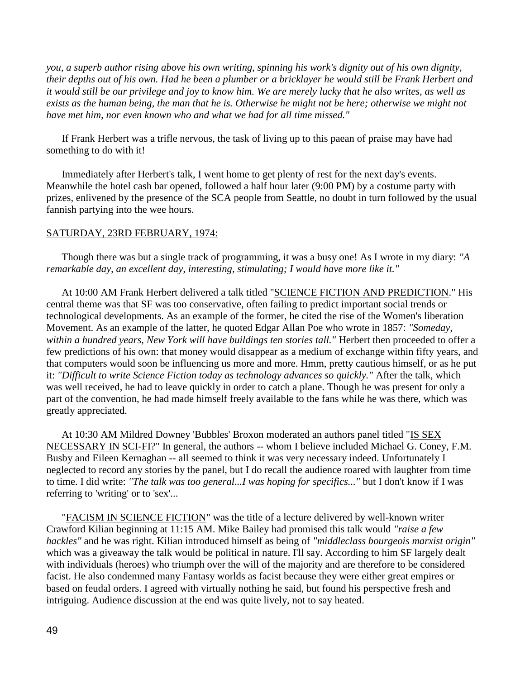*you, a superb author rising above his own writing, spinning his work's dignity out of his own dignity, their depths out of his own. Had he been a plumber or a bricklayer he would still be Frank Herbert and it would still be our privilege and joy to know him. We are merely lucky that he also writes, as well as exists as the human being, the man that he is. Otherwise he might not be here; otherwise we might not have met him, nor even known who and what we had for all time missed."*

 If Frank Herbert was a trifle nervous, the task of living up to this paean of praise may have had something to do with it!

 Immediately after Herbert's talk, I went home to get plenty of rest for the next day's events. Meanwhile the hotel cash bar opened, followed a half hour later (9:00 PM) by a costume party with prizes, enlivened by the presence of the SCA people from Seattle, no doubt in turn followed by the usual fannish partying into the wee hours.

# SATURDAY, 23RD FEBRUARY, 1974:

 Though there was but a single track of programming, it was a busy one! As I wrote in my diary: *"A remarkable day, an excellent day, interesting, stimulating; I would have more like it."*

 At 10:00 AM Frank Herbert delivered a talk titled "SCIENCE FICTION AND PREDICTION." His central theme was that SF was too conservative, often failing to predict important social trends or technological developments. As an example of the former, he cited the rise of the Women's liberation Movement. As an example of the latter, he quoted Edgar Allan Poe who wrote in 1857: *"Someday,*  within a hundred years, New York will have buildings ten stories tall." Herbert then proceeded to offer a few predictions of his own: that money would disappear as a medium of exchange within fifty years, and that computers would soon be influencing us more and more. Hmm, pretty cautious himself, or as he put it: *"Difficult to write Science Fiction today as technology advances so quickly."* After the talk, which was well received, he had to leave quickly in order to catch a plane. Though he was present for only a part of the convention, he had made himself freely available to the fans while he was there, which was greatly appreciated.

 At 10:30 AM Mildred Downey 'Bubbles' Broxon moderated an authors panel titled "IS SEX NECESSARY IN SCI-FI?" In general, the authors -- whom I believe included Michael G. Coney, F.M. Busby and Eileen Kernaghan -- all seemed to think it was very necessary indeed. Unfortunately I neglected to record any stories by the panel, but I do recall the audience roared with laughter from time to time. I did write: *"The talk was too general...I was hoping for specifics..."* but I don't know if I was referring to 'writing' or to 'sex'...

 "FACISM IN SCIENCE FICTION" was the title of a lecture delivered by well-known writer Crawford Kilian beginning at 11:15 AM. Mike Bailey had promised this talk would *"raise a few hackles"* and he was right. Kilian introduced himself as being of *"middleclass bourgeois marxist origin"* which was a giveaway the talk would be political in nature. I'll say. According to him SF largely dealt with individuals (heroes) who triumph over the will of the majority and are therefore to be considered facist. He also condemned many Fantasy worlds as facist because they were either great empires or based on feudal orders. I agreed with virtually nothing he said, but found his perspective fresh and intriguing. Audience discussion at the end was quite lively, not to say heated.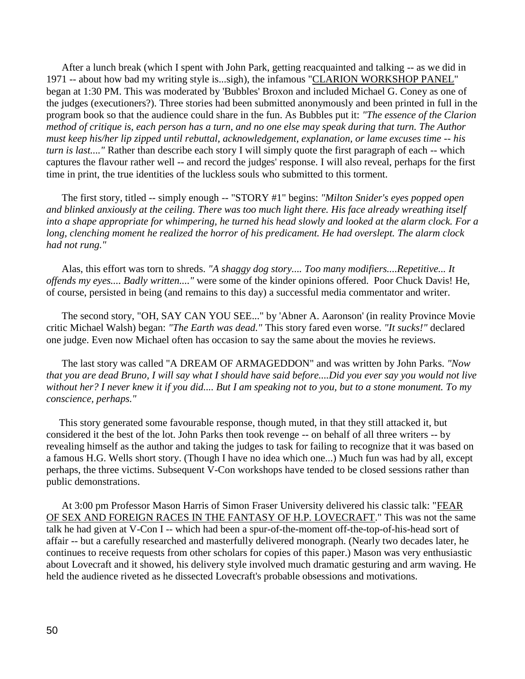After a lunch break (which I spent with John Park, getting reacquainted and talking -- as we did in 1971 -- about how bad my writing style is...sigh), the infamous "CLARION WORKSHOP PANEL" began at 1:30 PM. This was moderated by 'Bubbles' Broxon and included Michael G. Coney as one of the judges (executioners?). Three stories had been submitted anonymously and been printed in full in the program book so that the audience could share in the fun. As Bubbles put it: *"The essence of the Clarion method of critique is, each person has a turn, and no one else may speak during that turn. The Author must keep his/her lip zipped until rebuttal, acknowledgement, explanation, or lame excuses time -- his turn is last...."* Rather than describe each story I will simply quote the first paragraph of each -- which captures the flavour rather well -- and record the judges' response. I will also reveal, perhaps for the first time in print, the true identities of the luckless souls who submitted to this torment.

 The first story, titled -- simply enough -- "STORY #1" begins: *"Milton Snider's eyes popped open and blinked anxiously at the ceiling. There was too much light there. His face already wreathing itself into a shape appropriate for whimpering, he turned his head slowly and looked at the alarm clock. For a long, clenching moment he realized the horror of his predicament. He had overslept. The alarm clock had not rung."*

 Alas, this effort was torn to shreds. *"A shaggy dog story.... Too many modifiers....Repetitive... It offends my eyes.... Badly written...."* were some of the kinder opinions offered. Poor Chuck Davis! He, of course, persisted in being (and remains to this day) a successful media commentator and writer.

 The second story, "OH, SAY CAN YOU SEE..." by 'Abner A. Aaronson' (in reality Province Movie critic Michael Walsh) began: *"The Earth was dead."* This story fared even worse. *"It sucks!"* declared one judge. Even now Michael often has occasion to say the same about the movies he reviews.

 The last story was called "A DREAM OF ARMAGEDDON" and was written by John Parks. *"Now that you are dead Bruno, I will say what I should have said before....Did you ever say you would not live without her? I never knew it if you did.... But I am speaking not to you, but to a stone monument. To my conscience, perhaps."*

 This story generated some favourable response, though muted, in that they still attacked it, but considered it the best of the lot. John Parks then took revenge -- on behalf of all three writers -- by revealing himself as the author and taking the judges to task for failing to recognize that it was based on a famous H.G. Wells short story. (Though I have no idea which one...) Much fun was had by all, except perhaps, the three victims. Subsequent V-Con workshops have tended to be closed sessions rather than public demonstrations.

 At 3:00 pm Professor Mason Harris of Simon Fraser University delivered his classic talk: "FEAR OF SEX AND FOREIGN RACES IN THE FANTASY OF H.P. LOVECRAFT." This was not the same talk he had given at V-Con I -- which had been a spur-of-the-moment off-the-top-of-his-head sort of affair -- but a carefully researched and masterfully delivered monograph. (Nearly two decades later, he continues to receive requests from other scholars for copies of this paper.) Mason was very enthusiastic about Lovecraft and it showed, his delivery style involved much dramatic gesturing and arm waving. He held the audience riveted as he dissected Lovecraft's probable obsessions and motivations.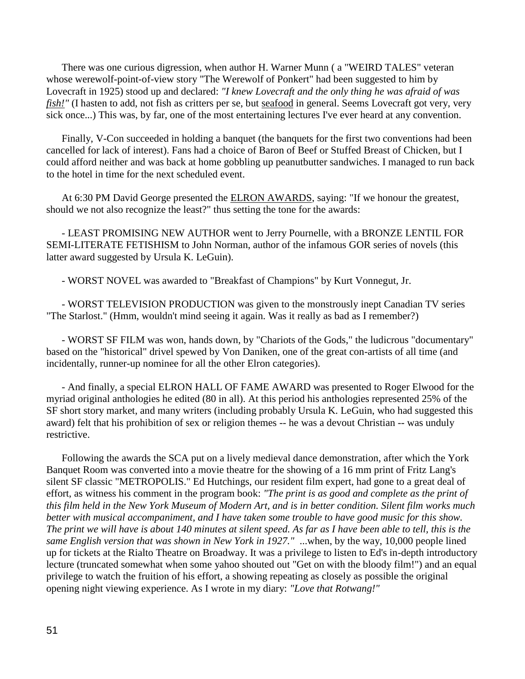There was one curious digression, when author H. Warner Munn ( a "WEIRD TALES" veteran whose werewolf-point-of-view story "The Werewolf of Ponkert" had been suggested to him by Lovecraft in 1925) stood up and declared: *"I knew Lovecraft and the only thing he was afraid of was fish!"* (I hasten to add, not fish as critters per se, but seafood in general. Seems Lovecraft got very, very sick once...) This was, by far, one of the most entertaining lectures I've ever heard at any convention.

 Finally, V-Con succeeded in holding a banquet (the banquets for the first two conventions had been cancelled for lack of interest). Fans had a choice of Baron of Beef or Stuffed Breast of Chicken, but I could afford neither and was back at home gobbling up peanutbutter sandwiches. I managed to run back to the hotel in time for the next scheduled event.

At 6:30 PM David George presented the **ELRON AWARDS**, saying: "If we honour the greatest, should we not also recognize the least?" thus setting the tone for the awards:

 - LEAST PROMISING NEW AUTHOR went to Jerry Pournelle, with a BRONZE LENTIL FOR SEMI-LITERATE FETISHISM to John Norman, author of the infamous GOR series of novels (this latter award suggested by Ursula K. LeGuin).

- WORST NOVEL was awarded to "Breakfast of Champions" by Kurt Vonnegut, Jr.

 - WORST TELEVISION PRODUCTION was given to the monstrously inept Canadian TV series "The Starlost." (Hmm, wouldn't mind seeing it again. Was it really as bad as I remember?)

 - WORST SF FILM was won, hands down, by "Chariots of the Gods," the ludicrous "documentary" based on the "historical" drivel spewed by Von Daniken, one of the great con-artists of all time (and incidentally, runner-up nominee for all the other Elron categories).

 - And finally, a special ELRON HALL OF FAME AWARD was presented to Roger Elwood for the myriad original anthologies he edited (80 in all). At this period his anthologies represented 25% of the SF short story market, and many writers (including probably Ursula K. LeGuin, who had suggested this award) felt that his prohibition of sex or religion themes -- he was a devout Christian -- was unduly restrictive.

 Following the awards the SCA put on a lively medieval dance demonstration, after which the York Banquet Room was converted into a movie theatre for the showing of a 16 mm print of Fritz Lang's silent SF classic "METROPOLIS." Ed Hutchings, our resident film expert, had gone to a great deal of effort, as witness his comment in the program book: *"The print is as good and complete as the print of this film held in the New York Museum of Modern Art, and is in better condition. Silent film works much better with musical accompaniment, and I have taken some trouble to have good music for this show. The print we will have is about 140 minutes at silent speed. As far as I have been able to tell, this is the same English version that was shown in New York in 1927."* ...when, by the way, 10,000 people lined up for tickets at the Rialto Theatre on Broadway. It was a privilege to listen to Ed's in-depth introductory lecture (truncated somewhat when some yahoo shouted out "Get on with the bloody film!") and an equal privilege to watch the fruition of his effort, a showing repeating as closely as possible the original opening night viewing experience. As I wrote in my diary: *"Love that Rotwang!"*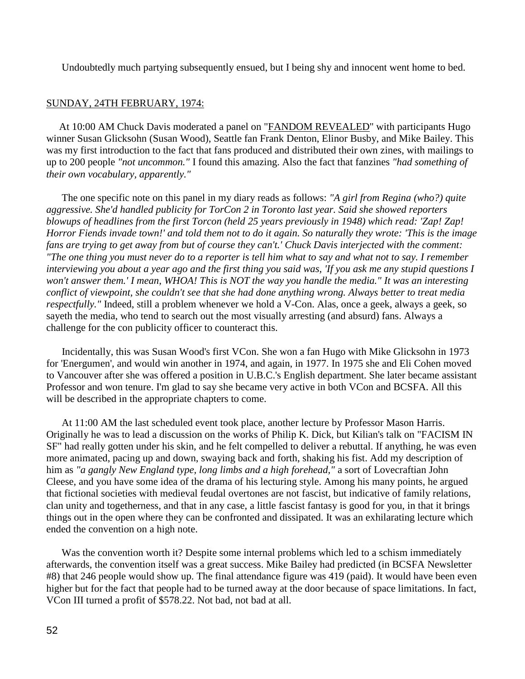Undoubtedly much partying subsequently ensued, but I being shy and innocent went home to bed.

## SUNDAY, 24TH FEBRUARY, 1974:

At 10:00 AM Chuck Davis moderated a panel on "FANDOM REVEALED" with participants Hugo winner Susan Glicksohn (Susan Wood), Seattle fan Frank Denton, Elinor Busby, and Mike Bailey. This was my first introduction to the fact that fans produced and distributed their own zines, with mailings to up to 200 people *"not uncommon."* I found this amazing. Also the fact that fanzines *"had something of their own vocabulary, apparently."*

 The one specific note on this panel in my diary reads as follows: *"A girl from Regina (who?) quite aggressive. She'd handled publicity for TorCon 2 in Toronto last year. Said she showed reporters blowups of headlines from the first Torcon (held 25 years previously in 1948) which read: 'Zap! Zap! Horror Fiends invade town!' and told them not to do it again. So naturally they wrote: 'This is the image fans are trying to get away from but of course they can't.' Chuck Davis interjected with the comment: "The one thing you must never do to a reporter is tell him what to say and what not to say. I remember interviewing you about a year ago and the first thing you said was, 'If you ask me any stupid questions I won't answer them.' I mean, WHOA! This is NOT the way you handle the media." It was an interesting conflict of viewpoint, she couldn't see that she had done anything wrong. Always better to treat media respectfully."* Indeed, still a problem whenever we hold a V-Con. Alas, once a geek, always a geek, so sayeth the media, who tend to search out the most visually arresting (and absurd) fans. Always a challenge for the con publicity officer to counteract this.

 Incidentally, this was Susan Wood's first VCon. She won a fan Hugo with Mike Glicksohn in 1973 for 'Energumen', and would win another in 1974, and again, in 1977. In 1975 she and Eli Cohen moved to Vancouver after she was offered a position in U.B.C.'s English department. She later became assistant Professor and won tenure. I'm glad to say she became very active in both VCon and BCSFA. All this will be described in the appropriate chapters to come.

 At 11:00 AM the last scheduled event took place, another lecture by Professor Mason Harris. Originally he was to lead a discussion on the works of Philip K. Dick, but Kilian's talk on "FACISM IN SF" had really gotten under his skin, and he felt compelled to deliver a rebuttal. If anything, he was even more animated, pacing up and down, swaying back and forth, shaking his fist. Add my description of him as *"a gangly New England type, long limbs and a high forehead,"* a sort of Lovecraftian John Cleese, and you have some idea of the drama of his lecturing style. Among his many points, he argued that fictional societies with medieval feudal overtones are not fascist, but indicative of family relations, clan unity and togetherness, and that in any case, a little fascist fantasy is good for you, in that it brings things out in the open where they can be confronted and dissipated. It was an exhilarating lecture which ended the convention on a high note.

Was the convention worth it? Despite some internal problems which led to a schism immediately afterwards, the convention itself was a great success. Mike Bailey had predicted (in BCSFA Newsletter #8) that 246 people would show up. The final attendance figure was 419 (paid). It would have been even higher but for the fact that people had to be turned away at the door because of space limitations. In fact, VCon III turned a profit of \$578.22. Not bad, not bad at all.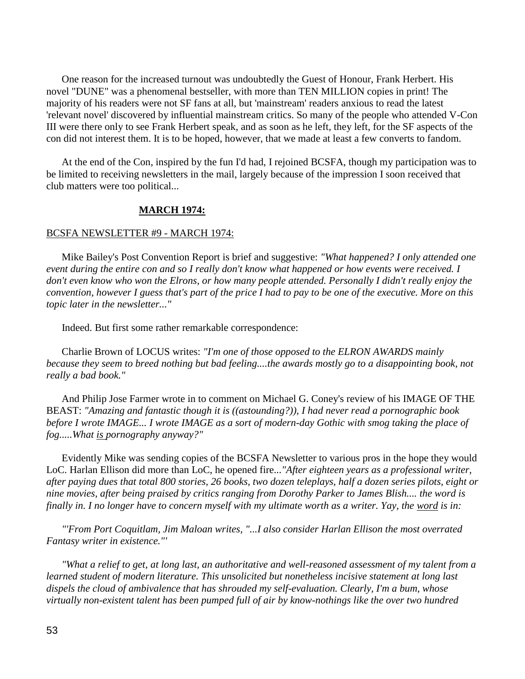One reason for the increased turnout was undoubtedly the Guest of Honour, Frank Herbert. His novel "DUNE" was a phenomenal bestseller, with more than TEN MILLION copies in print! The majority of his readers were not SF fans at all, but 'mainstream' readers anxious to read the latest 'relevant novel' discovered by influential mainstream critics. So many of the people who attended V-Con III were there only to see Frank Herbert speak, and as soon as he left, they left, for the SF aspects of the con did not interest them. It is to be hoped, however, that we made at least a few converts to fandom.

 At the end of the Con, inspired by the fun I'd had, I rejoined BCSFA, though my participation was to be limited to receiving newsletters in the mail, largely because of the impression I soon received that club matters were too political...

## **MARCH 1974:**

### BCSFA NEWSLETTER #9 - MARCH 1974:

 Mike Bailey's Post Convention Report is brief and suggestive: *"What happened? I only attended one event during the entire con and so I really don't know what happened or how events were received. I don't even know who won the Elrons, or how many people attended. Personally I didn't really enjoy the convention, however I guess that's part of the price I had to pay to be one of the executive. More on this topic later in the newsletter..."*

Indeed. But first some rather remarkable correspondence:

 Charlie Brown of LOCUS writes: *"I'm one of those opposed to the ELRON AWARDS mainly because they seem to breed nothing but bad feeling....the awards mostly go to a disappointing book, not really a bad book."*

 And Philip Jose Farmer wrote in to comment on Michael G. Coney's review of his IMAGE OF THE BEAST: *"Amazing and fantastic though it is ((astounding?)), I had never read a pornographic book before I wrote IMAGE... I wrote IMAGE as a sort of modern-day Gothic with smog taking the place of fog.....What is pornography anyway?"* 

 Evidently Mike was sending copies of the BCSFA Newsletter to various pros in the hope they would LoC. Harlan Ellison did more than LoC, he opened fire...*"After eighteen years as a professional writer, after paying dues that total 800 stories, 26 books, two dozen teleplays, half a dozen series pilots, eight or nine movies, after being praised by critics ranging from Dorothy Parker to James Blish.... the word is finally in. I no longer have to concern myself with my ultimate worth as a writer. Yay, the word is in:*

 *"'From Port Coquitlam, Jim Maloan writes, "...I also consider Harlan Ellison the most overrated Fantasy writer in existence."'*

 *"What a relief to get, at long last, an authoritative and well-reasoned assessment of my talent from a learned student of modern literature. This unsolicited but nonetheless incisive statement at long last dispels the cloud of ambivalence that has shrouded my self-evaluation. Clearly, I'm a bum, whose virtually non-existent talent has been pumped full of air by know-nothings like the over two hundred*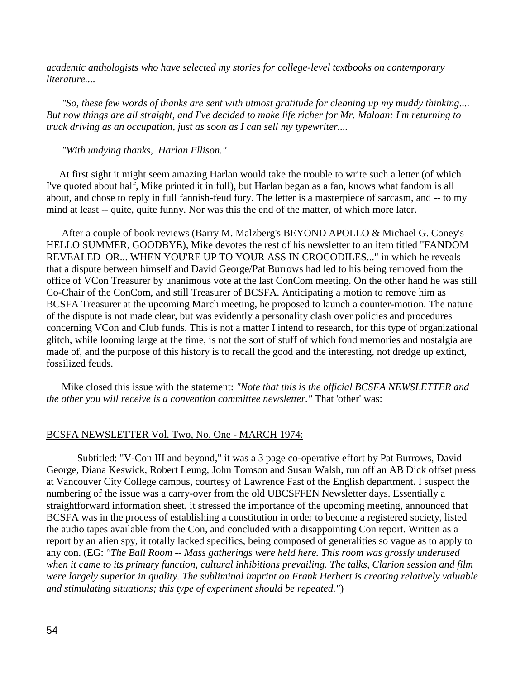*academic anthologists who have selected my stories for college-level textbooks on contemporary literature....*

 *"So, these few words of thanks are sent with utmost gratitude for cleaning up my muddy thinking.... But now things are all straight, and I've decided to make life richer for Mr. Maloan: I'm returning to truck driving as an occupation, just as soon as I can sell my typewriter....*

### *"With undying thanks, Harlan Ellison."*

At first sight it might seem amazing Harlan would take the trouble to write such a letter (of which I've quoted about half, Mike printed it in full), but Harlan began as a fan, knows what fandom is all about, and chose to reply in full fannish-feud fury. The letter is a masterpiece of sarcasm, and -- to my mind at least -- quite, quite funny. Nor was this the end of the matter, of which more later.

 After a couple of book reviews (Barry M. Malzberg's BEYOND APOLLO & Michael G. Coney's HELLO SUMMER, GOODBYE), Mike devotes the rest of his newsletter to an item titled "FANDOM REVEALED OR... WHEN YOU'RE UP TO YOUR ASS IN CROCODILES..." in which he reveals that a dispute between himself and David George/Pat Burrows had led to his being removed from the office of VCon Treasurer by unanimous vote at the last ConCom meeting. On the other hand he was still Co-Chair of the ConCom, and still Treasurer of BCSFA. Anticipating a motion to remove him as BCSFA Treasurer at the upcoming March meeting, he proposed to launch a counter-motion. The nature of the dispute is not made clear, but was evidently a personality clash over policies and procedures concerning VCon and Club funds. This is not a matter I intend to research, for this type of organizational glitch, while looming large at the time, is not the sort of stuff of which fond memories and nostalgia are made of, and the purpose of this history is to recall the good and the interesting, not dredge up extinct, fossilized feuds.

 Mike closed this issue with the statement: *"Note that this is the official BCSFA NEWSLETTER and the other you will receive is a convention committee newsletter."* That 'other' was:

### BCSFA NEWSLETTER Vol. Two, No. One - MARCH 1974:

Subtitled: "V-Con III and beyond," it was a 3 page co-operative effort by Pat Burrows, David George, Diana Keswick, Robert Leung, John Tomson and Susan Walsh, run off an AB Dick offset press at Vancouver City College campus, courtesy of Lawrence Fast of the English department. I suspect the numbering of the issue was a carry-over from the old UBCSFFEN Newsletter days. Essentially a straightforward information sheet, it stressed the importance of the upcoming meeting, announced that BCSFA was in the process of establishing a constitution in order to become a registered society, listed the audio tapes available from the Con, and concluded with a disappointing Con report. Written as a report by an alien spy, it totally lacked specifics, being composed of generalities so vague as to apply to any con. (EG: *"The Ball Room -- Mass gatherings were held here. This room was grossly underused when it came to its primary function, cultural inhibitions prevailing. The talks, Clarion session and film were largely superior in quality. The subliminal imprint on Frank Herbert is creating relatively valuable and stimulating situations; this type of experiment should be repeated."*)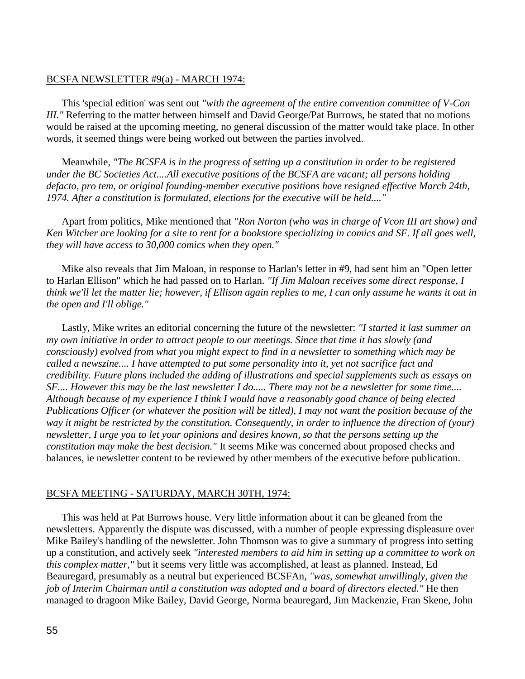## BCSFA NEWSLETTER #9(a) - MARCH 1974:

 This 'special edition' was sent out *"with the agreement of the entire convention committee of V-Con III."* Referring to the matter between himself and David George/Pat Burrows, he stated that no motions would be raised at the upcoming meeting, no general discussion of the matter would take place. In other words, it seemed things were being worked out between the parties involved.

 Meanwhile, *"The BCSFA is in the progress of setting up a constitution in order to be registered under the BC Societies Act....All executive positions of the BCSFA are vacant; all persons holding defacto, pro tem, or original founding-member executive positions have resigned effective March 24th, 1974. After a constitution is formulated, elections for the executive will be held...."*

 Apart from politics, Mike mentioned that *"Ron Norton (who was in charge of Vcon III art show) and Ken Witcher are looking for a site to rent for a bookstore specializing in comics and SF. If all goes well, they will have access to 30,000 comics when they open."*

 Mike also reveals that Jim Maloan, in response to Harlan's letter in #9, had sent him an "Open letter to Harlan Ellison" which he had passed on to Harlan. *"If Jim Maloan receives some direct response, I think we'll let the matter lie; however, if Ellison again replies to me, I can only assume he wants it out in the open and I'll oblige."*

 Lastly, Mike writes an editorial concerning the future of the newsletter: *"I started it last summer on my own initiative in order to attract people to our meetings. Since that time it has slowly (and consciously) evolved from what you might expect to find in a newsletter to something which may be called a newszine.... I have attempted to put some personality into it, yet not sacrifice fact and credibility. Future plans included the adding of illustrations and special supplements such as essays on SF.... However this may be the last newsletter I do..... There may not be a newsletter for some time.... Although because of my experience I think I would have a reasonably good chance of being elected Publications Officer (or whatever the position will be titled), I may not want the position because of the way it might be restricted by the constitution. Consequently, in order to influence the direction of (your) newsletter, I urge you to let your opinions and desires known, so that the persons setting up the constitution may make the best decision."* It seems Mike was concerned about proposed checks and balances, ie newsletter content to be reviewed by other members of the executive before publication.

### BCSFA MEETING - SATURDAY, MARCH 30TH, 1974:

 This was held at Pat Burrows house. Very little information about it can be gleaned from the newsletters. Apparently the dispute was discussed, with a number of people expressing displeasure over Mike Bailey's handling of the newsletter. John Thomson was to give a summary of progress into setting up a constitution, and actively seek *"interested members to aid him in setting up a committee to work on this complex matter,"* but it seems very little was accomplished, at least as planned. Instead, Ed Beauregard, presumably as a neutral but experienced BCSFAn, *"was, somewhat unwillingly, given the job of Interim Chairman until a constitution was adopted and a board of directors elected."* He then managed to dragoon Mike Bailey, David George, Norma beauregard, Jim Mackenzie, Fran Skene, John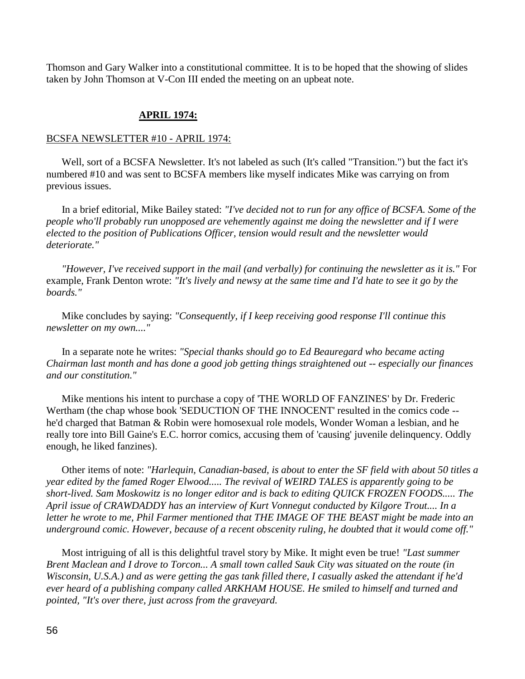Thomson and Gary Walker into a constitutional committee. It is to be hoped that the showing of slides taken by John Thomson at V-Con III ended the meeting on an upbeat note.

# **APRIL 1974:**

### BCSFA NEWSLETTER #10 - APRIL 1974:

 Well, sort of a BCSFA Newsletter. It's not labeled as such (It's called "Transition.") but the fact it's numbered #10 and was sent to BCSFA members like myself indicates Mike was carrying on from previous issues.

 In a brief editorial, Mike Bailey stated: *"I've decided not to run for any office of BCSFA. Some of the people who'll probably run unopposed are vehemently against me doing the newsletter and if I were elected to the position of Publications Officer, tension would result and the newsletter would deteriorate."*

 *"However, I've received support in the mail (and verbally) for continuing the newsletter as it is."* For example, Frank Denton wrote: *"It's lively and newsy at the same time and I'd hate to see it go by the boards."*

 Mike concludes by saying: *"Consequently, if I keep receiving good response I'll continue this newsletter on my own...."*

 In a separate note he writes: *"Special thanks should go to Ed Beauregard who became acting Chairman last month and has done a good job getting things straightened out -- especially our finances and our constitution."*

 Mike mentions his intent to purchase a copy of 'THE WORLD OF FANZINES' by Dr. Frederic Wertham (the chap whose book 'SEDUCTION OF THE INNOCENT' resulted in the comics code - he'd charged that Batman & Robin were homosexual role models, Wonder Woman a lesbian, and he really tore into Bill Gaine's E.C. horror comics, accusing them of 'causing' juvenile delinquency. Oddly enough, he liked fanzines).

 Other items of note: *"Harlequin, Canadian-based, is about to enter the SF field with about 50 titles a year edited by the famed Roger Elwood..... The revival of WEIRD TALES is apparently going to be short-lived. Sam Moskowitz is no longer editor and is back to editing QUICK FROZEN FOODS..... The April issue of CRAWDADDY has an interview of Kurt Vonnegut conducted by Kilgore Trout.... In a letter he wrote to me, Phil Farmer mentioned that THE IMAGE OF THE BEAST might be made into an underground comic. However, because of a recent obscenity ruling, he doubted that it would come off."*

 Most intriguing of all is this delightful travel story by Mike. It might even be true! *"Last summer Brent Maclean and I drove to Torcon... A small town called Sauk City was situated on the route (in Wisconsin, U.S.A.) and as were getting the gas tank filled there, I casually asked the attendant if he'd ever heard of a publishing company called ARKHAM HOUSE. He smiled to himself and turned and pointed, "It's over there, just across from the graveyard.*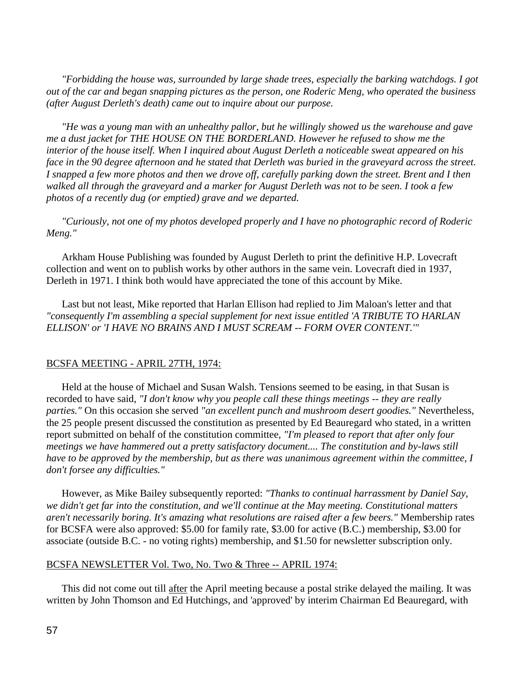*"Forbidding the house was, surrounded by large shade trees, especially the barking watchdogs. I got out of the car and began snapping pictures as the person, one Roderic Meng, who operated the business (after August Derleth's death) came out to inquire about our purpose.*

 *"He was a young man with an unhealthy pallor, but he willingly showed us the warehouse and gave me a dust jacket for THE HOUSE ON THE BORDERLAND. However he refused to show me the interior of the house itself. When I inquired about August Derleth a noticeable sweat appeared on his face in the 90 degree afternoon and he stated that Derleth was buried in the graveyard across the street. I snapped a few more photos and then we drove off, carefully parking down the street. Brent and I then walked all through the graveyard and a marker for August Derleth was not to be seen. I took a few photos of a recently dug (or emptied) grave and we departed.*

 *"Curiously, not one of my photos developed properly and I have no photographic record of Roderic Meng."*

 Arkham House Publishing was founded by August Derleth to print the definitive H.P. Lovecraft collection and went on to publish works by other authors in the same vein. Lovecraft died in 1937, Derleth in 1971. I think both would have appreciated the tone of this account by Mike.

 Last but not least, Mike reported that Harlan Ellison had replied to Jim Maloan's letter and that *"consequently I'm assembling a special supplement for next issue entitled 'A TRIBUTE TO HARLAN ELLISON' or 'I HAVE NO BRAINS AND I MUST SCREAM -- FORM OVER CONTENT.'"*

## BCSFA MEETING - APRIL 27TH, 1974:

 Held at the house of Michael and Susan Walsh. Tensions seemed to be easing, in that Susan is recorded to have said, *"I don't know why you people call these things meetings -- they are really parties."* On this occasion she served *"an excellent punch and mushroom desert goodies."* Nevertheless, the 25 people present discussed the constitution as presented by Ed Beauregard who stated, in a written report submitted on behalf of the constitution committee, *"I'm pleased to report that after only four meetings we have hammered out a pretty satisfactory document.... The constitution and by-laws still have to be approved by the membership, but as there was unanimous agreement within the committee, I don't forsee any difficulties."*

 However, as Mike Bailey subsequently reported: *"Thanks to continual harrassment by Daniel Say, we didn't get far into the constitution, and we'll continue at the May meeting. Constitutional matters aren't necessarily boring. It's amazing what resolutions are raised after a few beers."* Membership rates for BCSFA were also approved: \$5.00 for family rate, \$3.00 for active (B.C.) membership, \$3.00 for associate (outside B.C. - no voting rights) membership, and \$1.50 for newsletter subscription only.

### BCSFA NEWSLETTER Vol. Two, No. Two & Three -- APRIL 1974:

 This did not come out till after the April meeting because a postal strike delayed the mailing. It was written by John Thomson and Ed Hutchings, and 'approved' by interim Chairman Ed Beauregard, with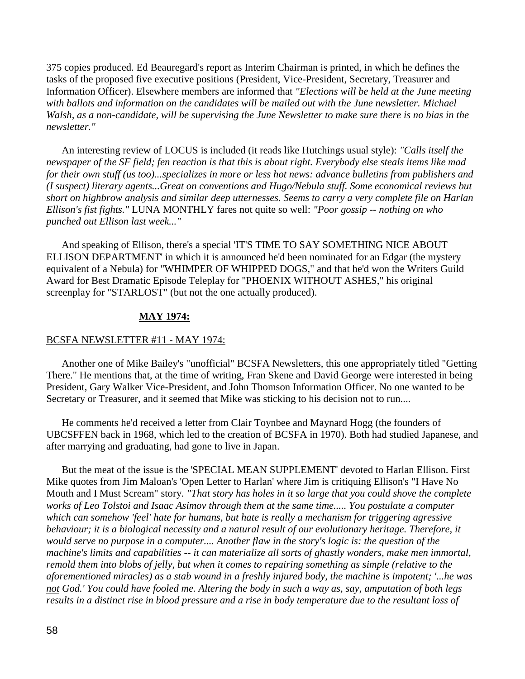375 copies produced. Ed Beauregard's report as Interim Chairman is printed, in which he defines the tasks of the proposed five executive positions (President, Vice-President, Secretary, Treasurer and Information Officer). Elsewhere members are informed that *"Elections will be held at the June meeting*  with ballots and information on the candidates will be mailed out with the June newsletter. Michael *Walsh, as a non-candidate, will be supervising the June Newsletter to make sure there is no bias in the newsletter."*

 An interesting review of LOCUS is included (it reads like Hutchings usual style): *"Calls itself the newspaper of the SF field; fen reaction is that this is about right. Everybody else steals items like mad for their own stuff (us too)...specializes in more or less hot news: advance bulletins from publishers and (I suspect) literary agents...Great on conventions and Hugo/Nebula stuff. Some economical reviews but short on highbrow analysis and similar deep utternesses. Seems to carry a very complete file on Harlan Ellison's fist fights."* LUNA MONTHLY fares not quite so well: *"Poor gossip -- nothing on who punched out Ellison last week..."*

 And speaking of Ellison, there's a special 'IT'S TIME TO SAY SOMETHING NICE ABOUT ELLISON DEPARTMENT' in which it is announced he'd been nominated for an Edgar (the mystery equivalent of a Nebula) for "WHIMPER OF WHIPPED DOGS," and that he'd won the Writers Guild Award for Best Dramatic Episode Teleplay for "PHOENIX WITHOUT ASHES," his original screenplay for "STARLOST" (but not the one actually produced).

## **MAY 1974:**

## BCSFA NEWSLETTER #11 - MAY 1974:

 Another one of Mike Bailey's "unofficial" BCSFA Newsletters, this one appropriately titled "Getting There." He mentions that, at the time of writing, Fran Skene and David George were interested in being President, Gary Walker Vice-President, and John Thomson Information Officer. No one wanted to be Secretary or Treasurer, and it seemed that Mike was sticking to his decision not to run....

 He comments he'd received a letter from Clair Toynbee and Maynard Hogg (the founders of UBCSFFEN back in 1968, which led to the creation of BCSFA in 1970). Both had studied Japanese, and after marrying and graduating, had gone to live in Japan.

 But the meat of the issue is the 'SPECIAL MEAN SUPPLEMENT' devoted to Harlan Ellison. First Mike quotes from Jim Maloan's 'Open Letter to Harlan' where Jim is critiquing Ellison's "I Have No Mouth and I Must Scream" story. *"That story has holes in it so large that you could shove the complete works of Leo Tolstoi and Isaac Asimov through them at the same time..... You postulate a computer which can somehow 'feel' hate for humans, but hate is really a mechanism for triggering agressive behaviour; it is a biological necessity and a natural result of our evolutionary heritage. Therefore, it would serve no purpose in a computer.... Another flaw in the story's logic is: the question of the machine's limits and capabilities -- it can materialize all sorts of ghastly wonders, make men immortal, remold them into blobs of jelly, but when it comes to repairing something as simple (relative to the aforementioned miracles) as a stab wound in a freshly injured body, the machine is impotent; '...he was not God.' You could have fooled me. Altering the body in such a way as, say, amputation of both legs results in a distinct rise in blood pressure and a rise in body temperature due to the resultant loss of*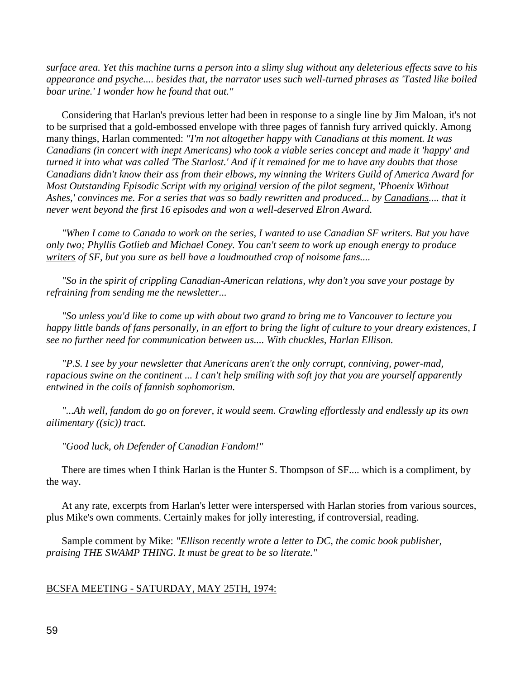*surface area. Yet this machine turns a person into a slimy slug without any deleterious effects save to his appearance and psyche.... besides that, the narrator uses such well-turned phrases as 'Tasted like boiled boar urine.' I wonder how he found that out."*

 Considering that Harlan's previous letter had been in response to a single line by Jim Maloan, it's not to be surprised that a gold-embossed envelope with three pages of fannish fury arrived quickly. Among many things, Harlan commented: *"I'm not altogether happy with Canadians at this moment. It was Canadians (in concert with inept Americans) who took a viable series concept and made it 'happy' and turned it into what was called 'The Starlost.' And if it remained for me to have any doubts that those Canadians didn't know their ass from their elbows, my winning the Writers Guild of America Award for Most Outstanding Episodic Script with my original version of the pilot segment, 'Phoenix Without Ashes,' convinces me. For a series that was so badly rewritten and produced... by Canadians.... that it never went beyond the first 16 episodes and won a well-deserved Elron Award.*

 *"When I came to Canada to work on the series, I wanted to use Canadian SF writers. But you have only two; Phyllis Gotlieb and Michael Coney. You can't seem to work up enough energy to produce writers of SF, but you sure as hell have a loudmouthed crop of noisome fans....*

 *"So in the spirit of crippling Canadian-American relations, why don't you save your postage by refraining from sending me the newsletter...*

 *"So unless you'd like to come up with about two grand to bring me to Vancouver to lecture you happy little bands of fans personally, in an effort to bring the light of culture to your dreary existences, I see no further need for communication between us.... With chuckles, Harlan Ellison.*

 *"P.S. I see by your newsletter that Americans aren't the only corrupt, conniving, power-mad, rapacious swine on the continent ... I can't help smiling with soft joy that you are yourself apparently entwined in the coils of fannish sophomorism.*

 *"...Ah well, fandom do go on forever, it would seem. Crawling effortlessly and endlessly up its own ailimentary ((sic)) tract.*

 *"Good luck, oh Defender of Canadian Fandom!"*

 There are times when I think Harlan is the Hunter S. Thompson of SF.... which is a compliment, by the way.

 At any rate, excerpts from Harlan's letter were interspersed with Harlan stories from various sources, plus Mike's own comments. Certainly makes for jolly interesting, if controversial, reading.

 Sample comment by Mike: *"Ellison recently wrote a letter to DC, the comic book publisher, praising THE SWAMP THING. It must be great to be so literate."*

### BCSFA MEETING - SATURDAY, MAY 25TH, 1974: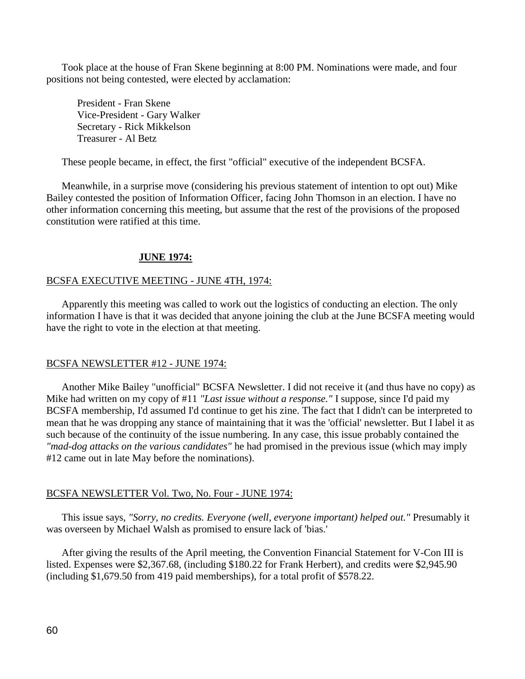Took place at the house of Fran Skene beginning at 8:00 PM. Nominations were made, and four positions not being contested, were elected by acclamation:

President - Fran Skene Vice-President - Gary Walker Secretary - Rick Mikkelson Treasurer - Al Betz

These people became, in effect, the first "official" executive of the independent BCSFA.

 Meanwhile, in a surprise move (considering his previous statement of intention to opt out) Mike Bailey contested the position of Information Officer, facing John Thomson in an election. I have no other information concerning this meeting, but assume that the rest of the provisions of the proposed constitution were ratified at this time.

# **JUNE 1974:**

# BCSFA EXECUTIVE MEETING - JUNE 4TH, 1974:

 Apparently this meeting was called to work out the logistics of conducting an election. The only information I have is that it was decided that anyone joining the club at the June BCSFA meeting would have the right to vote in the election at that meeting.

## BCSFA NEWSLETTER #12 - JUNE 1974:

 Another Mike Bailey "unofficial" BCSFA Newsletter. I did not receive it (and thus have no copy) as Mike had written on my copy of #11 *"Last issue without a response."* I suppose, since I'd paid my BCSFA membership, I'd assumed I'd continue to get his zine. The fact that I didn't can be interpreted to mean that he was dropping any stance of maintaining that it was the 'official' newsletter. But I label it as such because of the continuity of the issue numbering. In any case, this issue probably contained the *"mad-dog attacks on the various candidates"* he had promised in the previous issue (which may imply #12 came out in late May before the nominations).

## BCSFA NEWSLETTER Vol. Two, No. Four - JUNE 1974:

 This issue says, *"Sorry, no credits. Everyone (well, everyone important) helped out."* Presumably it was overseen by Michael Walsh as promised to ensure lack of 'bias.'

 After giving the results of the April meeting, the Convention Financial Statement for V-Con III is listed. Expenses were \$2,367.68, (including \$180.22 for Frank Herbert), and credits were \$2,945.90 (including \$1,679.50 from 419 paid memberships), for a total profit of \$578.22.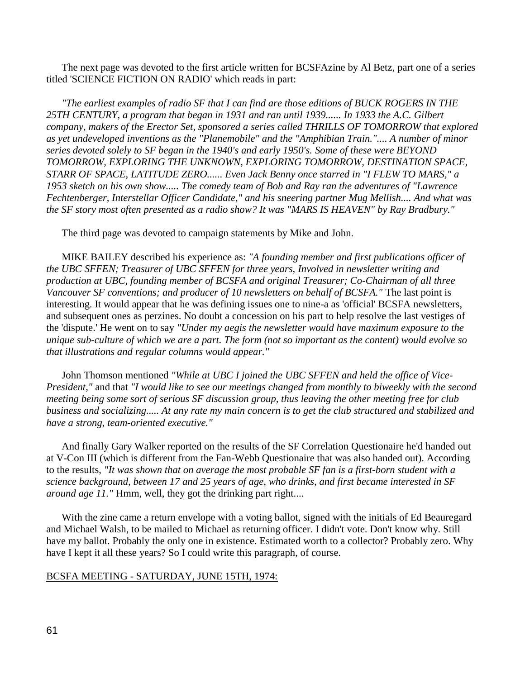The next page was devoted to the first article written for BCSFAzine by Al Betz, part one of a series titled 'SCIENCE FICTION ON RADIO' which reads in part:

 *"The earliest examples of radio SF that I can find are those editions of BUCK ROGERS IN THE 25TH CENTURY, a program that began in 1931 and ran until 1939...... In 1933 the A.C. Gilbert company, makers of the Erector Set, sponsored a series called THRILLS OF TOMORROW that explored as yet undeveloped inventions as the "Planemobile" and the "Amphibian Train.".... A number of minor series devoted solely to SF began in the 1940's and early 1950's. Some of these were BEYOND TOMORROW, EXPLORING THE UNKNOWN, EXPLORING TOMORROW, DESTINATION SPACE, STARR OF SPACE, LATITUDE ZERO...... Even Jack Benny once starred in "I FLEW TO MARS," a 1953 sketch on his own show..... The comedy team of Bob and Ray ran the adventures of "Lawrence Fechtenberger, Interstellar Officer Candidate," and his sneering partner Mug Mellish.... And what was the SF story most often presented as a radio show? It was "MARS IS HEAVEN" by Ray Bradbury."*

The third page was devoted to campaign statements by Mike and John.

 MIKE BAILEY described his experience as: *"A founding member and first publications officer of the UBC SFFEN; Treasurer of UBC SFFEN for three years, Involved in newsletter writing and production at UBC, founding member of BCSFA and original Treasurer; Co-Chairman of all three Vancouver SF conventions; and producer of 10 newsletters on behalf of BCSFA."* The last point is interesting. It would appear that he was defining issues one to nine-a as 'official' BCSFA newsletters, and subsequent ones as perzines. No doubt a concession on his part to help resolve the last vestiges of the 'dispute.' He went on to say *"Under my aegis the newsletter would have maximum exposure to the unique sub-culture of which we are a part. The form (not so important as the content) would evolve so that illustrations and regular columns would appear."*

 John Thomson mentioned *"While at UBC I joined the UBC SFFEN and held the office of Vice-President,"* and that *"I would like to see our meetings changed from monthly to biweekly with the second meeting being some sort of serious SF discussion group, thus leaving the other meeting free for club business and socializing..... At any rate my main concern is to get the club structured and stabilized and have a strong, team-oriented executive."*

 And finally Gary Walker reported on the results of the SF Correlation Questionaire he'd handed out at V-Con III (which is different from the Fan-Webb Questionaire that was also handed out). According to the results, *"It was shown that on average the most probable SF fan is a first-born student with a science background, between 17 and 25 years of age, who drinks, and first became interested in SF around age 11."* Hmm, well, they got the drinking part right....

 With the zine came a return envelope with a voting ballot, signed with the initials of Ed Beauregard and Michael Walsh, to be mailed to Michael as returning officer. I didn't vote. Don't know why. Still have my ballot. Probably the only one in existence. Estimated worth to a collector? Probably zero. Why have I kept it all these years? So I could write this paragraph, of course.

## BCSFA MEETING - SATURDAY, JUNE 15TH, 1974: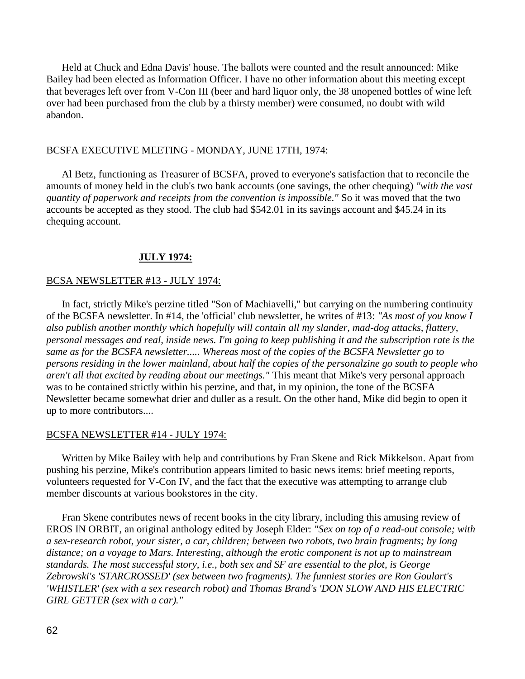Held at Chuck and Edna Davis' house. The ballots were counted and the result announced: Mike Bailey had been elected as Information Officer. I have no other information about this meeting except that beverages left over from V-Con III (beer and hard liquor only, the 38 unopened bottles of wine left over had been purchased from the club by a thirsty member) were consumed, no doubt with wild abandon.

## BCSFA EXECUTIVE MEETING - MONDAY, JUNE 17TH, 1974:

 Al Betz, functioning as Treasurer of BCSFA, proved to everyone's satisfaction that to reconcile the amounts of money held in the club's two bank accounts (one savings, the other chequing) *"with the vast quantity of paperwork and receipts from the convention is impossible."* So it was moved that the two accounts be accepted as they stood. The club had \$542.01 in its savings account and \$45.24 in its chequing account.

# **JULY 1974:**

## BCSA NEWSLETTER #13 - JULY 1974:

 In fact, strictly Mike's perzine titled "Son of Machiavelli," but carrying on the numbering continuity of the BCSFA newsletter. In #14, the 'official' club newsletter, he writes of #13: *"As most of you know I also publish another monthly which hopefully will contain all my slander, mad-dog attacks, flattery, personal messages and real, inside news. I'm going to keep publishing it and the subscription rate is the same as for the BCSFA newsletter..... Whereas most of the copies of the BCSFA Newsletter go to persons residing in the lower mainland, about half the copies of the personalzine go south to people who aren't all that excited by reading about our meetings."* This meant that Mike's very personal approach was to be contained strictly within his perzine, and that, in my opinion, the tone of the BCSFA Newsletter became somewhat drier and duller as a result. On the other hand, Mike did begin to open it up to more contributors....

### BCSFA NEWSLETTER #14 - JULY 1974:

 Written by Mike Bailey with help and contributions by Fran Skene and Rick Mikkelson. Apart from pushing his perzine, Mike's contribution appears limited to basic news items: brief meeting reports, volunteers requested for V-Con IV, and the fact that the executive was attempting to arrange club member discounts at various bookstores in the city.

 Fran Skene contributes news of recent books in the city library, including this amusing review of EROS IN ORBIT, an original anthology edited by Joseph Elder: *"Sex on top of a read-out console; with a sex-research robot, your sister, a car, children; between two robots, two brain fragments; by long distance; on a voyage to Mars. Interesting, although the erotic component is not up to mainstream standards. The most successful story, i.e., both sex and SF are essential to the plot, is George Zebrowski's 'STARCROSSED' (sex between two fragments). The funniest stories are Ron Goulart's 'WHISTLER' (sex with a sex research robot) and Thomas Brand's 'DON SLOW AND HIS ELECTRIC GIRL GETTER (sex with a car)."*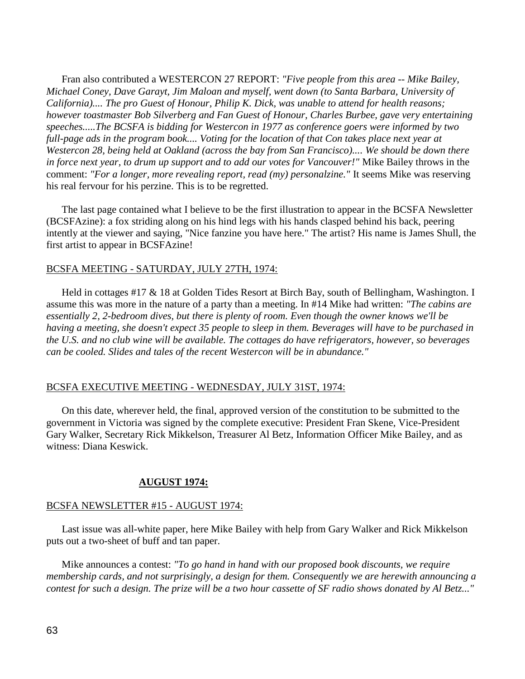Fran also contributed a WESTERCON 27 REPORT: *"Five people from this area -- Mike Bailey, Michael Coney, Dave Garayt, Jim Maloan and myself, went down (to Santa Barbara, University of California).... The pro Guest of Honour, Philip K. Dick, was unable to attend for health reasons; however toastmaster Bob Silverberg and Fan Guest of Honour, Charles Burbee, gave very entertaining speeches.....The BCSFA is bidding for Westercon in 1977 as conference goers were informed by two full-page ads in the program book.... Voting for the location of that Con takes place next year at Westercon 28, being held at Oakland (across the bay from San Francisco).... We should be down there in force next year, to drum up support and to add our votes for Vancouver!"* Mike Bailey throws in the comment: *"For a longer, more revealing report, read (my) personalzine."* It seems Mike was reserving his real fervour for his perzine. This is to be regretted.

 The last page contained what I believe to be the first illustration to appear in the BCSFA Newsletter (BCSFAzine): a fox striding along on his hind legs with his hands clasped behind his back, peering intently at the viewer and saying, "Nice fanzine you have here." The artist? His name is James Shull, the first artist to appear in BCSFAzine!

## BCSFA MEETING - SATURDAY, JULY 27TH, 1974:

 Held in cottages #17 & 18 at Golden Tides Resort at Birch Bay, south of Bellingham, Washington. I assume this was more in the nature of a party than a meeting. In #14 Mike had written: *"The cabins are essentially 2, 2-bedroom dives, but there is plenty of room. Even though the owner knows we'll be having a meeting, she doesn't expect 35 people to sleep in them. Beverages will have to be purchased in the U.S. and no club wine will be available. The cottages do have refrigerators, however, so beverages can be cooled. Slides and tales of the recent Westercon will be in abundance."*

## BCSFA EXECUTIVE MEETING - WEDNESDAY, JULY 31ST, 1974:

 On this date, wherever held, the final, approved version of the constitution to be submitted to the government in Victoria was signed by the complete executive: President Fran Skene, Vice-President Gary Walker, Secretary Rick Mikkelson, Treasurer Al Betz, Information Officer Mike Bailey, and as witness: Diana Keswick.

### **AUGUST 1974:**

### BCSFA NEWSLETTER #15 - AUGUST 1974:

 Last issue was all-white paper, here Mike Bailey with help from Gary Walker and Rick Mikkelson puts out a two-sheet of buff and tan paper.

 Mike announces a contest: *"To go hand in hand with our proposed book discounts, we require membership cards, and not surprisingly, a design for them. Consequently we are herewith announcing a contest for such a design. The prize will be a two hour cassette of SF radio shows donated by Al Betz..."*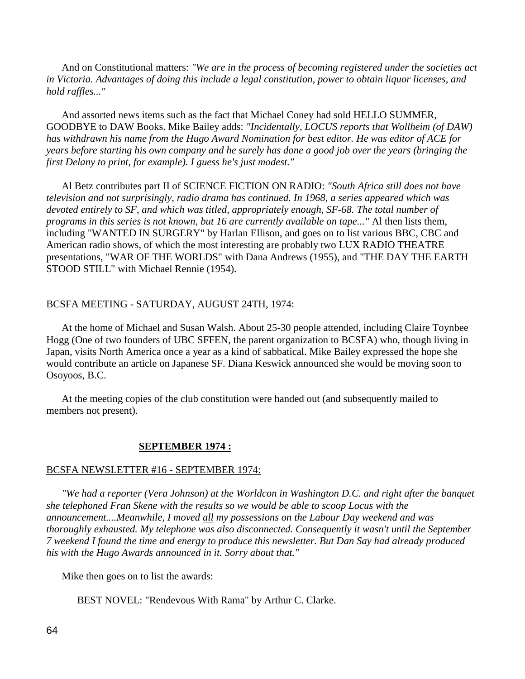And on Constitutional matters: *"We are in the process of becoming registered under the societies act in Victoria. Advantages of doing this include a legal constitution, power to obtain liquor licenses, and hold raffles..."*

 And assorted news items such as the fact that Michael Coney had sold HELLO SUMMER, GOODBYE to DAW Books. Mike Bailey adds: *"Incidentally, LOCUS reports that Wollheim (of DAW) has withdrawn his name from the Hugo Award Nomination for best editor. He was editor of ACE for years before starting his own company and he surely has done a good job over the years (bringing the first Delany to print, for example). I guess he's just modest."*

 Al Betz contributes part II of SCIENCE FICTION ON RADIO: *"South Africa still does not have television and not surprisingly, radio drama has continued. In 1968, a series appeared which was devoted entirely to SF, and which was titled, appropriately enough, SF-68. The total number of programs in this series is not known, but 16 are currently available on tape..."* Al then lists them, including "WANTED IN SURGERY" by Harlan Ellison, and goes on to list various BBC, CBC and American radio shows, of which the most interesting are probably two LUX RADIO THEATRE presentations, "WAR OF THE WORLDS" with Dana Andrews (1955), and "THE DAY THE EARTH STOOD STILL" with Michael Rennie (1954).

## BCSFA MEETING - SATURDAY, AUGUST 24TH, 1974:

 At the home of Michael and Susan Walsh. About 25-30 people attended, including Claire Toynbee Hogg (One of two founders of UBC SFFEN, the parent organization to BCSFA) who, though living in Japan, visits North America once a year as a kind of sabbatical. Mike Bailey expressed the hope she would contribute an article on Japanese SF. Diana Keswick announced she would be moving soon to Osoyoos, B.C.

 At the meeting copies of the club constitution were handed out (and subsequently mailed to members not present).

#### **SEPTEMBER 1974 :**

### BCSFA NEWSLETTER #16 - SEPTEMBER 1974:

 *"We had a reporter (Vera Johnson) at the Worldcon in Washington D.C. and right after the banquet she telephoned Fran Skene with the results so we would be able to scoop Locus with the announcement....Meanwhile, I moved all my possessions on the Labour Day weekend and was thoroughly exhausted. My telephone was also disconnected. Consequently it wasn't until the September 7 weekend I found the time and energy to produce this newsletter. But Dan Say had already produced his with the Hugo Awards announced in it. Sorry about that."*

Mike then goes on to list the awards:

BEST NOVEL: "Rendevous With Rama" by Arthur C. Clarke.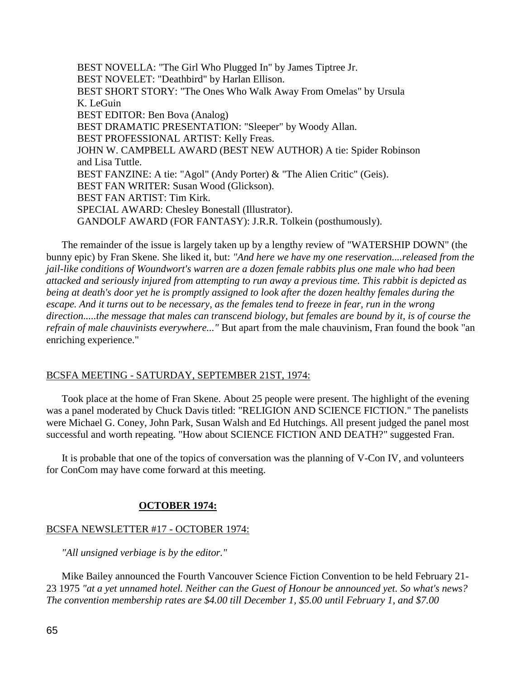BEST NOVELLA: "The Girl Who Plugged In" by James Tiptree Jr. BEST NOVELET: "Deathbird" by Harlan Ellison. BEST SHORT STORY: "The Ones Who Walk Away From Omelas" by Ursula K. LeGuin BEST EDITOR: Ben Bova (Analog) BEST DRAMATIC PRESENTATION: "Sleeper" by Woody Allan. BEST PROFESSIONAL ARTIST: Kelly Freas. JOHN W. CAMPBELL AWARD (BEST NEW AUTHOR) A tie: Spider Robinson and Lisa Tuttle. BEST FANZINE: A tie: "Agol" (Andy Porter) & "The Alien Critic" (Geis). BEST FAN WRITER: Susan Wood (Glickson). BEST FAN ARTIST: Tim Kirk. SPECIAL AWARD: Chesley Bonestall (Illustrator). GANDOLF AWARD (FOR FANTASY): J.R.R. Tolkein (posthumously).

 The remainder of the issue is largely taken up by a lengthy review of "WATERSHIP DOWN" (the bunny epic) by Fran Skene. She liked it, but: *"And here we have my one reservation....released from the jail-like conditions of Woundwort's warren are a dozen female rabbits plus one male who had been attacked and seriously injured from attempting to run away a previous time. This rabbit is depicted as being at death's door yet he is promptly assigned to look after the dozen healthy females during the escape. And it turns out to be necessary, as the females tend to freeze in fear, run in the wrong direction.....the message that males can transcend biology, but females are bound by it, is of course the refrain of male chauvinists everywhere..."* But apart from the male chauvinism, Fran found the book "an enriching experience."

## BCSFA MEETING - SATURDAY, SEPTEMBER 21ST, 1974:

 Took place at the home of Fran Skene. About 25 people were present. The highlight of the evening was a panel moderated by Chuck Davis titled: "RELIGION AND SCIENCE FICTION." The panelists were Michael G. Coney, John Park, Susan Walsh and Ed Hutchings. All present judged the panel most successful and worth repeating. "How about SCIENCE FICTION AND DEATH?" suggested Fran.

 It is probable that one of the topics of conversation was the planning of V-Con IV, and volunteers for ConCom may have come forward at this meeting.

# **OCTOBER 1974:**

# BCSFA NEWSLETTER #17 - OCTOBER 1974:

*"All unsigned verbiage is by the editor."*

 Mike Bailey announced the Fourth Vancouver Science Fiction Convention to be held February 21- 23 1975 *"at a yet unnamed hotel. Neither can the Guest of Honour be announced yet. So what's news? The convention membership rates are \$4.00 till December 1, \$5.00 until February 1, and \$7.00*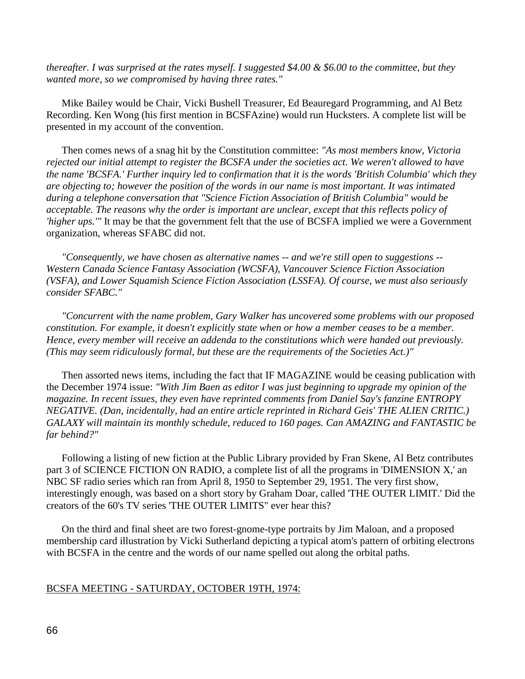*thereafter. I was surprised at the rates myself. I suggested \$4.00 & \$6.00 to the committee, but they wanted more, so we compromised by having three rates."*

 Mike Bailey would be Chair, Vicki Bushell Treasurer, Ed Beauregard Programming, and Al Betz Recording. Ken Wong (his first mention in BCSFAzine) would run Hucksters. A complete list will be presented in my account of the convention.

 Then comes news of a snag hit by the Constitution committee: *"As most members know, Victoria rejected our initial attempt to register the BCSFA under the societies act. We weren't allowed to have the name 'BCSFA.' Further inquiry led to confirmation that it is the words 'British Columbia' which they are objecting to; however the position of the words in our name is most important. It was intimated during a telephone conversation that "Science Fiction Association of British Columbia" would be acceptable. The reasons why the order is important are unclear, except that this reflects policy of 'higher ups.'"* It may be that the government felt that the use of BCSFA implied we were a Government organization, whereas SFABC did not.

 *"Consequently, we have chosen as alternative names -- and we're still open to suggestions -- Western Canada Science Fantasy Association (WCSFA), Vancouver Science Fiction Association (VSFA), and Lower Squamish Science Fiction Association (LSSFA). Of course, we must also seriously consider SFABC."*

 *"Concurrent with the name problem, Gary Walker has uncovered some problems with our proposed constitution. For example, it doesn't explicitly state when or how a member ceases to be a member. Hence, every member will receive an addenda to the constitutions which were handed out previously. (This may seem ridiculously formal, but these are the requirements of the Societies Act.)"*

 Then assorted news items, including the fact that IF MAGAZINE would be ceasing publication with the December 1974 issue: *"With Jim Baen as editor I was just beginning to upgrade my opinion of the magazine. In recent issues, they even have reprinted comments from Daniel Say's fanzine ENTROPY NEGATIVE. (Dan, incidentally, had an entire article reprinted in Richard Geis' THE ALIEN CRITIC.) GALAXY will maintain its monthly schedule, reduced to 160 pages. Can AMAZING and FANTASTIC be far behind?"*

 Following a listing of new fiction at the Public Library provided by Fran Skene, Al Betz contributes part 3 of SCIENCE FICTION ON RADIO, a complete list of all the programs in 'DIMENSION X,' an NBC SF radio series which ran from April 8, 1950 to September 29, 1951. The very first show, interestingly enough, was based on a short story by Graham Doar, called 'THE OUTER LIMIT.' Did the creators of the 60's TV series 'THE OUTER LIMITS" ever hear this?

 On the third and final sheet are two forest-gnome-type portraits by Jim Maloan, and a proposed membership card illustration by Vicki Sutherland depicting a typical atom's pattern of orbiting electrons with BCSFA in the centre and the words of our name spelled out along the orbital paths.

### BCSFA MEETING - SATURDAY, OCTOBER 19TH, 1974: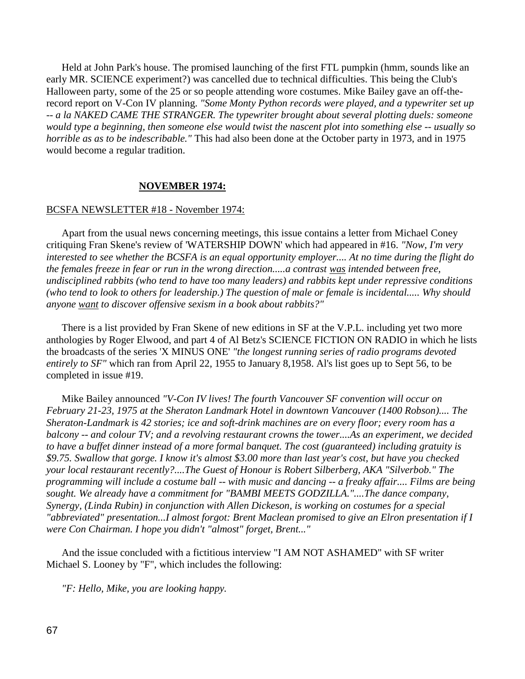Held at John Park's house. The promised launching of the first FTL pumpkin (hmm, sounds like an early MR. SCIENCE experiment?) was cancelled due to technical difficulties. This being the Club's Halloween party, some of the 25 or so people attending wore costumes. Mike Bailey gave an off-therecord report on V-Con IV planning. *"Some Monty Python records were played, and a typewriter set up -- a la NAKED CAME THE STRANGER. The typewriter brought about several plotting duels: someone would type a beginning, then someone else would twist the nascent plot into something else -- usually so horrible as as to be indescribable."* This had also been done at the October party in 1973, and in 1975 would become a regular tradition.

### **NOVEMBER 1974:**

#### BCSFA NEWSLETTER #18 - November 1974:

 Apart from the usual news concerning meetings, this issue contains a letter from Michael Coney critiquing Fran Skene's review of 'WATERSHIP DOWN' which had appeared in #16. *"Now, I'm very interested to see whether the BCSFA is an equal opportunity employer.... At no time during the flight do the females freeze in fear or run in the wrong direction.....a contrast was intended between free, undisciplined rabbits (who tend to have too many leaders) and rabbits kept under repressive conditions (who tend to look to others for leadership.) The question of male or female is incidental..... Why should anyone want to discover offensive sexism in a book about rabbits?"*

 There is a list provided by Fran Skene of new editions in SF at the V.P.L. including yet two more anthologies by Roger Elwood, and part 4 of Al Betz's SCIENCE FICTION ON RADIO in which he lists the broadcasts of the series 'X MINUS ONE' *"the longest running series of radio programs devoted entirely to SF"* which ran from April 22, 1955 to January 8,1958. Al's list goes up to Sept 56, to be completed in issue #19.

 Mike Bailey announced *"V-Con IV lives! The fourth Vancouver SF convention will occur on February 21-23, 1975 at the Sheraton Landmark Hotel in downtown Vancouver (1400 Robson).... The Sheraton-Landmark is 42 stories; ice and soft-drink machines are on every floor; every room has a balcony -- and colour TV; and a revolving restaurant crowns the tower....As an experiment, we decided to have a buffet dinner instead of a more formal banquet. The cost (guaranteed) including gratuity is \$9.75. Swallow that gorge. I know it's almost \$3.00 more than last year's cost, but have you checked your local restaurant recently?....The Guest of Honour is Robert Silberberg, AKA "Silverbob." The programming will include a costume ball -- with music and dancing -- a freaky affair.... Films are being*  sought. We already have a commitment for "BAMBI MEETS GODZILLA."....The dance company, *Synergy, (Linda Rubin) in conjunction with Allen Dickeson, is working on costumes for a special "abbreviated" presentation...I almost forgot: Brent Maclean promised to give an Elron presentation if I were Con Chairman. I hope you didn't "almost" forget, Brent..."*

 And the issue concluded with a fictitious interview "I AM NOT ASHAMED" with SF writer Michael S. Looney by "F", which includes the following:

*"F: Hello, Mike, you are looking happy.*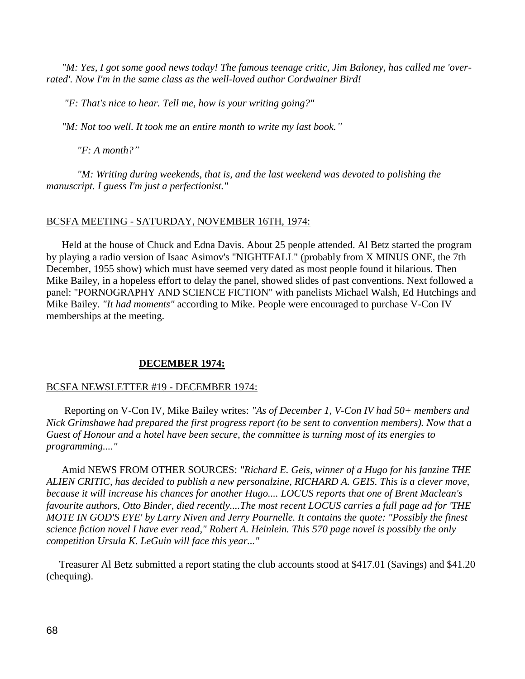*"M: Yes, I got some good news today! The famous teenage critic, Jim Baloney, has called me 'overrated'. Now I'm in the same class as the well-loved author Cordwainer Bird!*

 *"F: That's nice to hear. Tell me, how is your writing going?"*

 *"M: Not too well. It took me an entire month to write my last book."*

*"F: A month?"*

*"M: Writing during weekends, that is, and the last weekend was devoted to polishing the manuscript. I guess I'm just a perfectionist."*

# BCSFA MEETING - SATURDAY, NOVEMBER 16TH, 1974:

 Held at the house of Chuck and Edna Davis. About 25 people attended. Al Betz started the program by playing a radio version of Isaac Asimov's "NIGHTFALL" (probably from X MINUS ONE, the 7th December, 1955 show) which must have seemed very dated as most people found it hilarious. Then Mike Bailey, in a hopeless effort to delay the panel, showed slides of past conventions. Next followed a panel: "PORNOGRAPHY AND SCIENCE FICTION" with panelists Michael Walsh, Ed Hutchings and Mike Bailey. *"It had moments"* according to Mike. People were encouraged to purchase V-Con IV memberships at the meeting.

# **DECEMBER 1974:**

# BCSFA NEWSLETTER #19 - DECEMBER 1974:

 Reporting on V-Con IV, Mike Bailey writes: *"As of December 1, V-Con IV had 50+ members and Nick Grimshawe had prepared the first progress report (to be sent to convention members). Now that a Guest of Honour and a hotel have been secure, the committee is turning most of its energies to programming...."*

 Amid NEWS FROM OTHER SOURCES: *"Richard E. Geis, winner of a Hugo for his fanzine THE ALIEN CRITIC, has decided to publish a new personalzine, RICHARD A. GEIS. This is a clever move, because it will increase his chances for another Hugo.... LOCUS reports that one of Brent Maclean's favourite authors, Otto Binder, died recently....The most recent LOCUS carries a full page ad for 'THE MOTE IN GOD'S EYE' by Larry Niven and Jerry Pournelle. It contains the quote: "Possibly the finest science fiction novel I have ever read," Robert A. Heinlein. This 570 page novel is possibly the only competition Ursula K. LeGuin will face this year..."*

 Treasurer Al Betz submitted a report stating the club accounts stood at \$417.01 (Savings) and \$41.20 (chequing).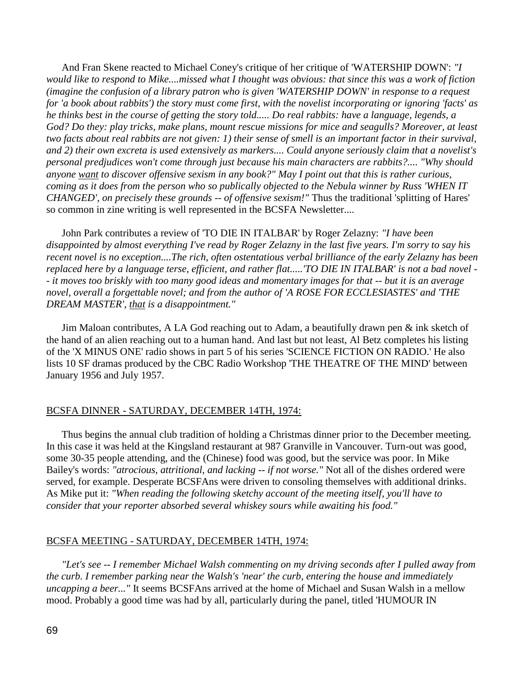And Fran Skene reacted to Michael Coney's critique of her critique of 'WATERSHIP DOWN': *"I would like to respond to Mike....missed what I thought was obvious: that since this was a work of fiction (imagine the confusion of a library patron who is given 'WATERSHIP DOWN' in response to a request for 'a book about rabbits') the story must come first, with the novelist incorporating or ignoring 'facts' as he thinks best in the course of getting the story told..... Do real rabbits: have a language, legends, a God? Do they: play tricks, make plans, mount rescue missions for mice and seagulls? Moreover, at least two facts about real rabbits are not given: 1) their sense of smell is an important factor in their survival, and 2) their own excreta is used extensively as markers.... Could anyone seriously claim that a novelist's personal predjudices won't come through just because his main characters are rabbits?.... "Why should anyone want to discover offensive sexism in any book?" May I point out that this is rather curious, coming as it does from the person who so publically objected to the Nebula winner by Russ 'WHEN IT CHANGED', on precisely these grounds -- of offensive sexism!"* Thus the traditional 'splitting of Hares' so common in zine writing is well represented in the BCSFA Newsletter....

 John Park contributes a review of 'TO DIE IN ITALBAR' by Roger Zelazny: *"I have been disappointed by almost everything I've read by Roger Zelazny in the last five years. I'm sorry to say his recent novel is no exception....The rich, often ostentatious verbal brilliance of the early Zelazny has been replaced here by a language terse, efficient, and rather flat.....'TO DIE IN ITALBAR' is not a bad novel - - it moves too briskly with too many good ideas and momentary images for that -- but it is an average novel, overall a forgettable novel; and from the author of 'A ROSE FOR ECCLESIASTES' and 'THE DREAM MASTER', that is a disappointment."*

 Jim Maloan contributes, A LA God reaching out to Adam, a beautifully drawn pen & ink sketch of the hand of an alien reaching out to a human hand. And last but not least, Al Betz completes his listing of the 'X MINUS ONE' radio shows in part 5 of his series 'SCIENCE FICTION ON RADIO.' He also lists 10 SF dramas produced by the CBC Radio Workshop 'THE THEATRE OF THE MIND' between January 1956 and July 1957.

## BCSFA DINNER - SATURDAY, DECEMBER 14TH, 1974:

 Thus begins the annual club tradition of holding a Christmas dinner prior to the December meeting. In this case it was held at the Kingsland restaurant at 987 Granville in Vancouver. Turn-out was good, some 30-35 people attending, and the (Chinese) food was good, but the service was poor. In Mike Bailey's words: *"atrocious, attritional, and lacking -- if not worse."* Not all of the dishes ordered were served, for example. Desperate BCSFAns were driven to consoling themselves with additional drinks. As Mike put it: *"When reading the following sketchy account of the meeting itself, you'll have to consider that your reporter absorbed several whiskey sours while awaiting his food."*

#### BCSFA MEETING - SATURDAY, DECEMBER 14TH, 1974:

 *"Let's see -- I remember Michael Walsh commenting on my driving seconds after I pulled away from the curb. I remember parking near the Walsh's 'near' the curb, entering the house and immediately uncapping a beer..."* It seems BCSFAns arrived at the home of Michael and Susan Walsh in a mellow mood. Probably a good time was had by all, particularly during the panel, titled 'HUMOUR IN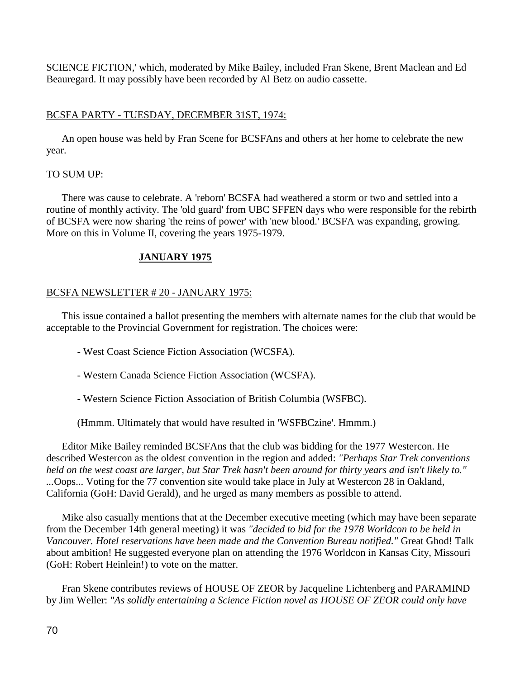SCIENCE FICTION,' which, moderated by Mike Bailey, included Fran Skene, Brent Maclean and Ed Beauregard. It may possibly have been recorded by Al Betz on audio cassette.

# BCSFA PARTY - TUESDAY, DECEMBER 31ST, 1974:

 An open house was held by Fran Scene for BCSFAns and others at her home to celebrate the new year.

# TO SUM UP:

 There was cause to celebrate. A 'reborn' BCSFA had weathered a storm or two and settled into a routine of monthly activity. The 'old guard' from UBC SFFEN days who were responsible for the rebirth of BCSFA were now sharing 'the reins of power' with 'new blood.' BCSFA was expanding, growing. More on this in Volume II, covering the years 1975-1979.

# **JANUARY 1975**

# BCSFA NEWSLETTER # 20 - JANUARY 1975:

 This issue contained a ballot presenting the members with alternate names for the club that would be acceptable to the Provincial Government for registration. The choices were:

- West Coast Science Fiction Association (WCSFA).
- Western Canada Science Fiction Association (WCSFA).
- Western Science Fiction Association of British Columbia (WSFBC).

(Hmmm. Ultimately that would have resulted in 'WSFBCzine'. Hmmm.)

 Editor Mike Bailey reminded BCSFAns that the club was bidding for the 1977 Westercon. He described Westercon as the oldest convention in the region and added: *"Perhaps Star Trek conventions held on the west coast are larger, but Star Trek hasn't been around for thirty years and isn't likely to." ...*Oops... Voting for the 77 convention site would take place in July at Westercon 28 in Oakland, California (GoH: David Gerald), and he urged as many members as possible to attend.

 Mike also casually mentions that at the December executive meeting (which may have been separate from the December 14th general meeting) it was *"decided to bid for the 1978 Worldcon to be held in Vancouver. Hotel reservations have been made and the Convention Bureau notified."* Great Ghod! Talk about ambition! He suggested everyone plan on attending the 1976 Worldcon in Kansas City, Missouri (GoH: Robert Heinlein!) to vote on the matter.

 Fran Skene contributes reviews of HOUSE OF ZEOR by Jacqueline Lichtenberg and PARAMIND by Jim Weller: *"As solidly entertaining a Science Fiction novel as HOUSE OF ZEOR could only have*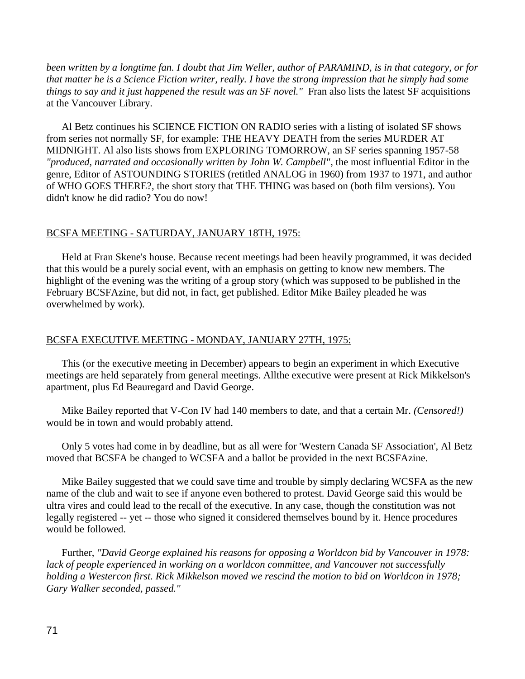*been written by a longtime fan. I doubt that Jim Weller, author of PARAMIND, is in that category, or for that matter he is a Science Fiction writer, really. I have the strong impression that he simply had some things to say and it just happened the result was an SF novel."* Fran also lists the latest SF acquisitions at the Vancouver Library.

 Al Betz continues his SCIENCE FICTION ON RADIO series with a listing of isolated SF shows from series not normally SF, for example: THE HEAVY DEATH from the series MURDER AT MIDNIGHT. Al also lists shows from EXPLORING TOMORROW, an SF series spanning 1957-58 *"produced, narrated and occasionally written by John W. Campbell"*, the most influential Editor in the genre, Editor of ASTOUNDING STORIES (retitled ANALOG in 1960) from 1937 to 1971, and author of WHO GOES THERE?, the short story that THE THING was based on (both film versions). You didn't know he did radio? You do now!

### BCSFA MEETING - SATURDAY, JANUARY 18TH, 1975:

 Held at Fran Skene's house. Because recent meetings had been heavily programmed, it was decided that this would be a purely social event, with an emphasis on getting to know new members. The highlight of the evening was the writing of a group story (which was supposed to be published in the February BCSFAzine, but did not, in fact, get published. Editor Mike Bailey pleaded he was overwhelmed by work).

### BCSFA EXECUTIVE MEETING - MONDAY, JANUARY 27TH, 1975:

 This (or the executive meeting in December) appears to begin an experiment in which Executive meetings are held separately from general meetings. Allthe executive were present at Rick Mikkelson's apartment, plus Ed Beauregard and David George.

 Mike Bailey reported that V-Con IV had 140 members to date, and that a certain Mr. *(Censored!)* would be in town and would probably attend.

 Only 5 votes had come in by deadline, but as all were for 'Western Canada SF Association', Al Betz moved that BCSFA be changed to WCSFA and a ballot be provided in the next BCSFAzine.

 Mike Bailey suggested that we could save time and trouble by simply declaring WCSFA as the new name of the club and wait to see if anyone even bothered to protest. David George said this would be ultra vires and could lead to the recall of the executive. In any case, though the constitution was not legally registered -- yet -- those who signed it considered themselves bound by it. Hence procedures would be followed.

 Further, *"David George explained his reasons for opposing a Worldcon bid by Vancouver in 1978: lack of people experienced in working on a worldcon committee, and Vancouver not successfully holding a Westercon first. Rick Mikkelson moved we rescind the motion to bid on Worldcon in 1978; Gary Walker seconded, passed."*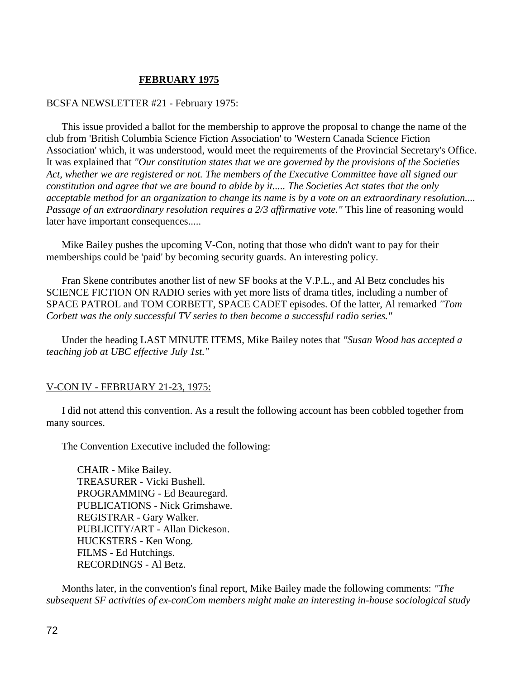## **FEBRUARY 1975**

### BCSFA NEWSLETTER #21 - February 1975:

 This issue provided a ballot for the membership to approve the proposal to change the name of the club from 'British Columbia Science Fiction Association' to 'Western Canada Science Fiction Association' which, it was understood, would meet the requirements of the Provincial Secretary's Office. It was explained that *"Our constitution states that we are governed by the provisions of the Societies Act, whether we are registered or not. The members of the Executive Committee have all signed our constitution and agree that we are bound to abide by it..... The Societies Act states that the only acceptable method for an organization to change its name is by a vote on an extraordinary resolution.... Passage of an extraordinary resolution requires a 2/3 affirmative vote."* This line of reasoning would later have important consequences.....

 Mike Bailey pushes the upcoming V-Con, noting that those who didn't want to pay for their memberships could be 'paid' by becoming security guards. An interesting policy.

 Fran Skene contributes another list of new SF books at the V.P.L., and Al Betz concludes his SCIENCE FICTION ON RADIO series with yet more lists of drama titles, including a number of SPACE PATROL and TOM CORBETT, SPACE CADET episodes. Of the latter, Al remarked *"Tom Corbett was the only successful TV series to then become a successful radio series."*

 Under the heading LAST MINUTE ITEMS, Mike Bailey notes that *"Susan Wood has accepted a teaching job at UBC effective July 1st."*

## V-CON IV - FEBRUARY 21-23, 1975:

 I did not attend this convention. As a result the following account has been cobbled together from many sources.

The Convention Executive included the following:

CHAIR - Mike Bailey. TREASURER - Vicki Bushell. PROGRAMMING - Ed Beauregard. PUBLICATIONS - Nick Grimshawe. REGISTRAR - Gary Walker. PUBLICITY/ART - Allan Dickeson. HUCKSTERS - Ken Wong. FILMS - Ed Hutchings. RECORDINGS - Al Betz.

 Months later, in the convention's final report, Mike Bailey made the following comments: *"The subsequent SF activities of ex-conCom members might make an interesting in-house sociological study*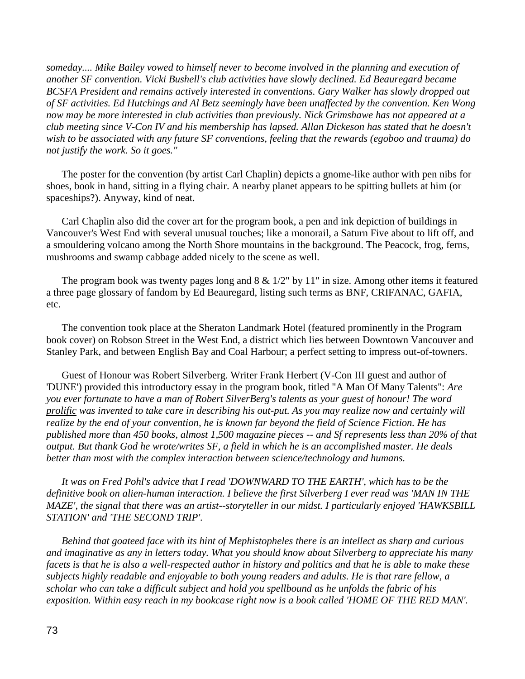*someday.... Mike Bailey vowed to himself never to become involved in the planning and execution of another SF convention. Vicki Bushell's club activities have slowly declined. Ed Beauregard became BCSFA President and remains actively interested in conventions. Gary Walker has slowly dropped out of SF activities. Ed Hutchings and Al Betz seemingly have been unaffected by the convention. Ken Wong now may be more interested in club activities than previously. Nick Grimshawe has not appeared at a club meeting since V-Con IV and his membership has lapsed. Allan Dickeson has stated that he doesn't wish to be associated with any future SF conventions, feeling that the rewards (egoboo and trauma) do not justify the work. So it goes."*

 The poster for the convention (by artist Carl Chaplin) depicts a gnome-like author with pen nibs for shoes, book in hand, sitting in a flying chair. A nearby planet appears to be spitting bullets at him (or spaceships?). Anyway, kind of neat.

 Carl Chaplin also did the cover art for the program book, a pen and ink depiction of buildings in Vancouver's West End with several unusual touches; like a monorail, a Saturn Five about to lift off, and a smouldering volcano among the North Shore mountains in the background. The Peacock, frog, ferns, mushrooms and swamp cabbage added nicely to the scene as well.

The program book was twenty pages long and  $8 \& 1/2$ " by 11" in size. Among other items it featured a three page glossary of fandom by Ed Beauregard, listing such terms as BNF, CRIFANAC, GAFIA, etc.

 The convention took place at the Sheraton Landmark Hotel (featured prominently in the Program book cover) on Robson Street in the West End, a district which lies between Downtown Vancouver and Stanley Park, and between English Bay and Coal Harbour; a perfect setting to impress out-of-towners.

 Guest of Honour was Robert Silverberg. Writer Frank Herbert (V-Con III guest and author of 'DUNE') provided this introductory essay in the program book, titled "A Man Of Many Talents": *Are you ever fortunate to have a man of Robert SilverBerg's talents as your guest of honour! The word prolific was invented to take care in describing his out-put. As you may realize now and certainly will realize by the end of your convention, he is known far beyond the field of Science Fiction. He has published more than 450 books, almost 1,500 magazine pieces -- and Sf represents less than 20% of that output. But thank God he wrote/writes SF, a field in which he is an accomplished master. He deals better than most with the complex interaction between science/technology and humans.*

 *It was on Fred Pohl's advice that I read 'DOWNWARD TO THE EARTH', which has to be the definitive book on alien-human interaction. I believe the first Silverberg I ever read was 'MAN IN THE MAZE', the signal that there was an artist--storyteller in our midst. I particularly enjoyed 'HAWKSBILL STATION' and 'THE SECOND TRIP'.*

 *Behind that goateed face with its hint of Mephistopheles there is an intellect as sharp and curious and imaginative as any in letters today. What you should know about Silverberg to appreciate his many facets is that he is also a well-respected author in history and politics and that he is able to make these subjects highly readable and enjoyable to both young readers and adults. He is that rare fellow, a scholar who can take a difficult subject and hold you spellbound as he unfolds the fabric of his exposition. Within easy reach in my bookcase right now is a book called 'HOME OF THE RED MAN'.*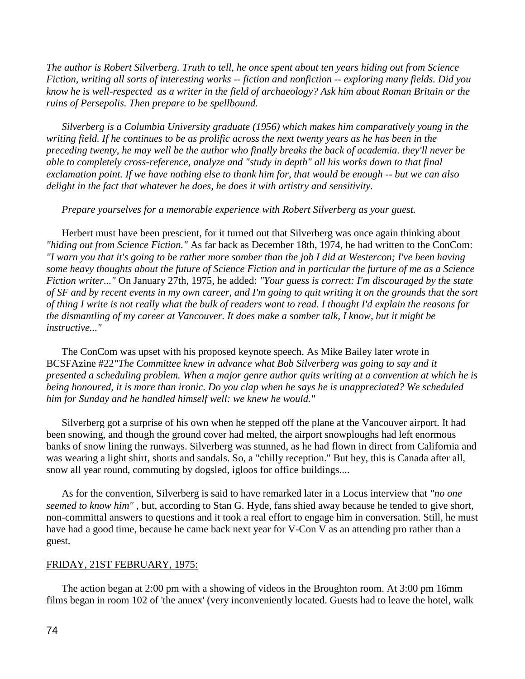*The author is Robert Silverberg. Truth to tell, he once spent about ten years hiding out from Science Fiction, writing all sorts of interesting works -- fiction and nonfiction -- exploring many fields. Did you know he is well-respected as a writer in the field of archaeology? Ask him about Roman Britain or the ruins of Persepolis. Then prepare to be spellbound.*

 *Silverberg is a Columbia University graduate (1956) which makes him comparatively young in the writing field. If he continues to be as prolific across the next twenty years as he has been in the preceding twenty, he may well be the author who finally breaks the back of academia. they'll never be able to completely cross-reference, analyze and "study in depth" all his works down to that final exclamation point. If we have nothing else to thank him for, that would be enough -- but we can also delight in the fact that whatever he does, he does it with artistry and sensitivity.*

 *Prepare yourselves for a memorable experience with Robert Silverberg as your guest.*

 Herbert must have been prescient, for it turned out that Silverberg was once again thinking about *"hiding out from Science Fiction."* As far back as December 18th, 1974, he had written to the ConCom: *"I warn you that it's going to be rather more somber than the job I did at Westercon; I've been having some heavy thoughts about the future of Science Fiction and in particular the furture of me as a Science Fiction writer..."* On January 27th, 1975, he added: *"Your guess is correct: I'm discouraged by the state of SF and by recent events in my own career, and I'm going to quit writing it on the grounds that the sort of thing I write is not really what the bulk of readers want to read. I thought I'd explain the reasons for the dismantling of my career at Vancouver. It does make a somber talk, I know, but it might be instructive..."*

 The ConCom was upset with his proposed keynote speech. As Mike Bailey later wrote in BCSFAzine #22*"The Committee knew in advance what Bob Silverberg was going to say and it presented a scheduling problem. When a major genre author quits writing at a convention at which he is being honoured, it is more than ironic. Do you clap when he says he is unappreciated? We scheduled him for Sunday and he handled himself well: we knew he would."*

Silverberg got a surprise of his own when he stepped off the plane at the Vancouver airport. It had been snowing, and though the ground cover had melted, the airport snowploughs had left enormous banks of snow lining the runways. Silverberg was stunned, as he had flown in direct from California and was wearing a light shirt, shorts and sandals. So, a "chilly reception." But hey, this is Canada after all, snow all year round, commuting by dogsled, igloos for office buildings....

 As for the convention, Silverberg is said to have remarked later in a Locus interview that *"no one seemed to know him"* , but, according to Stan G. Hyde, fans shied away because he tended to give short, non-committal answers to questions and it took a real effort to engage him in conversation. Still, he must have had a good time, because he came back next year for V-Con V as an attending pro rather than a guest.

# FRIDAY, 21ST FEBRUARY, 1975:

 The action began at 2:00 pm with a showing of videos in the Broughton room. At 3:00 pm 16mm films began in room 102 of 'the annex' (very inconveniently located. Guests had to leave the hotel, walk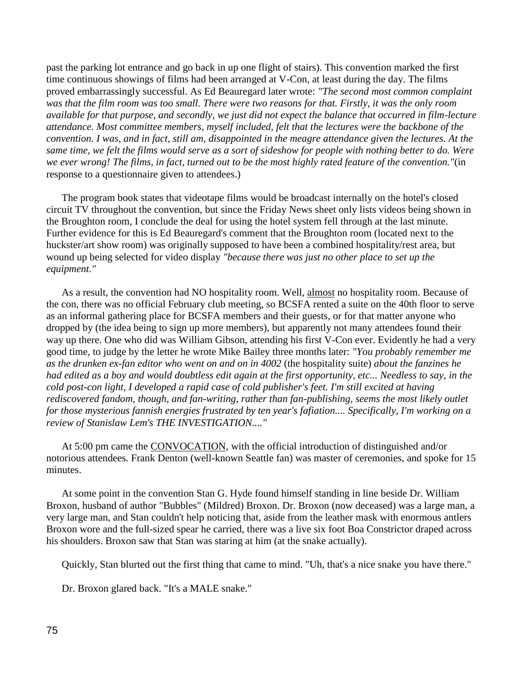past the parking lot entrance and go back in up one flight of stairs). This convention marked the first time continuous showings of films had been arranged at V-Con, at least during the day. The films proved embarrassingly successful. As Ed Beauregard later wrote: *"The second most common complaint was that the film room was too small. There were two reasons for that. Firstly, it was the only room available for that purpose, and secondly, we just did not expect the balance that occurred in film-lecture attendance. Most committee members, myself included, felt that the lectures were the backbone of the convention. I was, and in fact, still am, disappointed in the meagre attendance given the lectures. At the same time, we felt the films would serve as a sort of sideshow for people with nothing better to do. Were we ever wrong! The films, in fact, turned out to be the most highly rated feature of the convention."*(in response to a questionnaire given to attendees.)

The program book states that videotape films would be broadcast internally on the hotel's closed circuit TV throughout the convention, but since the Friday News sheet only lists videos being shown in the Broughton room, I conclude the deal for using the hotel system fell through at the last minute. Further evidence for this is Ed Beauregard's comment that the Broughton room (located next to the huckster/art show room) was originally supposed to have been a combined hospitality/rest area, but wound up being selected for video display *"because there was just no other place to set up the equipment."*

 As a result, the convention had NO hospitality room. Well, almost no hospitality room. Because of the con, there was no official February club meeting, so BCSFA rented a suite on the 40th floor to serve as an informal gathering place for BCSFA members and their guests, or for that matter anyone who dropped by (the idea being to sign up more members), but apparently not many attendees found their way up there. One who did was William Gibson, attending his first V-Con ever. Evidently he had a very good time, to judge by the letter he wrote Mike Bailey three months later: *"You probably remember me as the drunken ex-fan editor who went on and on in 4002* (the hospitality suite) *about the fanzines he had edited as a boy and would doubtless edit again at the first opportunity, etc... Needless to say, in the cold post-con light, I developed a rapid case of cold publisher's feet. I'm still excited at having rediscovered fandom, though, and fan-writing, rather than fan-publishing, seems the most likely outlet for those mysterious fannish energies frustrated by ten year's fafiation.... Specifically, I'm working on a review of Stanislaw Lem's THE INVESTIGATION...."*

 At 5:00 pm came the CONVOCATION, with the official introduction of distinguished and/or notorious attendees. Frank Denton (well-known Seattle fan) was master of ceremonies, and spoke for 15 minutes.

 At some point in the convention Stan G. Hyde found himself standing in line beside Dr. William Broxon, husband of author "Bubbles" (Mildred) Broxon. Dr. Broxon (now deceased) was a large man, a very large man, and Stan couldn't help noticing that, aside from the leather mask with enormous antlers Broxon wore and the full-sized spear he carried, there was a live six foot Boa Constrictor draped across his shoulders. Broxon saw that Stan was staring at him (at the snake actually).

Quickly, Stan blurted out the first thing that came to mind. "Uh, that's a nice snake you have there."

Dr. Broxon glared back. "It's a MALE snake."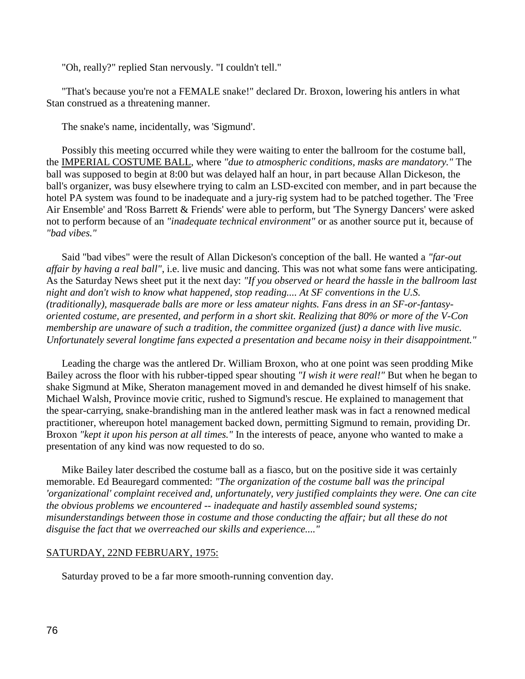"Oh, really?" replied Stan nervously. "I couldn't tell."

 "That's because you're not a FEMALE snake!" declared Dr. Broxon, lowering his antlers in what Stan construed as a threatening manner.

The snake's name, incidentally, was 'Sigmund'.

 Possibly this meeting occurred while they were waiting to enter the ballroom for the costume ball, the IMPERIAL COSTUME BALL, where *"due to atmospheric conditions, masks are mandatory."* The ball was supposed to begin at 8:00 but was delayed half an hour, in part because Allan Dickeson, the ball's organizer, was busy elsewhere trying to calm an LSD-excited con member, and in part because the hotel PA system was found to be inadequate and a jury-rig system had to be patched together. The 'Free Air Ensemble' and 'Ross Barrett & Friends' were able to perform, but 'The Synergy Dancers' were asked not to perform because of an *"inadequate technical environment"* or as another source put it, because of *"bad vibes."*

 Said "bad vibes" were the result of Allan Dickeson's conception of the ball. He wanted a *"far-out affair by having a real ball"*, i.e. live music and dancing. This was not what some fans were anticipating. As the Saturday News sheet put it the next day: *"If you observed or heard the hassle in the ballroom last night and don't wish to know what happened, stop reading.... At SF conventions in the U.S. (traditionally), masquerade balls are more or less amateur nights. Fans dress in an SF-or-fantasyoriented costume, are presented, and perform in a short skit. Realizing that 80% or more of the V-Con membership are unaware of such a tradition, the committee organized (just) a dance with live music. Unfortunately several longtime fans expected a presentation and became noisy in their disappointment."*

 Leading the charge was the antlered Dr. William Broxon, who at one point was seen prodding Mike Bailey across the floor with his rubber-tipped spear shouting *"I wish it were real!"* But when he began to shake Sigmund at Mike, Sheraton management moved in and demanded he divest himself of his snake. Michael Walsh, Province movie critic, rushed to Sigmund's rescue. He explained to management that the spear-carrying, snake-brandishing man in the antlered leather mask was in fact a renowned medical practitioner, whereupon hotel management backed down, permitting Sigmund to remain, providing Dr. Broxon *"kept it upon his person at all times."* In the interests of peace, anyone who wanted to make a presentation of any kind was now requested to do so.

 Mike Bailey later described the costume ball as a fiasco, but on the positive side it was certainly memorable. Ed Beauregard commented: *"The organization of the costume ball was the principal 'organizational' complaint received and, unfortunately, very justified complaints they were. One can cite the obvious problems we encountered -- inadequate and hastily assembled sound systems; misunderstandings between those in costume and those conducting the affair; but all these do not disguise the fact that we overreached our skills and experience...."*

# SATURDAY, 22ND FEBRUARY, 1975:

Saturday proved to be a far more smooth-running convention day.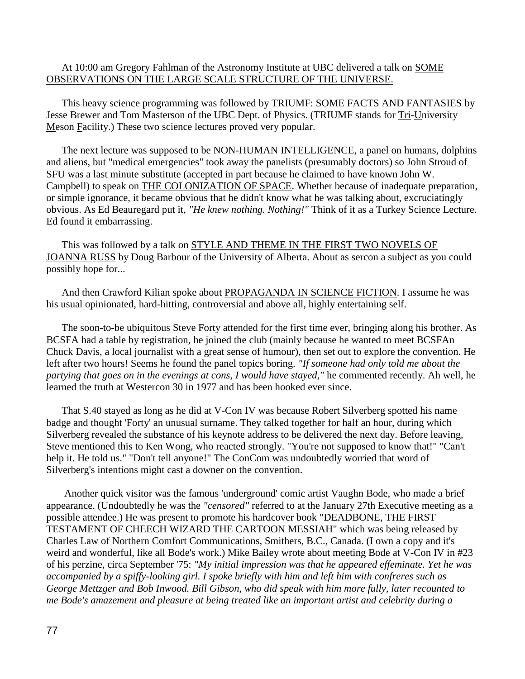At 10:00 am Gregory Fahlman of the Astronomy Institute at UBC delivered a talk on SOME OBSERVATIONS ON THE LARGE SCALE STRUCTURE OF THE UNIVERSE.

 This heavy science programming was followed by TRIUMF: SOME FACTS AND FANTASIES by Jesse Brewer and Tom Masterson of the UBC Dept. of Physics. (TRIUMF stands for Tri-University Meson Facility.) These two science lectures proved very popular.

 The next lecture was supposed to be NON-HUMAN INTELLIGENCE, a panel on humans, dolphins and aliens, but "medical emergencies" took away the panelists (presumably doctors) so John Stroud of SFU was a last minute substitute (accepted in part because he claimed to have known John W. Campbell) to speak on THE COLONIZATION OF SPACE. Whether because of inadequate preparation, or simple ignorance, it became obvious that he didn't know what he was talking about, excruciatingly obvious. As Ed Beauregard put it, *"He knew nothing. Nothing!"* Think of it as a Turkey Science Lecture. Ed found it embarrassing.

 This was followed by a talk on STYLE AND THEME IN THE FIRST TWO NOVELS OF JOANNA RUSS by Doug Barbour of the University of Alberta. About as sercon a subject as you could possibly hope for...

 And then Crawford Kilian spoke about PROPAGANDA IN SCIENCE FICTION. I assume he was his usual opinionated, hard-hitting, controversial and above all, highly entertaining self.

 The soon-to-be ubiquitous Steve Forty attended for the first time ever, bringing along his brother. As BCSFA had a table by registration, he joined the club (mainly because he wanted to meet BCSFAn Chuck Davis, a local journalist with a great sense of humour), then set out to explore the convention. He left after two hours! Seems he found the panel topics boring. *"If someone had only told me about the partying that goes on in the evenings at cons, I would have stayed,"* he commented recently. Ah well, he learned the truth at Westercon 30 in 1977 and has been hooked ever since.

 That S.40 stayed as long as he did at V-Con IV was because Robert Silverberg spotted his name badge and thought 'Forty' an unusual surname. They talked together for half an hour, during which Silverberg revealed the substance of his keynote address to be delivered the next day. Before leaving, Steve mentioned this to Ken Wong, who reacted strongly. "You're not supposed to know that!" "Can't help it. He told us." "Don't tell anyone!" The ConCom was undoubtedly worried that word of Silverberg's intentions might cast a downer on the convention.

 Another quick visitor was the famous 'underground' comic artist Vaughn Bode, who made a brief appearance. (Undoubtedly he was the *"censored"* referred to at the January 27th Executive meeting as a possible attendee.) He was present to promote his hardcover book "DEADBONE, THE FIRST TESTAMENT OF CHEECH WIZARD THE CARTOON MESSIAH" which was being released by Charles Law of Northern Comfort Communications, Smithers, B.C., Canada. (I own a copy and it's weird and wonderful, like all Bode's work.) Mike Bailey wrote about meeting Bode at V-Con IV in #23 of his perzine, circa September '75: *"My initial impression was that he appeared effeminate. Yet he was accompanied by a spiffy-looking girl. I spoke briefly with him and left him with confreres such as George Mettzger and Bob Inwood. Bill Gibson, who did speak with him more fully, later recounted to me Bode's amazement and pleasure at being treated like an important artist and celebrity during a*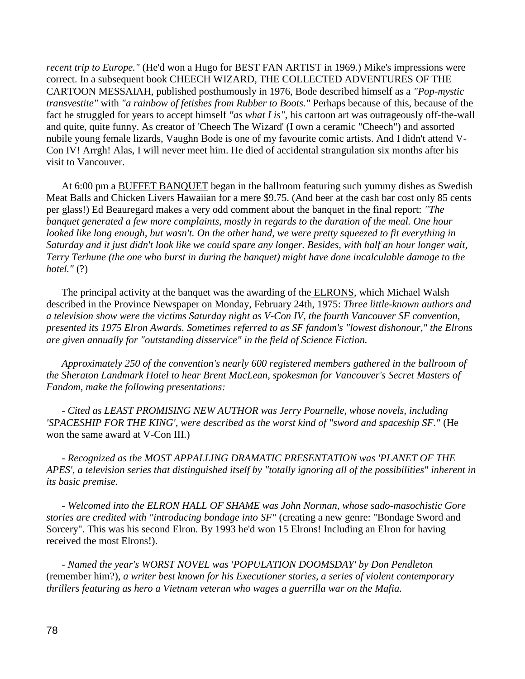*recent trip to Europe."* (He'd won a Hugo for BEST FAN ARTIST in 1969.) Mike's impressions were correct. In a subsequent book CHEECH WIZARD, THE COLLECTED ADVENTURES OF THE CARTOON MESSAIAH, published posthumously in 1976, Bode described himself as a *"Pop-mystic transvestite"* with *"a rainbow of fetishes from Rubber to Boots."* Perhaps because of this, because of the fact he struggled for years to accept himself *"as what I is"*, his cartoon art was outrageously off-the-wall and quite, quite funny. As creator of 'Cheech The Wizard' (I own a ceramic "Cheech") and assorted nubile young female lizards, Vaughn Bode is one of my favourite comic artists. And I didn't attend V-Con IV! Arrgh! Alas, I will never meet him. He died of accidental strangulation six months after his visit to Vancouver.

 At 6:00 pm a BUFFET BANQUET began in the ballroom featuring such yummy dishes as Swedish Meat Balls and Chicken Livers Hawaiian for a mere \$9.75. (And beer at the cash bar cost only 85 cents per glass!) Ed Beauregard makes a very odd comment about the banquet in the final report: *"The banquet generated a few more complaints, mostly in regards to the duration of the meal. One hour looked like long enough, but wasn't. On the other hand, we were pretty squeezed to fit everything in Saturday and it just didn't look like we could spare any longer. Besides, with half an hour longer wait, Terry Terhune (the one who burst in during the banquet) might have done incalculable damage to the hotel."* (?)

The principal activity at the banquet was the awarding of the **ELRONS**, which Michael Walsh described in the Province Newspaper on Monday, February 24th, 1975: *Three little-known authors and a television show were the victims Saturday night as V-Con IV, the fourth Vancouver SF convention, presented its 1975 Elron Awards. Sometimes referred to as SF fandom's "lowest dishonour," the Elrons are given annually for "outstanding disservice" in the field of Science Fiction.*

 *Approximately 250 of the convention's nearly 600 registered members gathered in the ballroom of the Sheraton Landmark Hotel to hear Brent MacLean, spokesman for Vancouver's Secret Masters of Fandom, make the following presentations:*

 *- Cited as LEAST PROMISING NEW AUTHOR was Jerry Pournelle, whose novels, including 'SPACESHIP FOR THE KING', were described as the worst kind of "sword and spaceship SF."* (He won the same award at V-Con III.)

 *- Recognized as the MOST APPALLING DRAMATIC PRESENTATION was 'PLANET OF THE APES', a television series that distinguished itself by "totally ignoring all of the possibilities" inherent in its basic premise.*

 *- Welcomed into the ELRON HALL OF SHAME was John Norman, whose sado-masochistic Gore stories are credited with "introducing bondage into SF"* (creating a new genre: "Bondage Sword and Sorcery". This was his second Elron. By 1993 he'd won 15 Elrons! Including an Elron for having received the most Elrons!).

 *- Named the year's WORST NOVEL was 'POPULATION DOOMSDAY' by Don Pendleton*  (remember him?)*, a writer best known for his Executioner stories, a series of violent contemporary thrillers featuring as hero a Vietnam veteran who wages a guerrilla war on the Mafia.*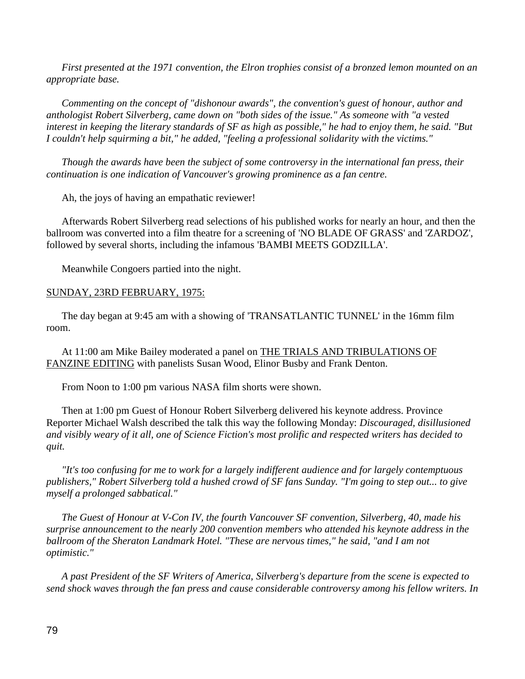*First presented at the 1971 convention, the Elron trophies consist of a bronzed lemon mounted on an appropriate base.*

 *Commenting on the concept of "dishonour awards", the convention's guest of honour, author and anthologist Robert Silverberg, came down on "both sides of the issue." As someone with "a vested interest in keeping the literary standards of SF as high as possible," he had to enjoy them, he said. "But I couldn't help squirming a bit," he added, "feeling a professional solidarity with the victims."*

 *Though the awards have been the subject of some controversy in the international fan press, their continuation is one indication of Vancouver's growing prominence as a fan centre.*

Ah, the joys of having an empathatic reviewer!

 Afterwards Robert Silverberg read selections of his published works for nearly an hour, and then the ballroom was converted into a film theatre for a screening of 'NO BLADE OF GRASS' and 'ZARDOZ', followed by several shorts, including the infamous 'BAMBI MEETS GODZILLA'.

Meanwhile Congoers partied into the night.

# SUNDAY, 23RD FEBRUARY, 1975:

 The day began at 9:45 am with a showing of 'TRANSATLANTIC TUNNEL' in the 16mm film room.

 At 11:00 am Mike Bailey moderated a panel on THE TRIALS AND TRIBULATIONS OF FANZINE EDITING with panelists Susan Wood, Elinor Busby and Frank Denton.

From Noon to 1:00 pm various NASA film shorts were shown.

 Then at 1:00 pm Guest of Honour Robert Silverberg delivered his keynote address. Province Reporter Michael Walsh described the talk this way the following Monday: *Discouraged, disillusioned and visibly weary of it all, one of Science Fiction's most prolific and respected writers has decided to quit.*

 *"It's too confusing for me to work for a largely indifferent audience and for largely contemptuous publishers," Robert Silverberg told a hushed crowd of SF fans Sunday. "I'm going to step out... to give myself a prolonged sabbatical."*

 *The Guest of Honour at V-Con IV, the fourth Vancouver SF convention, Silverberg, 40, made his surprise announcement to the nearly 200 convention members who attended his keynote address in the ballroom of the Sheraton Landmark Hotel. "These are nervous times," he said, "and I am not optimistic."* 

 *A past President of the SF Writers of America, Silverberg's departure from the scene is expected to send shock waves through the fan press and cause considerable controversy among his fellow writers. In*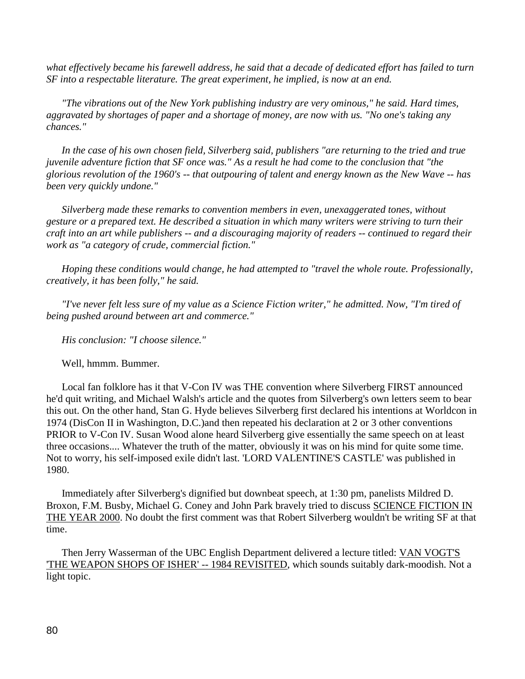*what effectively became his farewell address, he said that a decade of dedicated effort has failed to turn SF into a respectable literature. The great experiment, he implied, is now at an end.*

 *"The vibrations out of the New York publishing industry are very ominous," he said. Hard times, aggravated by shortages of paper and a shortage of money, are now with us. "No one's taking any chances."*

 *In the case of his own chosen field, Silverberg said, publishers "are returning to the tried and true juvenile adventure fiction that SF once was." As a result he had come to the conclusion that "the glorious revolution of the 1960's -- that outpouring of talent and energy known as the New Wave -- has been very quickly undone."*

 *Silverberg made these remarks to convention members in even, unexaggerated tones, without gesture or a prepared text. He described a situation in which many writers were striving to turn their craft into an art while publishers -- and a discouraging majority of readers -- continued to regard their work as "a category of crude, commercial fiction."*

 *Hoping these conditions would change, he had attempted to "travel the whole route. Professionally, creatively, it has been folly," he said.*

 *"I've never felt less sure of my value as a Science Fiction writer," he admitted. Now, "I'm tired of being pushed around between art and commerce."*

 *His conclusion: "I choose silence."*

Well, hmmm. Bummer.

 Local fan folklore has it that V-Con IV was THE convention where Silverberg FIRST announced he'd quit writing, and Michael Walsh's article and the quotes from Silverberg's own letters seem to bear this out. On the other hand, Stan G. Hyde believes Silverberg first declared his intentions at Worldcon in 1974 (DisCon II in Washington, D.C.)and then repeated his declaration at 2 or 3 other conventions PRIOR to V-Con IV. Susan Wood alone heard Silverberg give essentially the same speech on at least three occasions.... Whatever the truth of the matter, obviously it was on his mind for quite some time. Not to worry, his self-imposed exile didn't last. 'LORD VALENTINE'S CASTLE' was published in 1980.

 Immediately after Silverberg's dignified but downbeat speech, at 1:30 pm, panelists Mildred D. Broxon, F.M. Busby, Michael G. Coney and John Park bravely tried to discuss SCIENCE FICTION IN THE YEAR 2000. No doubt the first comment was that Robert Silverberg wouldn't be writing SF at that time.

 Then Jerry Wasserman of the UBC English Department delivered a lecture titled: VAN VOGT'S 'THE WEAPON SHOPS OF ISHER' -- 1984 REVISITED, which sounds suitably dark-moodish. Not a light topic.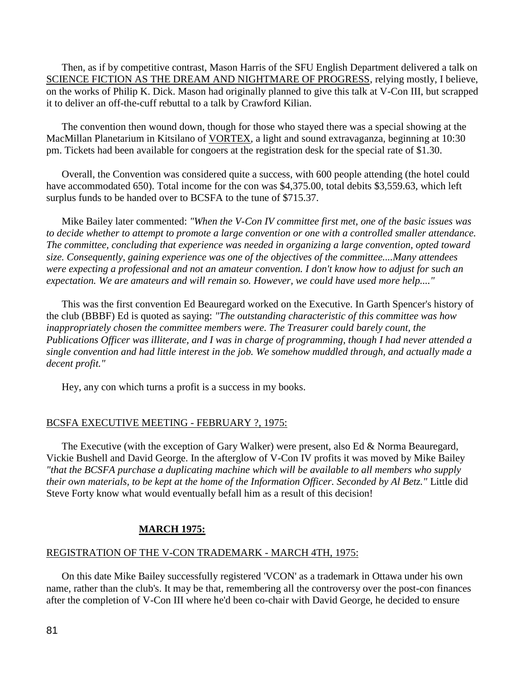Then, as if by competitive contrast, Mason Harris of the SFU English Department delivered a talk on SCIENCE FICTION AS THE DREAM AND NIGHTMARE OF PROGRESS, relying mostly, I believe, on the works of Philip K. Dick. Mason had originally planned to give this talk at V-Con III, but scrapped it to deliver an off-the-cuff rebuttal to a talk by Crawford Kilian.

 The convention then wound down, though for those who stayed there was a special showing at the MacMillan Planetarium in Kitsilano of VORTEX, a light and sound extravaganza, beginning at 10:30 pm. Tickets had been available for congoers at the registration desk for the special rate of \$1.30.

 Overall, the Convention was considered quite a success, with 600 people attending (the hotel could have accommodated 650). Total income for the con was \$4,375.00, total debits \$3,559.63, which left surplus funds to be handed over to BCSFA to the tune of \$715.37.

 Mike Bailey later commented: *"When the V-Con IV committee first met, one of the basic issues was to decide whether to attempt to promote a large convention or one with a controlled smaller attendance. The committee, concluding that experience was needed in organizing a large convention, opted toward size. Consequently, gaining experience was one of the objectives of the committee....Many attendees were expecting a professional and not an amateur convention. I don't know how to adjust for such an expectation. We are amateurs and will remain so. However, we could have used more help...."*

 This was the first convention Ed Beauregard worked on the Executive. In Garth Spencer's history of the club (BBBF) Ed is quoted as saying: *"The outstanding characteristic of this committee was how inappropriately chosen the committee members were. The Treasurer could barely count, the Publications Officer was illiterate, and I was in charge of programming, though I had never attended a single convention and had little interest in the job. We somehow muddled through, and actually made a decent profit."*

Hey, any con which turns a profit is a success in my books.

# BCSFA EXECUTIVE MEETING - FEBRUARY ?, 1975:

 The Executive (with the exception of Gary Walker) were present, also Ed & Norma Beauregard, Vickie Bushell and David George. In the afterglow of V-Con IV profits it was moved by Mike Bailey *"that the BCSFA purchase a duplicating machine which will be available to all members who supply their own materials, to be kept at the home of the Information Officer. Seconded by Al Betz."* Little did Steve Forty know what would eventually befall him as a result of this decision!

# **MARCH 1975:**

# REGISTRATION OF THE V-CON TRADEMARK - MARCH 4TH, 1975:

 On this date Mike Bailey successfully registered 'VCON' as a trademark in Ottawa under his own name, rather than the club's. It may be that, remembering all the controversy over the post-con finances after the completion of V-Con III where he'd been co-chair with David George, he decided to ensure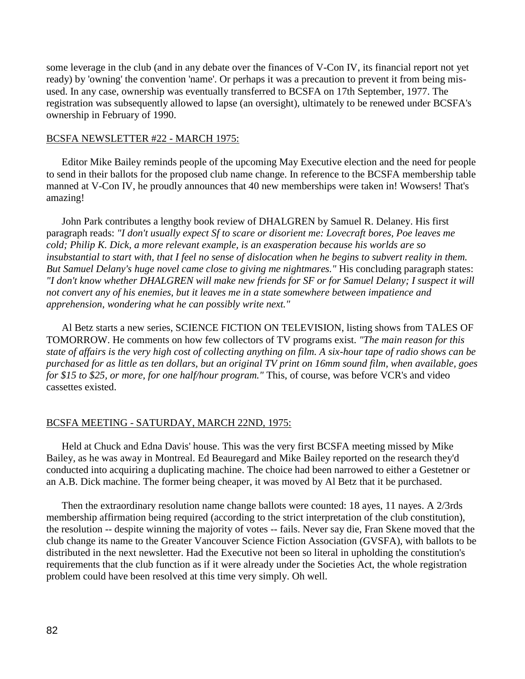some leverage in the club (and in any debate over the finances of V-Con IV, its financial report not yet ready) by 'owning' the convention 'name'. Or perhaps it was a precaution to prevent it from being misused. In any case, ownership was eventually transferred to BCSFA on 17th September, 1977. The registration was subsequently allowed to lapse (an oversight), ultimately to be renewed under BCSFA's ownership in February of 1990.

### BCSFA NEWSLETTER #22 - MARCH 1975:

 Editor Mike Bailey reminds people of the upcoming May Executive election and the need for people to send in their ballots for the proposed club name change. In reference to the BCSFA membership table manned at V-Con IV, he proudly announces that 40 new memberships were taken in! Wowsers! That's amazing!

 John Park contributes a lengthy book review of DHALGREN by Samuel R. Delaney. His first paragraph reads: *"I don't usually expect Sf to scare or disorient me: Lovecraft bores, Poe leaves me cold; Philip K. Dick, a more relevant example, is an exasperation because his worlds are so insubstantial to start with, that I feel no sense of dislocation when he begins to subvert reality in them. But Samuel Delany's huge novel came close to giving me nightmares."* His concluding paragraph states: *"I don't know whether DHALGREN will make new friends for SF or for Samuel Delany; I suspect it will not convert any of his enemies, but it leaves me in a state somewhere between impatience and apprehension, wondering what he can possibly write next."*

 Al Betz starts a new series, SCIENCE FICTION ON TELEVISION, listing shows from TALES OF TOMORROW. He comments on how few collectors of TV programs exist. *"The main reason for this state of affairs is the very high cost of collecting anything on film. A six-hour tape of radio shows can be purchased for as little as ten dollars, but an original TV print on 16mm sound film, when available, goes for \$15 to \$25, or more, for one half/hour program."* This, of course, was before VCR's and video cassettes existed.

## BCSFA MEETING - SATURDAY, MARCH 22ND, 1975:

 Held at Chuck and Edna Davis' house. This was the very first BCSFA meeting missed by Mike Bailey, as he was away in Montreal. Ed Beauregard and Mike Bailey reported on the research they'd conducted into acquiring a duplicating machine. The choice had been narrowed to either a Gestetner or an A.B. Dick machine. The former being cheaper, it was moved by Al Betz that it be purchased.

 Then the extraordinary resolution name change ballots were counted: 18 ayes, 11 nayes. A 2/3rds membership affirmation being required (according to the strict interpretation of the club constitution), the resolution -- despite winning the majority of votes -- fails. Never say die, Fran Skene moved that the club change its name to the Greater Vancouver Science Fiction Association (GVSFA), with ballots to be distributed in the next newsletter. Had the Executive not been so literal in upholding the constitution's requirements that the club function as if it were already under the Societies Act, the whole registration problem could have been resolved at this time very simply. Oh well.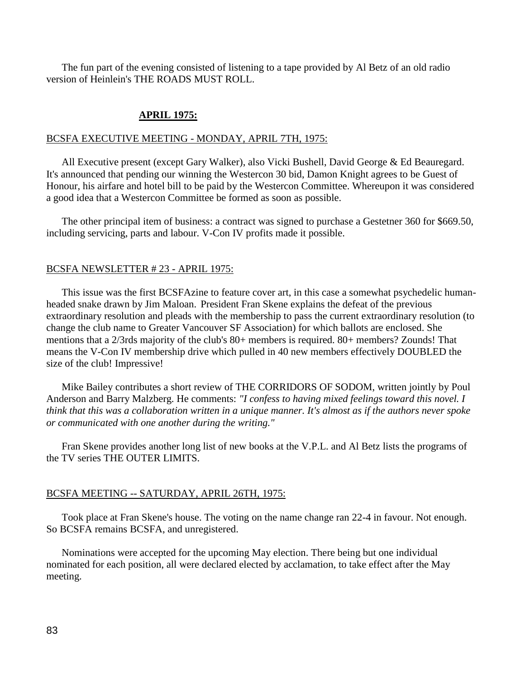The fun part of the evening consisted of listening to a tape provided by Al Betz of an old radio version of Heinlein's THE ROADS MUST ROLL.

# **APRIL 1975:**

#### BCSFA EXECUTIVE MEETING - MONDAY, APRIL 7TH, 1975:

 All Executive present (except Gary Walker), also Vicki Bushell, David George & Ed Beauregard. It's announced that pending our winning the Westercon 30 bid, Damon Knight agrees to be Guest of Honour, his airfare and hotel bill to be paid by the Westercon Committee. Whereupon it was considered a good idea that a Westercon Committee be formed as soon as possible.

 The other principal item of business: a contract was signed to purchase a Gestetner 360 for \$669.50, including servicing, parts and labour. V-Con IV profits made it possible.

### BCSFA NEWSLETTER # 23 - APRIL 1975:

 This issue was the first BCSFAzine to feature cover art, in this case a somewhat psychedelic humanheaded snake drawn by Jim Maloan. President Fran Skene explains the defeat of the previous extraordinary resolution and pleads with the membership to pass the current extraordinary resolution (to change the club name to Greater Vancouver SF Association) for which ballots are enclosed. She mentions that a 2/3rds majority of the club's 80+ members is required. 80+ members? Zounds! That means the V-Con IV membership drive which pulled in 40 new members effectively DOUBLED the size of the club! Impressive!

 Mike Bailey contributes a short review of THE CORRIDORS OF SODOM, written jointly by Poul Anderson and Barry Malzberg. He comments: *"I confess to having mixed feelings toward this novel. I think that this was a collaboration written in a unique manner. It's almost as if the authors never spoke or communicated with one another during the writing."*

 Fran Skene provides another long list of new books at the V.P.L. and Al Betz lists the programs of the TV series THE OUTER LIMITS.

### BCSFA MEETING -- SATURDAY, APRIL 26TH, 1975:

 Took place at Fran Skene's house. The voting on the name change ran 22-4 in favour. Not enough. So BCSFA remains BCSFA, and unregistered.

 Nominations were accepted for the upcoming May election. There being but one individual nominated for each position, all were declared elected by acclamation, to take effect after the May meeting.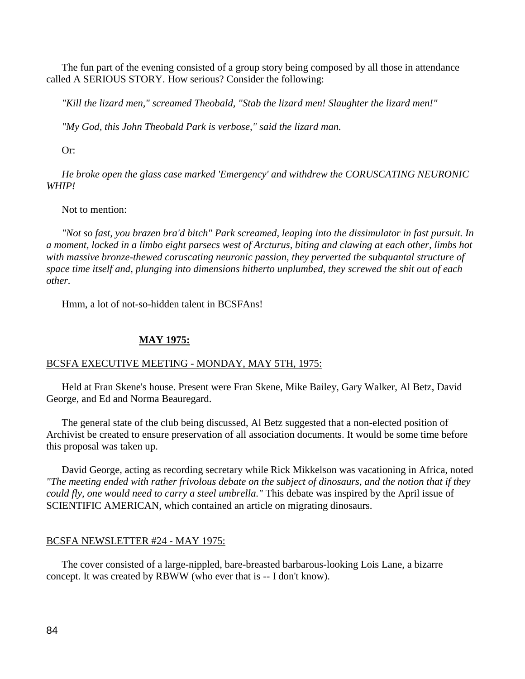The fun part of the evening consisted of a group story being composed by all those in attendance called A SERIOUS STORY. How serious? Consider the following:

*"Kill the lizard men," screamed Theobald, "Stab the lizard men! Slaughter the lizard men!"*

 *"My God, this John Theobald Park is verbose," said the lizard man.*

Or:

 *He broke open the glass case marked 'Emergency' and withdrew the CORUSCATING NEURONIC WHIP!* 

## Not to mention:

 *"Not so fast, you brazen bra'd bitch" Park screamed, leaping into the dissimulator in fast pursuit. In a moment, locked in a limbo eight parsecs west of Arcturus, biting and clawing at each other, limbs hot with massive bronze-thewed coruscating neuronic passion, they perverted the subquantal structure of space time itself and, plunging into dimensions hitherto unplumbed, they screwed the shit out of each other.*

Hmm, a lot of not-so-hidden talent in BCSFAns!

# **MAY 1975:**

# BCSFA EXECUTIVE MEETING - MONDAY, MAY 5TH, 1975:

 Held at Fran Skene's house. Present were Fran Skene, Mike Bailey, Gary Walker, Al Betz, David George, and Ed and Norma Beauregard.

 The general state of the club being discussed, Al Betz suggested that a non-elected position of Archivist be created to ensure preservation of all association documents. It would be some time before this proposal was taken up.

 David George, acting as recording secretary while Rick Mikkelson was vacationing in Africa, noted *"The meeting ended with rather frivolous debate on the subject of dinosaurs, and the notion that if they could fly, one would need to carry a steel umbrella."* This debate was inspired by the April issue of SCIENTIFIC AMERICAN, which contained an article on migrating dinosaurs.

# BCSFA NEWSLETTER #24 - MAY 1975:

 The cover consisted of a large-nippled, bare-breasted barbarous-looking Lois Lane, a bizarre concept. It was created by RBWW (who ever that is -- I don't know).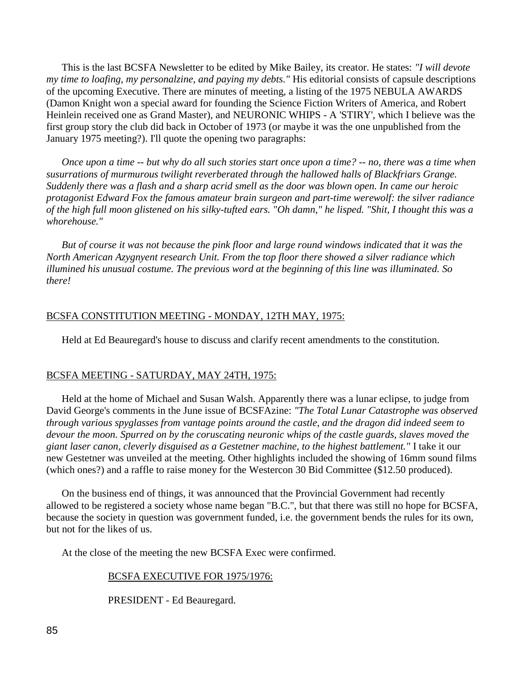This is the last BCSFA Newsletter to be edited by Mike Bailey, its creator. He states: *"I will devote my time to loafing, my personalzine, and paying my debts."* His editorial consists of capsule descriptions of the upcoming Executive. There are minutes of meeting, a listing of the 1975 NEBULA AWARDS (Damon Knight won a special award for founding the Science Fiction Writers of America, and Robert Heinlein received one as Grand Master), and NEURONIC WHIPS - A 'STIRY', which I believe was the first group story the club did back in October of 1973 (or maybe it was the one unpublished from the January 1975 meeting?). I'll quote the opening two paragraphs:

 *Once upon a time -- but why do all such stories start once upon a time? -- no, there was a time when susurrations of murmurous twilight reverberated through the hallowed halls of Blackfriars Grange. Suddenly there was a flash and a sharp acrid smell as the door was blown open. In came our heroic protagonist Edward Fox the famous amateur brain surgeon and part-time werewolf: the silver radiance of the high full moon glistened on his silky-tufted ears. "Oh damn," he lisped. "Shit, I thought this was a whorehouse."*

 *But of course it was not because the pink floor and large round windows indicated that it was the North American Azygnyent research Unit. From the top floor there showed a silver radiance which illumined his unusual costume. The previous word at the beginning of this line was illuminated. So there!*

## BCSFA CONSTITUTION MEETING - MONDAY, 12TH MAY, 1975:

Held at Ed Beauregard's house to discuss and clarify recent amendments to the constitution.

### BCSFA MEETING - SATURDAY, MAY 24TH, 1975:

 Held at the home of Michael and Susan Walsh. Apparently there was a lunar eclipse, to judge from David George's comments in the June issue of BCSFAzine: *"The Total Lunar Catastrophe was observed through various spyglasses from vantage points around the castle, and the dragon did indeed seem to devour the moon. Spurred on by the coruscating neuronic whips of the castle guards, slaves moved the giant laser canon, cleverly disguised as a Gestetner machine, to the highest battlement."* I take it our new Gestetner was unveiled at the meeting. Other highlights included the showing of 16mm sound films (which ones?) and a raffle to raise money for the Westercon 30 Bid Committee (\$12.50 produced).

 On the business end of things, it was announced that the Provincial Government had recently allowed to be registered a society whose name began "B.C.", but that there was still no hope for BCSFA, because the society in question was government funded, i.e. the government bends the rules for its own, but not for the likes of us.

At the close of the meeting the new BCSFA Exec were confirmed.

#### BCSFA EXECUTIVE FOR 1975/1976:

PRESIDENT - Ed Beauregard.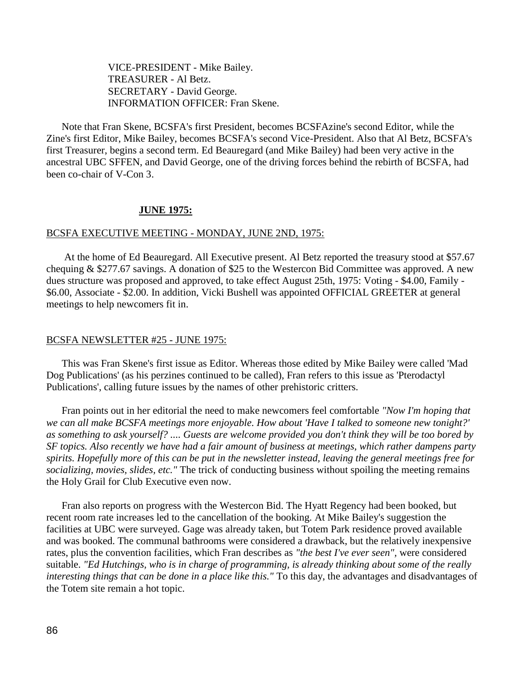VICE-PRESIDENT - Mike Bailey. TREASURER - Al Betz. SECRETARY - David George. INFORMATION OFFICER: Fran Skene.

 Note that Fran Skene, BCSFA's first President, becomes BCSFAzine's second Editor, while the Zine's first Editor, Mike Bailey, becomes BCSFA's second Vice-President. Also that Al Betz, BCSFA's first Treasurer, begins a second term. Ed Beauregard (and Mike Bailey) had been very active in the ancestral UBC SFFEN, and David George, one of the driving forces behind the rebirth of BCSFA, had been co-chair of V-Con 3.

## **JUNE 1975:**

#### BCSFA EXECUTIVE MEETING - MONDAY, JUNE 2ND, 1975:

 At the home of Ed Beauregard. All Executive present. Al Betz reported the treasury stood at \$57.67 chequing & \$277.67 savings. A donation of \$25 to the Westercon Bid Committee was approved. A new dues structure was proposed and approved, to take effect August 25th, 1975: Voting - \$4.00, Family - \$6.00, Associate - \$2.00. In addition, Vicki Bushell was appointed OFFICIAL GREETER at general meetings to help newcomers fit in.

#### BCSFA NEWSLETTER #25 - JUNE 1975:

 This was Fran Skene's first issue as Editor. Whereas those edited by Mike Bailey were called 'Mad Dog Publications' (as his perzines continued to be called), Fran refers to this issue as 'Pterodactyl Publications', calling future issues by the names of other prehistoric critters.

 Fran points out in her editorial the need to make newcomers feel comfortable *"Now I'm hoping that we can all make BCSFA meetings more enjoyable. How about 'Have I talked to someone new tonight?' as something to ask yourself? .... Guests are welcome provided you don't think they will be too bored by SF topics. Also recently we have had a fair amount of business at meetings, which rather dampens party spirits. Hopefully more of this can be put in the newsletter instead, leaving the general meetings free for socializing, movies, slides, etc."* The trick of conducting business without spoiling the meeting remains the Holy Grail for Club Executive even now.

 Fran also reports on progress with the Westercon Bid. The Hyatt Regency had been booked, but recent room rate increases led to the cancellation of the booking. At Mike Bailey's suggestion the facilities at UBC were surveyed. Gage was already taken, but Totem Park residence proved available and was booked. The communal bathrooms were considered a drawback, but the relatively inexpensive rates, plus the convention facilities, which Fran describes as *"the best I've ever seen",* were considered suitable. *"Ed Hutchings, who is in charge of programming, is already thinking about some of the really interesting things that can be done in a place like this."* To this day, the advantages and disadvantages of the Totem site remain a hot topic.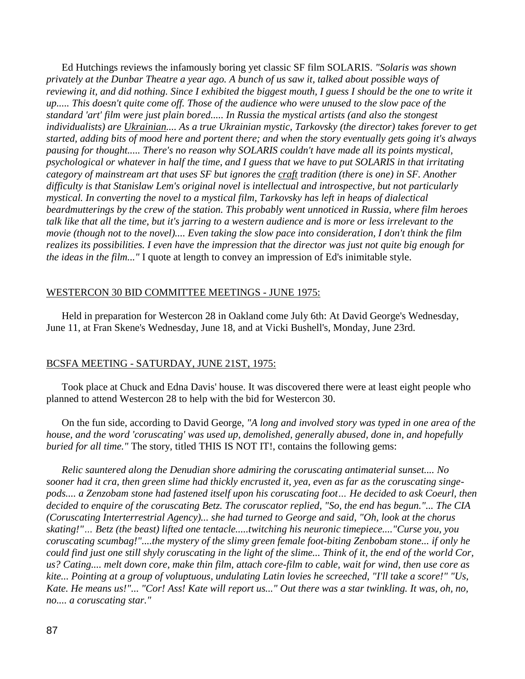Ed Hutchings reviews the infamously boring yet classic SF film SOLARIS. *"Solaris was shown privately at the Dunbar Theatre a year ago. A bunch of us saw it, talked about possible ways of reviewing it, and did nothing. Since I exhibited the biggest mouth, I guess I should be the one to write it up..... This doesn't quite come off. Those of the audience who were unused to the slow pace of the standard 'art' film were just plain bored..... In Russia the mystical artists (and also the stongest individualists) are Ukrainian.... As a true Ukrainian mystic, Tarkovsky (the director) takes forever to get started, adding bits of mood here and portent there; and when the story eventually gets going it's always pausing for thought..... There's no reason why SOLARIS couldn't have made all its points mystical, psychological or whatever in half the time, and I guess that we have to put SOLARIS in that irritating category of mainstream art that uses SF but ignores the craft tradition (there is one) in SF. Another difficulty is that Stanislaw Lem's original novel is intellectual and introspective, but not particularly mystical. In converting the novel to a mystical film, Tarkovsky has left in heaps of dialectical beardmutterings by the crew of the station. This probably went unnoticed in Russia, where film heroes talk like that all the time, but it's jarring to a western audience and is more or less irrelevant to the movie (though not to the novel).... Even taking the slow pace into consideration, I don't think the film realizes its possibilities. I even have the impression that the director was just not quite big enough for the ideas in the film..."* I quote at length to convey an impression of Ed's inimitable style.

# WESTERCON 30 BID COMMITTEE MEETINGS - JUNE 1975:

 Held in preparation for Westercon 28 in Oakland come July 6th: At David George's Wednesday, June 11, at Fran Skene's Wednesday, June 18, and at Vicki Bushell's, Monday, June 23rd.

# BCSFA MEETING - SATURDAY, JUNE 21ST, 1975:

 Took place at Chuck and Edna Davis' house. It was discovered there were at least eight people who planned to attend Westercon 28 to help with the bid for Westercon 30.

 On the fun side, according to David George, *"A long and involved story was typed in one area of the house, and the word 'coruscating' was used up, demolished, generally abused, done in, and hopefully buried for all time."* The story, titled THIS IS NOT IT!, contains the following gems:

 *Relic sauntered along the Denudian shore admiring the coruscating antimaterial sunset.... No sooner had it cra, then green slime had thickly encrusted it, yea, even as far as the coruscating singepods.... a Zenzobam stone had fastened itself upon his coruscating foot… He decided to ask Coeurl, then decided to enquire of the coruscating Betz. The coruscator replied, "So, the end has begun."... The CIA (Coruscating Interterrestrial Agency)... she had turned to George and said, "Oh, look at the chorus skating!"… Betz (the beast) lifted one tentacle.....twitching his neuronic timepiece...."Curse you, you coruscating scumbag!"....the mystery of the slimy green female foot-biting Zenbobam stone... if only he could find just one still shyly coruscating in the light of the slime... Think of it, the end of the world Cor, us? Cating.... melt down core, make thin film, attach core-film to cable, wait for wind, then use core as kite... Pointing at a group of voluptuous, undulating Latin lovies he screeched, "I'll take a score!" "Us, Kate. He means us!"... "Cor! Ass! Kate will report us..." Out there was a star twinkling. It was, oh, no, no.... a coruscating star."*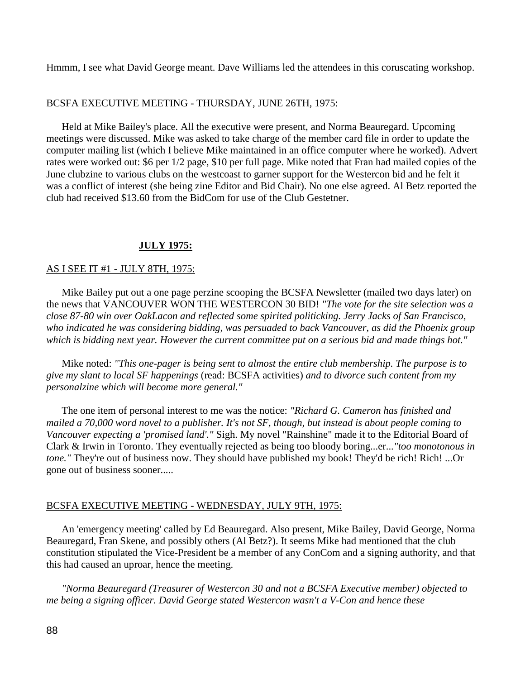Hmmm, I see what David George meant. Dave Williams led the attendees in this coruscating workshop.

# BCSFA EXECUTIVE MEETING - THURSDAY, JUNE 26TH, 1975:

 Held at Mike Bailey's place. All the executive were present, and Norma Beauregard. Upcoming meetings were discussed. Mike was asked to take charge of the member card file in order to update the computer mailing list (which I believe Mike maintained in an office computer where he worked). Advert rates were worked out: \$6 per 1/2 page, \$10 per full page. Mike noted that Fran had mailed copies of the June clubzine to various clubs on the westcoast to garner support for the Westercon bid and he felt it was a conflict of interest (she being zine Editor and Bid Chair). No one else agreed. Al Betz reported the club had received \$13.60 from the BidCom for use of the Club Gestetner.

# **JULY 1975:**

# AS I SEE IT #1 - JULY 8TH, 1975:

 Mike Bailey put out a one page perzine scooping the BCSFA Newsletter (mailed two days later) on the news that VANCOUVER WON THE WESTERCON 30 BID! *"The vote for the site selection was a close 87-80 win over OakLacon and reflected some spirited politicking. Jerry Jacks of San Francisco, who indicated he was considering bidding, was persuaded to back Vancouver, as did the Phoenix group which is bidding next year. However the current committee put on a serious bid and made things hot."*

 Mike noted: *"This one-pager is being sent to almost the entire club membership. The purpose is to give my slant to local SF happenings* (read: BCSFA activities) *and to divorce such content from my personalzine which will become more general."* 

 The one item of personal interest to me was the notice: *"Richard G. Cameron has finished and mailed a 70,000 word novel to a publisher. It's not SF, though, but instead is about people coming to Vancouver expecting a 'promised land'."* Sigh. My novel "Rainshine" made it to the Editorial Board of Clark & Irwin in Toronto. They eventually rejected as being too bloody boring...er...*"too monotonous in tone."* They're out of business now. They should have published my book! They'd be rich! Rich! ...Or gone out of business sooner.....

# BCSFA EXECUTIVE MEETING - WEDNESDAY, JULY 9TH, 1975:

 An 'emergency meeting' called by Ed Beauregard. Also present, Mike Bailey, David George, Norma Beauregard, Fran Skene, and possibly others (Al Betz?). It seems Mike had mentioned that the club constitution stipulated the Vice-President be a member of any ConCom and a signing authority, and that this had caused an uproar, hence the meeting.

 *"Norma Beauregard (Treasurer of Westercon 30 and not a BCSFA Executive member) objected to me being a signing officer. David George stated Westercon wasn't a V-Con and hence these*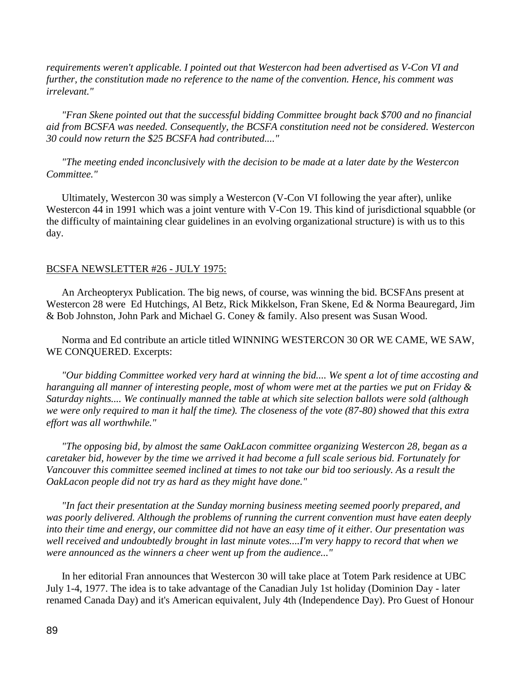*requirements weren't applicable. I pointed out that Westercon had been advertised as V-Con VI and further, the constitution made no reference to the name of the convention. Hence, his comment was irrelevant."*

 *"Fran Skene pointed out that the successful bidding Committee brought back \$700 and no financial aid from BCSFA was needed. Consequently, the BCSFA constitution need not be considered. Westercon 30 could now return the \$25 BCSFA had contributed...."*

 *"The meeting ended inconclusively with the decision to be made at a later date by the Westercon Committee."*

 Ultimately, Westercon 30 was simply a Westercon (V-Con VI following the year after), unlike Westercon 44 in 1991 which was a joint venture with V-Con 19. This kind of jurisdictional squabble (or the difficulty of maintaining clear guidelines in an evolving organizational structure) is with us to this day.

### BCSFA NEWSLETTER #26 - JULY 1975:

 An Archeopteryx Publication. The big news, of course, was winning the bid. BCSFAns present at Westercon 28 were Ed Hutchings, Al Betz, Rick Mikkelson, Fran Skene, Ed & Norma Beauregard, Jim & Bob Johnston, John Park and Michael G. Coney & family. Also present was Susan Wood.

 Norma and Ed contribute an article titled WINNING WESTERCON 30 OR WE CAME, WE SAW, WE CONQUERED. Excerpts:

 *"Our bidding Committee worked very hard at winning the bid.... We spent a lot of time accosting and haranguing all manner of interesting people, most of whom were met at the parties we put on Friday & Saturday nights.... We continually manned the table at which site selection ballots were sold (although we were only required to man it half the time). The closeness of the vote (87-80) showed that this extra effort was all worthwhile."*

 *"The opposing bid, by almost the same OakLacon committee organizing Westercon 28, began as a caretaker bid, however by the time we arrived it had become a full scale serious bid. Fortunately for Vancouver this committee seemed inclined at times to not take our bid too seriously. As a result the OakLacon people did not try as hard as they might have done."*

 *"In fact their presentation at the Sunday morning business meeting seemed poorly prepared, and was poorly delivered. Although the problems of running the current convention must have eaten deeply into their time and energy, our committee did not have an easy time of it either. Our presentation was well received and undoubtedly brought in last minute votes....I'm very happy to record that when we were announced as the winners a cheer went up from the audience..."*

 In her editorial Fran announces that Westercon 30 will take place at Totem Park residence at UBC July 1-4, 1977. The idea is to take advantage of the Canadian July 1st holiday (Dominion Day - later renamed Canada Day) and it's American equivalent, July 4th (Independence Day). Pro Guest of Honour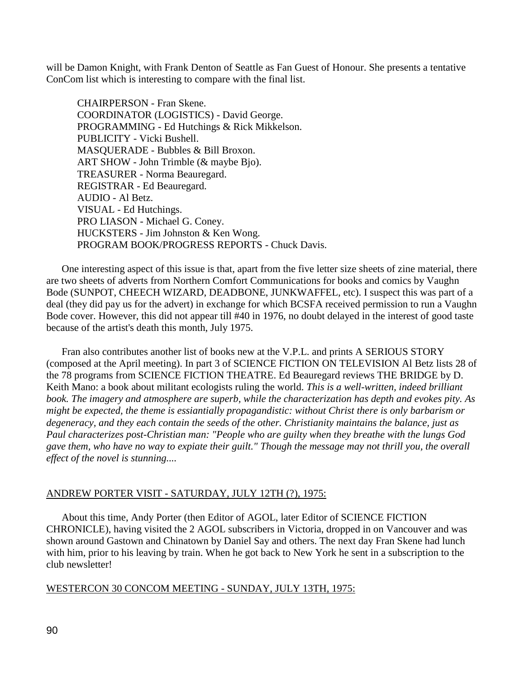will be Damon Knight, with Frank Denton of Seattle as Fan Guest of Honour. She presents a tentative ConCom list which is interesting to compare with the final list.

CHAIRPERSON - Fran Skene. COORDINATOR (LOGISTICS) - David George. PROGRAMMING - Ed Hutchings & Rick Mikkelson. PUBLICITY - Vicki Bushell. MASQUERADE - Bubbles & Bill Broxon. ART SHOW - John Trimble (& maybe Bjo). TREASURER - Norma Beauregard. REGISTRAR - Ed Beauregard. AUDIO - Al Betz. VISUAL - Ed Hutchings. PRO LIASON - Michael G. Coney. HUCKSTERS - Jim Johnston & Ken Wong. PROGRAM BOOK/PROGRESS REPORTS - Chuck Davis.

 One interesting aspect of this issue is that, apart from the five letter size sheets of zine material, there are two sheets of adverts from Northern Comfort Communications for books and comics by Vaughn Bode (SUNPOT, CHEECH WIZARD, DEADBONE, JUNKWAFFEL, etc). I suspect this was part of a deal (they did pay us for the advert) in exchange for which BCSFA received permission to run a Vaughn Bode cover. However, this did not appear till #40 in 1976, no doubt delayed in the interest of good taste because of the artist's death this month, July 1975.

 Fran also contributes another list of books new at the V.P.L. and prints A SERIOUS STORY (composed at the April meeting). In part 3 of SCIENCE FICTION ON TELEVISION Al Betz lists 28 of the 78 programs from SCIENCE FICTION THEATRE. Ed Beauregard reviews THE BRIDGE by D. Keith Mano: a book about militant ecologists ruling the world. *This is a well-written, indeed brilliant book. The imagery and atmosphere are superb, while the characterization has depth and evokes pity. As might be expected, the theme is essiantially propagandistic: without Christ there is only barbarism or degeneracy, and they each contain the seeds of the other. Christianity maintains the balance, just as Paul characterizes post-Christian man: "People who are guilty when they breathe with the lungs God gave them, who have no way to expiate their guilt." Though the message may not thrill you, the overall effect of the novel is stunning....*

# ANDREW PORTER VISIT - SATURDAY, JULY 12TH (?), 1975:

 About this time, Andy Porter (then Editor of AGOL, later Editor of SCIENCE FICTION CHRONICLE), having visited the 2 AGOL subscribers in Victoria, dropped in on Vancouver and was shown around Gastown and Chinatown by Daniel Say and others. The next day Fran Skene had lunch with him, prior to his leaving by train. When he got back to New York he sent in a subscription to the club newsletter!

# WESTERCON 30 CONCOM MEETING - SUNDAY, JULY 13TH, 1975: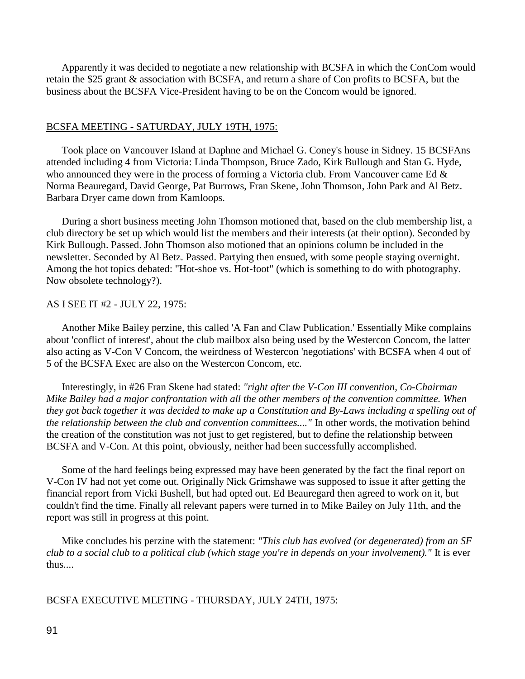Apparently it was decided to negotiate a new relationship with BCSFA in which the ConCom would retain the \$25 grant & association with BCSFA, and return a share of Con profits to BCSFA, but the business about the BCSFA Vice-President having to be on the Concom would be ignored.

# BCSFA MEETING - SATURDAY, JULY 19TH, 1975:

 Took place on Vancouver Island at Daphne and Michael G. Coney's house in Sidney. 15 BCSFAns attended including 4 from Victoria: Linda Thompson, Bruce Zado, Kirk Bullough and Stan G. Hyde, who announced they were in the process of forming a Victoria club. From Vancouver came Ed & Norma Beauregard, David George, Pat Burrows, Fran Skene, John Thomson, John Park and Al Betz. Barbara Dryer came down from Kamloops.

 During a short business meeting John Thomson motioned that, based on the club membership list, a club directory be set up which would list the members and their interests (at their option). Seconded by Kirk Bullough. Passed. John Thomson also motioned that an opinions column be included in the newsletter. Seconded by Al Betz. Passed. Partying then ensued, with some people staying overnight. Among the hot topics debated: "Hot-shoe vs. Hot-foot" (which is something to do with photography. Now obsolete technology?).

### AS I SEE IT #2 - JULY 22, 1975:

 Another Mike Bailey perzine, this called 'A Fan and Claw Publication.' Essentially Mike complains about 'conflict of interest', about the club mailbox also being used by the Westercon Concom, the latter also acting as V-Con V Concom, the weirdness of Westercon 'negotiations' with BCSFA when 4 out of 5 of the BCSFA Exec are also on the Westercon Concom, etc.

 Interestingly, in #26 Fran Skene had stated: *"right after the V-Con III convention, Co-Chairman Mike Bailey had a major confrontation with all the other members of the convention committee. When they got back together it was decided to make up a Constitution and By-Laws including a spelling out of the relationship between the club and convention committees...."* In other words, the motivation behind the creation of the constitution was not just to get registered, but to define the relationship between BCSFA and V-Con. At this point, obviously, neither had been successfully accomplished.

 Some of the hard feelings being expressed may have been generated by the fact the final report on V-Con IV had not yet come out. Originally Nick Grimshawe was supposed to issue it after getting the financial report from Vicki Bushell, but had opted out. Ed Beauregard then agreed to work on it, but couldn't find the time. Finally all relevant papers were turned in to Mike Bailey on July 11th, and the report was still in progress at this point.

 Mike concludes his perzine with the statement: *"This club has evolved (or degenerated) from an SF club to a social club to a political club (which stage you're in depends on your involvement)."* It is ever thus....

#### BCSFA EXECUTIVE MEETING - THURSDAY, JULY 24TH, 1975: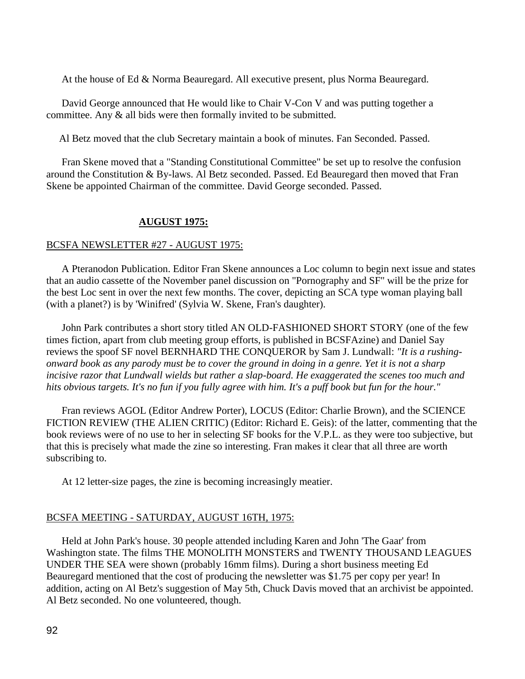At the house of Ed & Norma Beauregard. All executive present, plus Norma Beauregard.

 David George announced that He would like to Chair V-Con V and was putting together a committee. Any & all bids were then formally invited to be submitted.

Al Betz moved that the club Secretary maintain a book of minutes. Fan Seconded. Passed.

 Fran Skene moved that a "Standing Constitutional Committee" be set up to resolve the confusion around the Constitution & By-laws. Al Betz seconded. Passed. Ed Beauregard then moved that Fran Skene be appointed Chairman of the committee. David George seconded. Passed.

### **AUGUST 1975:**

#### BCSFA NEWSLETTER #27 - AUGUST 1975:

 A Pteranodon Publication. Editor Fran Skene announces a Loc column to begin next issue and states that an audio cassette of the November panel discussion on "Pornography and SF" will be the prize for the best Loc sent in over the next few months. The cover, depicting an SCA type woman playing ball (with a planet?) is by 'Winifred' (Sylvia W. Skene, Fran's daughter).

 John Park contributes a short story titled AN OLD-FASHIONED SHORT STORY (one of the few times fiction, apart from club meeting group efforts, is published in BCSFAzine) and Daniel Say reviews the spoof SF novel BERNHARD THE CONQUEROR by Sam J. Lundwall: *"It is a rushingonward book as any parody must be to cover the ground in doing in a genre. Yet it is not a sharp incisive razor that Lundwall wields but rather a slap-board. He exaggerated the scenes too much and hits obvious targets. It's no fun if you fully agree with him. It's a puff book but fun for the hour."*

 Fran reviews AGOL (Editor Andrew Porter), LOCUS (Editor: Charlie Brown), and the SCIENCE FICTION REVIEW (THE ALIEN CRITIC) (Editor: Richard E. Geis): of the latter, commenting that the book reviews were of no use to her in selecting SF books for the V.P.L. as they were too subjective, but that this is precisely what made the zine so interesting. Fran makes it clear that all three are worth subscribing to.

At 12 letter-size pages, the zine is becoming increasingly meatier.

#### BCSFA MEETING - SATURDAY, AUGUST 16TH, 1975:

 Held at John Park's house. 30 people attended including Karen and John 'The Gaar' from Washington state. The films THE MONOLITH MONSTERS and TWENTY THOUSAND LEAGUES UNDER THE SEA were shown (probably 16mm films). During a short business meeting Ed Beauregard mentioned that the cost of producing the newsletter was \$1.75 per copy per year! In addition, acting on Al Betz's suggestion of May 5th, Chuck Davis moved that an archivist be appointed. Al Betz seconded. No one volunteered, though.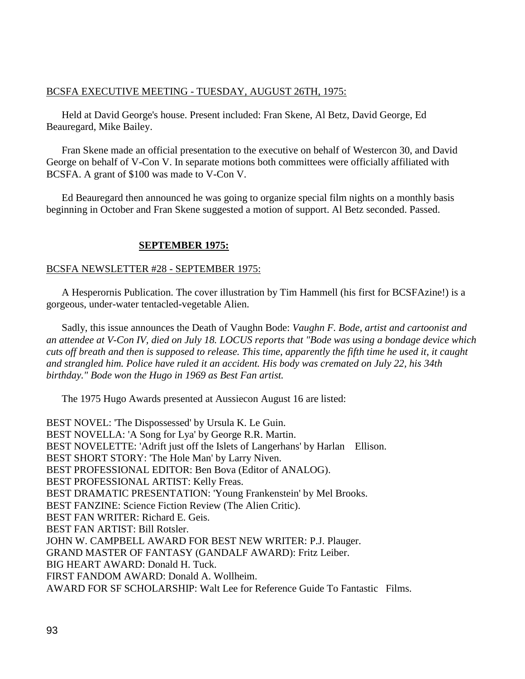# BCSFA EXECUTIVE MEETING - TUESDAY, AUGUST 26TH, 1975:

 Held at David George's house. Present included: Fran Skene, Al Betz, David George, Ed Beauregard, Mike Bailey.

 Fran Skene made an official presentation to the executive on behalf of Westercon 30, and David George on behalf of V-Con V. In separate motions both committees were officially affiliated with BCSFA. A grant of \$100 was made to V-Con V.

 Ed Beauregard then announced he was going to organize special film nights on a monthly basis beginning in October and Fran Skene suggested a motion of support. Al Betz seconded. Passed.

# **SEPTEMBER 1975:**

# BCSFA NEWSLETTER #28 - SEPTEMBER 1975:

 A Hesperornis Publication. The cover illustration by Tim Hammell (his first for BCSFAzine!) is a gorgeous, under-water tentacled-vegetable Alien.

 Sadly, this issue announces the Death of Vaughn Bode: *Vaughn F. Bode, artist and cartoonist and an attendee at V-Con IV, died on July 18. LOCUS reports that "Bode was using a bondage device which cuts off breath and then is supposed to release. This time, apparently the fifth time he used it, it caught and strangled him. Police have ruled it an accident. His body was cremated on July 22, his 34th birthday." Bode won the Hugo in 1969 as Best Fan artist.*

The 1975 Hugo Awards presented at Aussiecon August 16 are listed:

BEST NOVEL: 'The Dispossessed' by Ursula K. Le Guin. BEST NOVELLA: 'A Song for Lya' by George R.R. Martin. BEST NOVELETTE: 'Adrift just off the Islets of Langerhans' by Harlan Ellison. BEST SHORT STORY: 'The Hole Man' by Larry Niven. BEST PROFESSIONAL EDITOR: Ben Bova (Editor of ANALOG). BEST PROFESSIONAL ARTIST: Kelly Freas. BEST DRAMATIC PRESENTATION: 'Young Frankenstein' by Mel Brooks. BEST FANZINE: Science Fiction Review (The Alien Critic). BEST FAN WRITER: Richard E. Geis. BEST FAN ARTIST: Bill Rotsler. JOHN W. CAMPBELL AWARD FOR BEST NEW WRITER: P.J. Plauger. GRAND MASTER OF FANTASY (GANDALF AWARD): Fritz Leiber. BIG HEART AWARD: Donald H. Tuck. FIRST FANDOM AWARD: Donald A. Wollheim. AWARD FOR SF SCHOLARSHIP: Walt Lee for Reference Guide To Fantastic Films.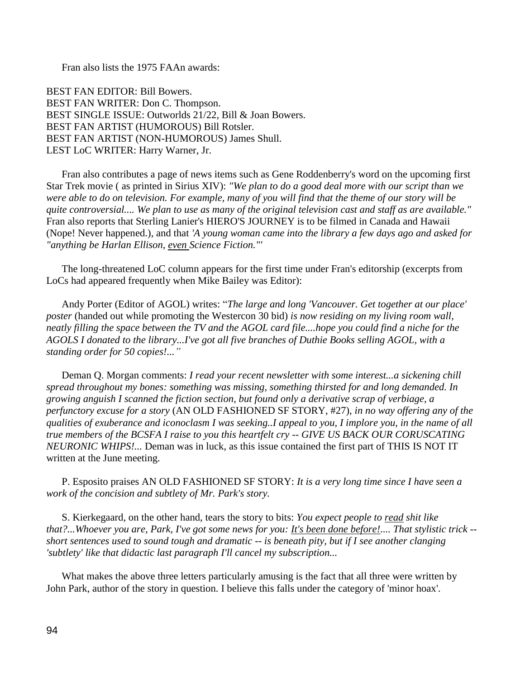Fran also lists the 1975 FAAn awards:

BEST FAN EDITOR: Bill Bowers. BEST FAN WRITER: Don C. Thompson. BEST SINGLE ISSUE: Outworlds 21/22, Bill & Joan Bowers. BEST FAN ARTIST (HUMOROUS) Bill Rotsler. BEST FAN ARTIST (NON-HUMOROUS) James Shull. LEST LoC WRITER: Harry Warner, Jr.

 Fran also contributes a page of news items such as Gene Roddenberry's word on the upcoming first Star Trek movie ( as printed in Sirius XIV): *"We plan to do a good deal more with our script than we were able to do on television. For example, many of you will find that the theme of our story will be quite controversial.... We plan to use as many of the original television cast and staff as are available."* Fran also reports that Sterling Lanier's HIERO'S JOURNEY is to be filmed in Canada and Hawaii (Nope! Never happened.), and that *'A young woman came into the library a few days ago and asked for "anything be Harlan Ellison, even Science Fiction."'*

 The long-threatened LoC column appears for the first time under Fran's editorship (excerpts from LoCs had appeared frequently when Mike Bailey was Editor):

 Andy Porter (Editor of AGOL) writes: "*The large and long 'Vancouver. Get together at our place' poster* (handed out while promoting the Westercon 30 bid) *is now residing on my living room wall, neatly filling the space between the TV and the AGOL card file....hope you could find a niche for the AGOLS I donated to the library...I've got all five branches of Duthie Books selling AGOL, with a standing order for 50 copies!..."*

 Deman Q. Morgan comments: *I read your recent newsletter with some interest...a sickening chill spread throughout my bones: something was missing, something thirsted for and long demanded. In growing anguish I scanned the fiction section, but found only a derivative scrap of verbiage, a perfunctory excuse for a story* (AN OLD FASHIONED SF STORY, #27), *in no way offering any of the qualities of exuberance and iconoclasm I was seeking..I appeal to you, I implore you, in the name of all true members of the BCSFA I raise to you this heartfelt cry -- GIVE US BACK OUR CORUSCATING NEURONIC WHIPS!...* Deman was in luck, as this issue contained the first part of THIS IS NOT IT written at the June meeting.

 P. Esposito praises AN OLD FASHIONED SF STORY: *It is a very long time since I have seen a work of the concision and subtlety of Mr. Park's story.*

 S. Kierkegaard, on the other hand, tears the story to bits: *You expect people to read shit like that?...Whoever you are, Park, I've got some news for you: It's been done before!.... That stylistic trick - short sentences used to sound tough and dramatic -- is beneath pity, but if I see another clanging 'subtlety' like that didactic last paragraph I'll cancel my subscription...*

 What makes the above three letters particularly amusing is the fact that all three were written by John Park, author of the story in question. I believe this falls under the category of 'minor hoax'.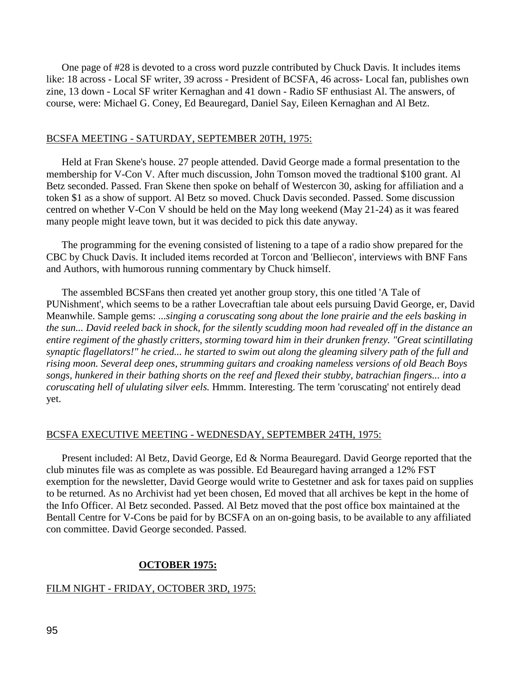One page of #28 is devoted to a cross word puzzle contributed by Chuck Davis. It includes items like: 18 across - Local SF writer, 39 across - President of BCSFA, 46 across- Local fan, publishes own zine, 13 down - Local SF writer Kernaghan and 41 down - Radio SF enthusiast Al. The answers, of course, were: Michael G. Coney, Ed Beauregard, Daniel Say, Eileen Kernaghan and Al Betz.

#### BCSFA MEETING - SATURDAY, SEPTEMBER 20TH, 1975:

 Held at Fran Skene's house. 27 people attended. David George made a formal presentation to the membership for V-Con V. After much discussion, John Tomson moved the tradtional \$100 grant. Al Betz seconded. Passed. Fran Skene then spoke on behalf of Westercon 30, asking for affiliation and a token \$1 as a show of support. Al Betz so moved. Chuck Davis seconded. Passed. Some discussion centred on whether V-Con V should be held on the May long weekend (May 21-24) as it was feared many people might leave town, but it was decided to pick this date anyway.

 The programming for the evening consisted of listening to a tape of a radio show prepared for the CBC by Chuck Davis. It included items recorded at Torcon and 'Belliecon', interviews with BNF Fans and Authors, with humorous running commentary by Chuck himself.

 The assembled BCSFans then created yet another group story, this one titled 'A Tale of PUNishment', which seems to be a rather Lovecraftian tale about eels pursuing David George, er, David Meanwhile. Sample gems: ...*singing a coruscating song about the lone prairie and the eels basking in the sun... David reeled back in shock, for the silently scudding moon had revealed off in the distance an entire regiment of the ghastly critters, storming toward him in their drunken frenzy. "Great scintillating synaptic flagellators!" he cried... he started to swim out along the gleaming silvery path of the full and rising moon. Several deep ones, strumming guitars and croaking nameless versions of old Beach Boys songs, hunkered in their bathing shorts on the reef and flexed their stubby, batrachian fingers... into a coruscating hell of ululating silver eels.* Hmmm. Interesting. The term 'coruscating' not entirely dead yet.

#### BCSFA EXECUTIVE MEETING - WEDNESDAY, SEPTEMBER 24TH, 1975:

 Present included: Al Betz, David George, Ed & Norma Beauregard. David George reported that the club minutes file was as complete as was possible. Ed Beauregard having arranged a 12% FST exemption for the newsletter, David George would write to Gestetner and ask for taxes paid on supplies to be returned. As no Archivist had yet been chosen, Ed moved that all archives be kept in the home of the Info Officer. Al Betz seconded. Passed. Al Betz moved that the post office box maintained at the Bentall Centre for V-Cons be paid for by BCSFA on an on-going basis, to be available to any affiliated con committee. David George seconded. Passed.

#### **OCTOBER 1975:**

#### FILM NIGHT - FRIDAY, OCTOBER 3RD, 1975: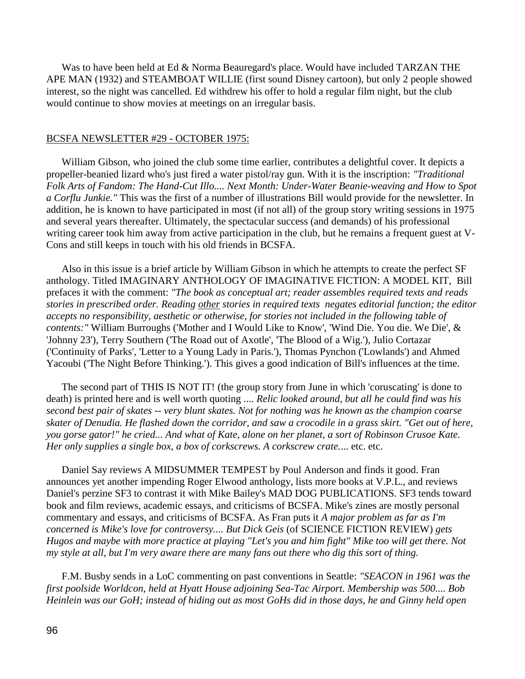Was to have been held at Ed & Norma Beauregard's place. Would have included TARZAN THE APE MAN (1932) and STEAMBOAT WILLIE (first sound Disney cartoon), but only 2 people showed interest, so the night was cancelled. Ed withdrew his offer to hold a regular film night, but the club would continue to show movies at meetings on an irregular basis.

#### BCSFA NEWSLETTER #29 - OCTOBER 1975:

 William Gibson, who joined the club some time earlier, contributes a delightful cover. It depicts a propeller-beanied lizard who's just fired a water pistol/ray gun. With it is the inscription: *"Traditional Folk Arts of Fandom: The Hand-Cut Illo.... Next Month: Under-Water Beanie-weaving and How to Spot a Corflu Junkie."* This was the first of a number of illustrations Bill would provide for the newsletter. In addition, he is known to have participated in most (if not all) of the group story writing sessions in 1975 and several years thereafter. Ultimately, the spectacular success (and demands) of his professional writing career took him away from active participation in the club, but he remains a frequent guest at V-Cons and still keeps in touch with his old friends in BCSFA.

 Also in this issue is a brief article by William Gibson in which he attempts to create the perfect SF anthology. Titled IMAGINARY ANTHOLOGY OF IMAGINATIVE FICTION: A MODEL KIT, Bill prefaces it with the comment: *"The book as conceptual art; reader assembles required texts and reads stories in prescribed order. Reading other stories in required texts negates editorial function; the editor accepts no responsibility, aesthetic or otherwise, for stories not included in the following table of contents:"* William Burroughs ('Mother and I Would Like to Know', 'Wind Die. You die. We Die', & 'Johnny 23'), Terry Southern ('The Road out of Axotle', 'The Blood of a Wig.'), Julio Cortazar ('Continuity of Parks', 'Letter to a Young Lady in Paris.'), Thomas Pynchon ('Lowlands') and Ahmed Yacoubi ('The Night Before Thinking.'). This gives a good indication of Bill's influences at the time.

 The second part of THIS IS NOT IT! (the group story from June in which 'coruscating' is done to death) is printed here and is well worth quoting .... *Relic looked around, but all he could find was his second best pair of skates -- very blunt skates. Not for nothing was he known as the champion coarse skater of Denudia. He flashed down the corridor, and saw a crocodile in a grass skirt. "Get out of here, you gorse gator!" he cried... And what of Kate, alone on her planet, a sort of Robinson Crusoe Kate. Her only supplies a single box, a box of corkscrews. A corkscrew crate.*... etc. etc.

 Daniel Say reviews A MIDSUMMER TEMPEST by Poul Anderson and finds it good. Fran announces yet another impending Roger Elwood anthology, lists more books at V.P.L., and reviews Daniel's perzine SF3 to contrast it with Mike Bailey's MAD DOG PUBLICATIONS. SF3 tends toward book and film reviews, academic essays, and criticisms of BCSFA. Mike's zines are mostly personal commentary and essays, and criticisms of BCSFA. As Fran puts it *A major problem as far as I'm concerned is Mike's love for controversy.... But Dick Geis* (of SCIENCE FICTION REVIEW) *gets Hugos and maybe with more practice at playing "Let's you and him fight" Mike too will get there. Not my style at all, but I'm very aware there are many fans out there who dig this sort of thing.*

F.M. Busby sends in a LoC commenting on past conventions in Seattle: *"SEACON in 1961 was the first poolside Worldcon, held at Hyatt House adjoining Sea-Tac Airport. Membership was 500.... Bob Heinlein was our GoH; instead of hiding out as most GoHs did in those days, he and Ginny held open*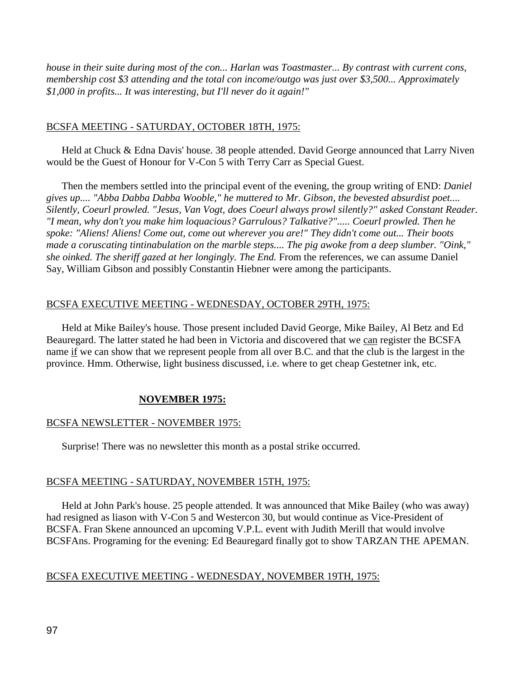*house in their suite during most of the con... Harlan was Toastmaster... By contrast with current cons, membership cost \$3 attending and the total con income/outgo was just over \$3,500... Approximately \$1,000 in profits... It was interesting, but I'll never do it again!"*

# BCSFA MEETING - SATURDAY, OCTOBER 18TH, 1975:

Held at Chuck & Edna Davis' house. 38 people attended. David George announced that Larry Niven would be the Guest of Honour for V-Con 5 with Terry Carr as Special Guest.

 Then the members settled into the principal event of the evening, the group writing of END: *Daniel gives up.... "Abba Dabba Dabba Wooble," he muttered to Mr. Gibson, the bevested absurdist poet.... Silently, Coeurl prowled. "Jesus, Van Vogt, does Coeurl always prowl silently?" asked Constant Reader. "I mean, why don't you make him loquacious? Garrulous? Talkative?"..... Coeurl prowled. Then he spoke: "Aliens! Aliens! Come out, come out wherever you are!" They didn't come out... Their boots made a coruscating tintinabulation on the marble steps.... The pig awoke from a deep slumber. "Oink," she oinked. The sheriff gazed at her longingly. The End.* From the references, we can assume Daniel Say, William Gibson and possibly Constantin Hiebner were among the participants.

# BCSFA EXECUTIVE MEETING - WEDNESDAY, OCTOBER 29TH, 1975:

 Held at Mike Bailey's house. Those present included David George, Mike Bailey, Al Betz and Ed Beauregard. The latter stated he had been in Victoria and discovered that we can register the BCSFA name if we can show that we represent people from all over B.C. and that the club is the largest in the province. Hmm. Otherwise, light business discussed, i.e. where to get cheap Gestetner ink, etc.

# **NOVEMBER 1975:**

# BCSFA NEWSLETTER - NOVEMBER 1975:

Surprise! There was no newsletter this month as a postal strike occurred.

# BCSFA MEETING - SATURDAY, NOVEMBER 15TH, 1975:

 Held at John Park's house. 25 people attended. It was announced that Mike Bailey (who was away) had resigned as liason with V-Con 5 and Westercon 30, but would continue as Vice-President of BCSFA. Fran Skene announced an upcoming V.P.L. event with Judith Merill that would involve BCSFAns. Programing for the evening: Ed Beauregard finally got to show TARZAN THE APEMAN.

# BCSFA EXECUTIVE MEETING - WEDNESDAY, NOVEMBER 19TH, 1975: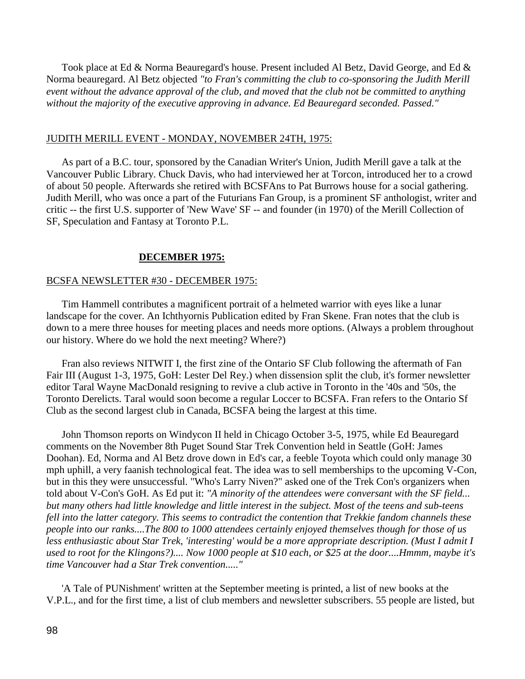Took place at Ed & Norma Beauregard's house. Present included Al Betz, David George, and Ed & Norma beauregard. Al Betz objected *"to Fran's committing the club to co-sponsoring the Judith Merill event without the advance approval of the club, and moved that the club not be committed to anything without the majority of the executive approving in advance. Ed Beauregard seconded. Passed."* 

#### JUDITH MERILL EVENT - MONDAY, NOVEMBER 24TH, 1975:

 As part of a B.C. tour, sponsored by the Canadian Writer's Union, Judith Merill gave a talk at the Vancouver Public Library. Chuck Davis, who had interviewed her at Torcon, introduced her to a crowd of about 50 people. Afterwards she retired with BCSFAns to Pat Burrows house for a social gathering. Judith Merill, who was once a part of the Futurians Fan Group, is a prominent SF anthologist, writer and critic -- the first U.S. supporter of 'New Wave' SF -- and founder (in 1970) of the Merill Collection of SF, Speculation and Fantasy at Toronto P.L.

#### **DECEMBER 1975:**

#### BCSFA NEWSLETTER #30 - DECEMBER 1975:

 Tim Hammell contributes a magnificent portrait of a helmeted warrior with eyes like a lunar landscape for the cover. An Ichthyornis Publication edited by Fran Skene. Fran notes that the club is down to a mere three houses for meeting places and needs more options. (Always a problem throughout our history. Where do we hold the next meeting? Where?)

 Fran also reviews NITWIT I, the first zine of the Ontario SF Club following the aftermath of Fan Fair III (August 1-3, 1975, GoH: Lester Del Rey.) when dissension split the club, it's former newsletter editor Taral Wayne MacDonald resigning to revive a club active in Toronto in the '40s and '50s, the Toronto Derelicts. Taral would soon become a regular Loccer to BCSFA. Fran refers to the Ontario Sf Club as the second largest club in Canada, BCSFA being the largest at this time.

 John Thomson reports on Windycon II held in Chicago October 3-5, 1975, while Ed Beauregard comments on the November 8th Puget Sound Star Trek Convention held in Seattle (GoH: James Doohan). Ed, Norma and Al Betz drove down in Ed's car, a feeble Toyota which could only manage 30 mph uphill, a very faanish technological feat. The idea was to sell memberships to the upcoming V-Con, but in this they were unsuccessful. "Who's Larry Niven?" asked one of the Trek Con's organizers when told about V-Con's GoH. As Ed put it: *"A minority of the attendees were conversant with the SF field... but many others had little knowledge and little interest in the subject. Most of the teens and sub-teens fell into the latter category. This seems to contradict the contention that Trekkie fandom channels these people into our ranks....The 800 to 1000 attendees certainly enjoyed themselves though for those of us*  less enthusiastic about Star Trek, 'interesting' would be a more appropriate description. (Must I admit I *used to root for the Klingons?).... Now 1000 people at \$10 each, or \$25 at the door....Hmmm, maybe it's time Vancouver had a Star Trek convention....."*

 'A Tale of PUNishment' written at the September meeting is printed, a list of new books at the V.P.L., and for the first time, a list of club members and newsletter subscribers. 55 people are listed, but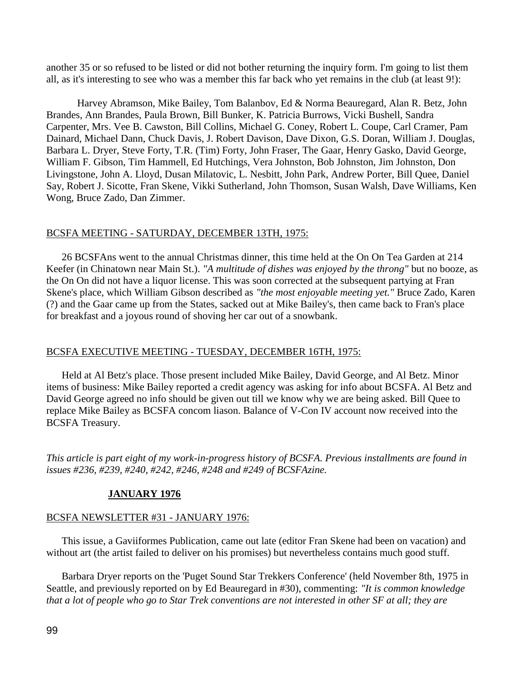another 35 or so refused to be listed or did not bother returning the inquiry form. I'm going to list them all, as it's interesting to see who was a member this far back who yet remains in the club (at least 9!):

Harvey Abramson, Mike Bailey, Tom Balanbov, Ed & Norma Beauregard, Alan R. Betz, John Brandes, Ann Brandes, Paula Brown, Bill Bunker, K. Patricia Burrows, Vicki Bushell, Sandra Carpenter, Mrs. Vee B. Cawston, Bill Collins, Michael G. Coney, Robert L. Coupe, Carl Cramer, Pam Dainard, Michael Dann, Chuck Davis, J. Robert Davison, Dave Dixon, G.S. Doran, William J. Douglas, Barbara L. Dryer, Steve Forty, T.R. (Tim) Forty, John Fraser, The Gaar, Henry Gasko, David George, William F. Gibson, Tim Hammell, Ed Hutchings, Vera Johnston, Bob Johnston, Jim Johnston, Don Livingstone, John A. Lloyd, Dusan Milatovic, L. Nesbitt, John Park, Andrew Porter, Bill Quee, Daniel Say, Robert J. Sicotte, Fran Skene, Vikki Sutherland, John Thomson, Susan Walsh, Dave Williams, Ken Wong, Bruce Zado, Dan Zimmer.

### BCSFA MEETING - SATURDAY, DECEMBER 13TH, 1975:

 26 BCSFAns went to the annual Christmas dinner, this time held at the On On Tea Garden at 214 Keefer (in Chinatown near Main St.). *"A multitude of dishes was enjoyed by the throng"* but no booze, as the On On did not have a liquor license. This was soon corrected at the subsequent partying at Fran Skene's place, which William Gibson described as *"the most enjoyable meeting yet."* Bruce Zado, Karen (?) and the Gaar came up from the States, sacked out at Mike Bailey's, then came back to Fran's place for breakfast and a joyous round of shoving her car out of a snowbank.

#### BCSFA EXECUTIVE MEETING - TUESDAY, DECEMBER 16TH, 1975:

 Held at Al Betz's place. Those present included Mike Bailey, David George, and Al Betz. Minor items of business: Mike Bailey reported a credit agency was asking for info about BCSFA. Al Betz and David George agreed no info should be given out till we know why we are being asked. Bill Quee to replace Mike Bailey as BCSFA concom liason. Balance of V-Con IV account now received into the BCSFA Treasury.

*This article is part eight of my work-in-progress history of BCSFA. Previous installments are found in issues #236, #239, #240, #242, #246, #248 and #249 of BCSFAzine.*

### **JANUARY 1976**

#### BCSFA NEWSLETTER #31 - JANUARY 1976:

 This issue, a Gaviiformes Publication, came out late (editor Fran Skene had been on vacation) and without art (the artist failed to deliver on his promises) but nevertheless contains much good stuff.

 Barbara Dryer reports on the 'Puget Sound Star Trekkers Conference' (held November 8th, 1975 in Seattle, and previously reported on by Ed Beauregard in #30), commenting: *"It is common knowledge that a lot of people who go to Star Trek conventions are not interested in other SF at all; they are*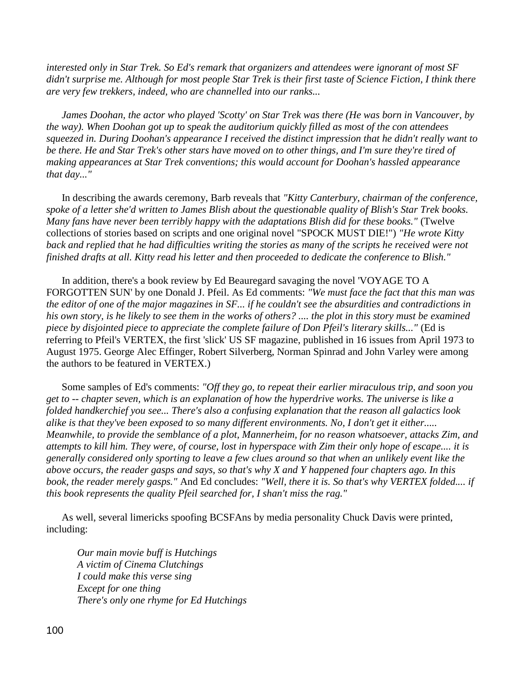*interested only in Star Trek. So Ed's remark that organizers and attendees were ignorant of most SF didn't surprise me. Although for most people Star Trek is their first taste of Science Fiction, I think there are very few trekkers, indeed, who are channelled into our ranks...*

 *James Doohan, the actor who played 'Scotty' on Star Trek was there (He was born in Vancouver, by the way). When Doohan got up to speak the auditorium quickly filled as most of the con attendees squeezed in. During Doohan's appearance I received the distinct impression that he didn't really want to be there. He and Star Trek's other stars have moved on to other things, and I'm sure they're tired of making appearances at Star Trek conventions; this would account for Doohan's hassled appearance that day..."*

 In describing the awards ceremony, Barb reveals that *"Kitty Canterbury, chairman of the conference, spoke of a letter she'd written to James Blish about the questionable quality of Blish's Star Trek books. Many fans have never been terribly happy with the adaptations Blish did for these books."* (Twelve collections of stories based on scripts and one original novel "SPOCK MUST DIE!") *"He wrote Kitty back and replied that he had difficulties writing the stories as many of the scripts he received were not finished drafts at all. Kitty read his letter and then proceeded to dedicate the conference to Blish."*

 In addition, there's a book review by Ed Beauregard savaging the novel 'VOYAGE TO A FORGOTTEN SUN' by one Donald J. Pfeil. As Ed comments: *"We must face the fact that this man was the editor of one of the major magazines in SF... if he couldn't see the absurdities and contradictions in his own story, is he likely to see them in the works of others? .... the plot in this story must be examined piece by disjointed piece to appreciate the complete failure of Don Pfeil's literary skills..."* (Ed is referring to Pfeil's VERTEX, the first 'slick' US SF magazine, published in 16 issues from April 1973 to August 1975. George Alec Effinger, Robert Silverberg, Norman Spinrad and John Varley were among the authors to be featured in VERTEX.)

 Some samples of Ed's comments: *"Off they go, to repeat their earlier miraculous trip, and soon you get to -- chapter seven, which is an explanation of how the hyperdrive works. The universe is like a folded handkerchief you see... There's also a confusing explanation that the reason all galactics look alike is that they've been exposed to so many different environments. No, I don't get it either..... Meanwhile, to provide the semblance of a plot, Mannerheim, for no reason whatsoever, attacks Zim, and attempts to kill him. They were, of course, lost in hyperspace with Zim their only hope of escape.... it is generally considered only sporting to leave a few clues around so that when an unlikely event like the above occurs, the reader gasps and says, so that's why X and Y happened four chapters ago. In this book, the reader merely gasps."* And Ed concludes: *"Well, there it is. So that's why VERTEX folded.... if this book represents the quality Pfeil searched for, I shan't miss the rag."*

 As well, several limericks spoofing BCSFAns by media personality Chuck Davis were printed, including:

*Our main movie buff is Hutchings A victim of Cinema Clutchings I could make this verse sing Except for one thing There's only one rhyme for Ed Hutchings*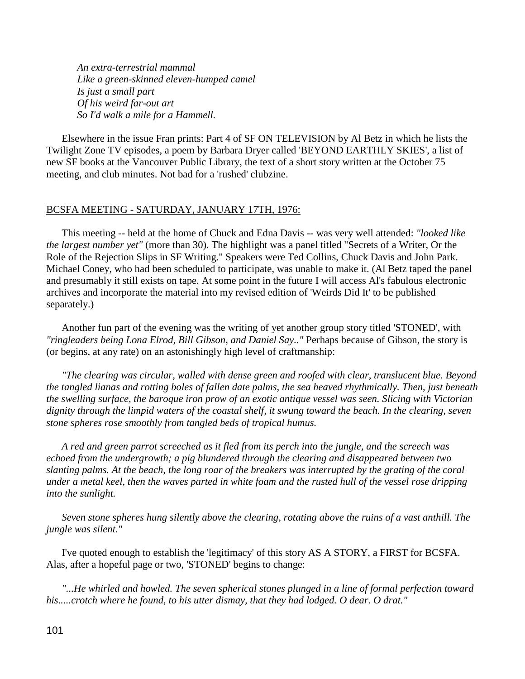*An extra-terrestrial mammal Like a green-skinned eleven-humped camel Is just a small part Of his weird far-out art So I'd walk a mile for a Hammell.*

 Elsewhere in the issue Fran prints: Part 4 of SF ON TELEVISION by Al Betz in which he lists the Twilight Zone TV episodes, a poem by Barbara Dryer called 'BEYOND EARTHLY SKIES', a list of new SF books at the Vancouver Public Library, the text of a short story written at the October 75 meeting, and club minutes. Not bad for a 'rushed' clubzine.

### BCSFA MEETING - SATURDAY, JANUARY 17TH, 1976:

 This meeting -- held at the home of Chuck and Edna Davis -- was very well attended: *"looked like the largest number yet"* (more than 30). The highlight was a panel titled "Secrets of a Writer, Or the Role of the Rejection Slips in SF Writing." Speakers were Ted Collins, Chuck Davis and John Park. Michael Coney, who had been scheduled to participate, was unable to make it. (Al Betz taped the panel and presumably it still exists on tape. At some point in the future I will access Al's fabulous electronic archives and incorporate the material into my revised edition of 'Weirds Did It' to be published separately.)

 Another fun part of the evening was the writing of yet another group story titled 'STONED', with *"ringleaders being Lona Elrod, Bill Gibson, and Daniel Say.."* Perhaps because of Gibson, the story is (or begins, at any rate) on an astonishingly high level of craftmanship:

 *"The clearing was circular, walled with dense green and roofed with clear, translucent blue. Beyond the tangled lianas and rotting boles of fallen date palms, the sea heaved rhythmically. Then, just beneath the swelling surface, the baroque iron prow of an exotic antique vessel was seen. Slicing with Victorian dignity through the limpid waters of the coastal shelf, it swung toward the beach. In the clearing, seven stone spheres rose smoothly from tangled beds of tropical humus.*

 *A red and green parrot screeched as it fled from its perch into the jungle, and the screech was echoed from the undergrowth; a pig blundered through the clearing and disappeared between two slanting palms. At the beach, the long roar of the breakers was interrupted by the grating of the coral under a metal keel, then the waves parted in white foam and the rusted hull of the vessel rose dripping into the sunlight.*

 *Seven stone spheres hung silently above the clearing, rotating above the ruins of a vast anthill. The jungle was silent."*

 I've quoted enough to establish the 'legitimacy' of this story AS A STORY, a FIRST for BCSFA. Alas, after a hopeful page or two, 'STONED' begins to change:

 *"...He whirled and howled. The seven spherical stones plunged in a line of formal perfection toward his.....crotch where he found, to his utter dismay, that they had lodged. O dear. O drat."*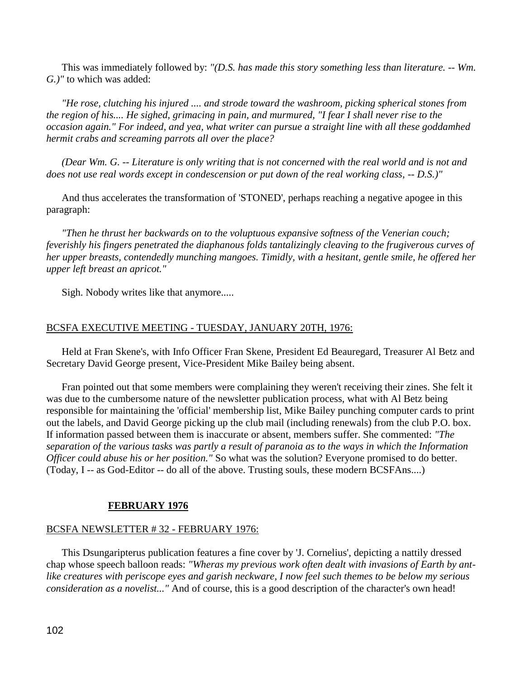This was immediately followed by: *"(D.S. has made this story something less than literature. -- Wm. G.)"* to which was added:

 *"He rose, clutching his injured .... and strode toward the washroom, picking spherical stones from the region of his.... He sighed, grimacing in pain, and murmured, "I fear I shall never rise to the occasion again." For indeed, and yea, what writer can pursue a straight line with all these goddamhed hermit crabs and screaming parrots all over the place?*

 *(Dear Wm. G. -- Literature is only writing that is not concerned with the real world and is not and does not use real words except in condescension or put down of the real working class, -- D.S.)"*

 And thus accelerates the transformation of 'STONED', perhaps reaching a negative apogee in this paragraph:

 *"Then he thrust her backwards on to the voluptuous expansive softness of the Venerian couch; feverishly his fingers penetrated the diaphanous folds tantalizingly cleaving to the frugiverous curves of her upper breasts, contendedly munching mangoes. Timidly, with a hesitant, gentle smile, he offered her upper left breast an apricot."*

Sigh. Nobody writes like that anymore.....

# BCSFA EXECUTIVE MEETING - TUESDAY, JANUARY 20TH, 1976:

 Held at Fran Skene's, with Info Officer Fran Skene, President Ed Beauregard, Treasurer Al Betz and Secretary David George present, Vice-President Mike Bailey being absent.

 Fran pointed out that some members were complaining they weren't receiving their zines. She felt it was due to the cumbersome nature of the newsletter publication process, what with Al Betz being responsible for maintaining the 'official' membership list, Mike Bailey punching computer cards to print out the labels, and David George picking up the club mail (including renewals) from the club P.O. box. If information passed between them is inaccurate or absent, members suffer. She commented: *"The separation of the various tasks was partly a result of paranoia as to the ways in which the Information Officer could abuse his or her position."* So what was the solution? Everyone promised to do better. (Today, I -- as God-Editor -- do all of the above. Trusting souls, these modern BCSFAns....)

### **FEBRUARY 1976**

### BCSFA NEWSLETTER # 32 - FEBRUARY 1976:

 This Dsungaripterus publication features a fine cover by 'J. Cornelius', depicting a nattily dressed chap whose speech balloon reads: *"Wheras my previous work often dealt with invasions of Earth by antlike creatures with periscope eyes and garish neckware, I now feel such themes to be below my serious consideration as a novelist..."* And of course, this is a good description of the character's own head!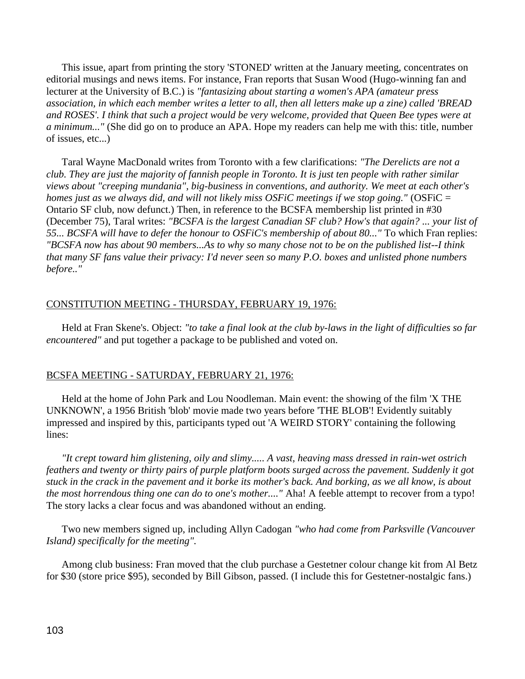This issue, apart from printing the story 'STONED' written at the January meeting, concentrates on editorial musings and news items. For instance, Fran reports that Susan Wood (Hugo-winning fan and lecturer at the University of B.C.) is *"fantasizing about starting a women's APA (amateur press association, in which each member writes a letter to all, then all letters make up a zine) called 'BREAD and ROSES'. I think that such a project would be very welcome, provided that Queen Bee types were at a minimum..."* (She did go on to produce an APA. Hope my readers can help me with this: title, number of issues, etc...)

 Taral Wayne MacDonald writes from Toronto with a few clarifications: *"The Derelicts are not a club. They are just the majority of fannish people in Toronto. It is just ten people with rather similar views about "creeping mundania", big-business in conventions, and authority. We meet at each other's homes just as we always did, and will not likely miss OSFiC meetings if we stop going."* (OSFiC = Ontario SF club, now defunct.) Then, in reference to the BCSFA membership list printed in #30 (December 75), Taral writes: *"BCSFA is the largest Canadian SF club? How's that again? ... your list of 55... BCSFA will have to defer the honour to OSFiC's membership of about 80..."* To which Fran replies: *"BCSFA now has about 90 members...As to why so many chose not to be on the published list--I think that many SF fans value their privacy: I'd never seen so many P.O. boxes and unlisted phone numbers before.."*

# CONSTITUTION MEETING - THURSDAY, FEBRUARY 19, 1976:

 Held at Fran Skene's. Object: *"to take a final look at the club by-laws in the light of difficulties so far encountered"* and put together a package to be published and voted on.

# BCSFA MEETING - SATURDAY, FEBRUARY 21, 1976:

 Held at the home of John Park and Lou Noodleman. Main event: the showing of the film 'X THE UNKNOWN', a 1956 British 'blob' movie made two years before 'THE BLOB'! Evidently suitably impressed and inspired by this, participants typed out 'A WEIRD STORY' containing the following lines:

 *"It crept toward him glistening, oily and slimy..... A vast, heaving mass dressed in rain-wet ostrich feathers and twenty or thirty pairs of purple platform boots surged across the pavement. Suddenly it got stuck in the crack in the pavement and it borke its mother's back. And borking, as we all know, is about the most horrendous thing one can do to one's mother...."* Aha! A feeble attempt to recover from a typo! The story lacks a clear focus and was abandoned without an ending.

 Two new members signed up, including Allyn Cadogan *"who had come from Parksville (Vancouver Island) specifically for the meeting".*

 Among club business: Fran moved that the club purchase a Gestetner colour change kit from Al Betz for \$30 (store price \$95), seconded by Bill Gibson, passed. (I include this for Gestetner-nostalgic fans.)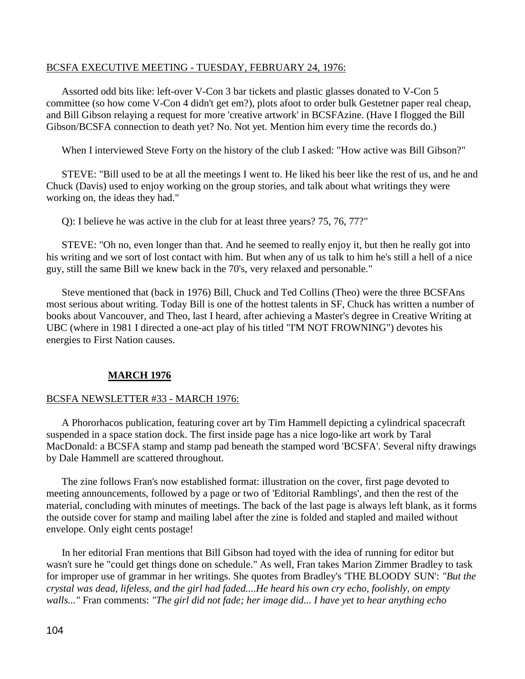## BCSFA EXECUTIVE MEETING - TUESDAY, FEBRUARY 24, 1976:

 Assorted odd bits like: left-over V-Con 3 bar tickets and plastic glasses donated to V-Con 5 committee (so how come V-Con 4 didn't get em?), plots afoot to order bulk Gestetner paper real cheap, and Bill Gibson relaying a request for more 'creative artwork' in BCSFAzine. (Have I flogged the Bill Gibson/BCSFA connection to death yet? No. Not yet. Mention him every time the records do.)

When I interviewed Steve Forty on the history of the club I asked: "How active was Bill Gibson?"

 STEVE: "Bill used to be at all the meetings I went to. He liked his beer like the rest of us, and he and Chuck (Davis) used to enjoy working on the group stories, and talk about what writings they were working on, the ideas they had."

Q): I believe he was active in the club for at least three years? 75, 76, 77?"

 STEVE: "Oh no, even longer than that. And he seemed to really enjoy it, but then he really got into his writing and we sort of lost contact with him. But when any of us talk to him he's still a hell of a nice guy, still the same Bill we knew back in the 70's, very relaxed and personable."

 Steve mentioned that (back in 1976) Bill, Chuck and Ted Collins (Theo) were the three BCSFAns most serious about writing. Today Bill is one of the hottest talents in SF, Chuck has written a number of books about Vancouver, and Theo, last I heard, after achieving a Master's degree in Creative Writing at UBC (where in 1981 I directed a one-act play of his titled "I'M NOT FROWNING") devotes his energies to First Nation causes.

# **MARCH 1976**

### BCSFA NEWSLETTER #33 - MARCH 1976:

 A Phororhacos publication, featuring cover art by Tim Hammell depicting a cylindrical spacecraft suspended in a space station dock. The first inside page has a nice logo-like art work by Taral MacDonald: a BCSFA stamp and stamp pad beneath the stamped word 'BCSFA'. Several nifty drawings by Dale Hammell are scattered throughout.

 The zine follows Fran's now established format: illustration on the cover, first page devoted to meeting announcements, followed by a page or two of 'Editorial Ramblings', and then the rest of the material, concluding with minutes of meetings. The back of the last page is always left blank, as it forms the outside cover for stamp and mailing label after the zine is folded and stapled and mailed without envelope. Only eight cents postage!

 In her editorial Fran mentions that Bill Gibson had toyed with the idea of running for editor but wasn't sure he "could get things done on schedule." As well, Fran takes Marion Zimmer Bradley to task for improper use of grammar in her writings. She quotes from Bradley's 'THE BLOODY SUN': *"But the crystal was dead, lifeless, and the girl had faded....He heard his own cry echo, foolishly, on empty walls..."* Fran comments: *"The girl did not fade; her image did... I have yet to hear anything echo*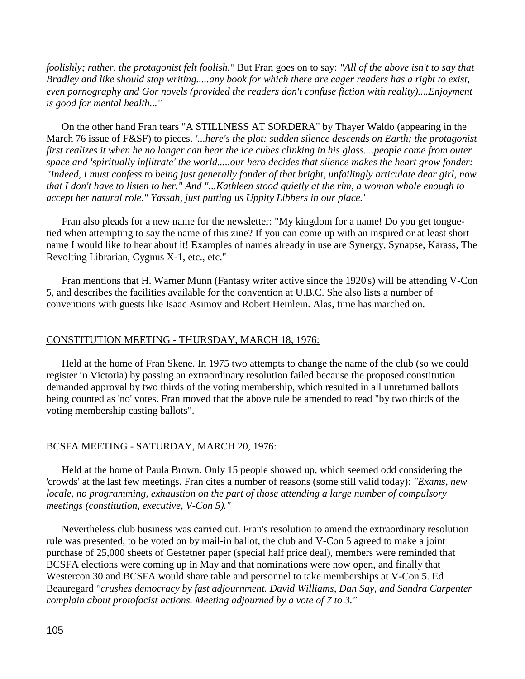*foolishly; rather, the protagonist felt foolish."* But Fran goes on to say: *"All of the above isn't to say that Bradley and like should stop writing.....any book for which there are eager readers has a right to exist, even pornography and Gor novels (provided the readers don't confuse fiction with reality)....Enjoyment is good for mental health..."*

 On the other hand Fran tears "A STILLNESS AT SORDERA" by Thayer Waldo (appearing in the March 76 issue of F&SF) to pieces. *'...here's the plot: sudden silence descends on Earth; the protagonist first realizes it when he no longer can hear the ice cubes clinking in his glass....people come from outer space and 'spiritually infiltrate' the world.....our hero decides that silence makes the heart grow fonder: "Indeed, I must confess to being just generally fonder of that bright, unfailingly articulate dear girl, now that I don't have to listen to her." And "...Kathleen stood quietly at the rim, a woman whole enough to accept her natural role." Yassah, just putting us Uppity Libbers in our place.'*

 Fran also pleads for a new name for the newsletter: "My kingdom for a name! Do you get tonguetied when attempting to say the name of this zine? If you can come up with an inspired or at least short name I would like to hear about it! Examples of names already in use are Synergy, Synapse, Karass, The Revolting Librarian, Cygnus X-1, etc., etc."

 Fran mentions that H. Warner Munn (Fantasy writer active since the 1920's) will be attending V-Con 5, and describes the facilities available for the convention at U.B.C. She also lists a number of conventions with guests like Isaac Asimov and Robert Heinlein. Alas, time has marched on.

# CONSTITUTION MEETING - THURSDAY, MARCH 18, 1976:

 Held at the home of Fran Skene. In 1975 two attempts to change the name of the club (so we could register in Victoria) by passing an extraordinary resolution failed because the proposed constitution demanded approval by two thirds of the voting membership, which resulted in all unreturned ballots being counted as 'no' votes. Fran moved that the above rule be amended to read "by two thirds of the voting membership casting ballots".

### BCSFA MEETING - SATURDAY, MARCH 20, 1976:

 Held at the home of Paula Brown. Only 15 people showed up, which seemed odd considering the 'crowds' at the last few meetings. Fran cites a number of reasons (some still valid today): *"Exams, new locale, no programming, exhaustion on the part of those attending a large number of compulsory meetings (constitution, executive, V-Con 5)."*

 Nevertheless club business was carried out. Fran's resolution to amend the extraordinary resolution rule was presented, to be voted on by mail-in ballot, the club and V-Con 5 agreed to make a joint purchase of 25,000 sheets of Gestetner paper (special half price deal), members were reminded that BCSFA elections were coming up in May and that nominations were now open, and finally that Westercon 30 and BCSFA would share table and personnel to take memberships at V-Con 5. Ed Beauregard *"crushes democracy by fast adjournment. David Williams, Dan Say, and Sandra Carpenter complain about protofacist actions. Meeting adjourned by a vote of 7 to 3."*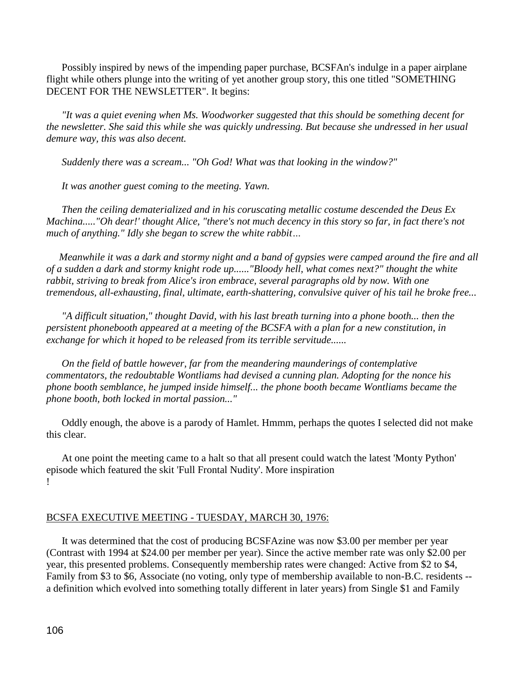Possibly inspired by news of the impending paper purchase, BCSFAn's indulge in a paper airplane flight while others plunge into the writing of yet another group story, this one titled "SOMETHING DECENT FOR THE NEWSLETTER". It begins:

 *"It was a quiet evening when Ms. Woodworker suggested that this should be something decent for the newsletter. She said this while she was quickly undressing. But because she undressed in her usual demure way, this was also decent.* 

 *Suddenly there was a scream... "Oh God! What was that looking in the window?"*

 *It was another guest coming to the meeting. Yawn.*

 *Then the ceiling dematerialized and in his coruscating metallic costume descended the Deus Ex Machina....."Oh dear!' thought Alice, "there's not much decency in this story so far, in fact there's not much of anything." Idly she began to screw the white rabbit…*

 *Meanwhile it was a dark and stormy night and a band of gypsies were camped around the fire and all of a sudden a dark and stormy knight rode up......"Bloody hell, what comes next?" thought the white rabbit, striving to break from Alice's iron embrace, several paragraphs old by now. With one tremendous, all-exhausting, final, ultimate, earth-shattering, convulsive quiver of his tail he broke free...*

 *"A difficult situation," thought David, with his last breath turning into a phone booth... then the persistent phonebooth appeared at a meeting of the BCSFA with a plan for a new constitution, in exchange for which it hoped to be released from its terrible servitude......*

 *On the field of battle however, far from the meandering maunderings of contemplative commentators, the redoubtable Wontliams had devised a cunning plan. Adopting for the nonce his phone booth semblance, he jumped inside himself... the phone booth became Wontliams became the phone booth, both locked in mortal passion..."*

 Oddly enough, the above is a parody of Hamlet. Hmmm, perhaps the quotes I selected did not make this clear.

 At one point the meeting came to a halt so that all present could watch the latest 'Monty Python' episode which featured the skit 'Full Frontal Nudity'. More inspiration !

### BCSFA EXECUTIVE MEETING - TUESDAY, MARCH 30, 1976:

 It was determined that the cost of producing BCSFAzine was now \$3.00 per member per year (Contrast with 1994 at \$24.00 per member per year). Since the active member rate was only \$2.00 per year, this presented problems. Consequently membership rates were changed: Active from \$2 to \$4, Family from \$3 to \$6, Associate (no voting, only type of membership available to non-B.C. residents - a definition which evolved into something totally different in later years) from Single \$1 and Family